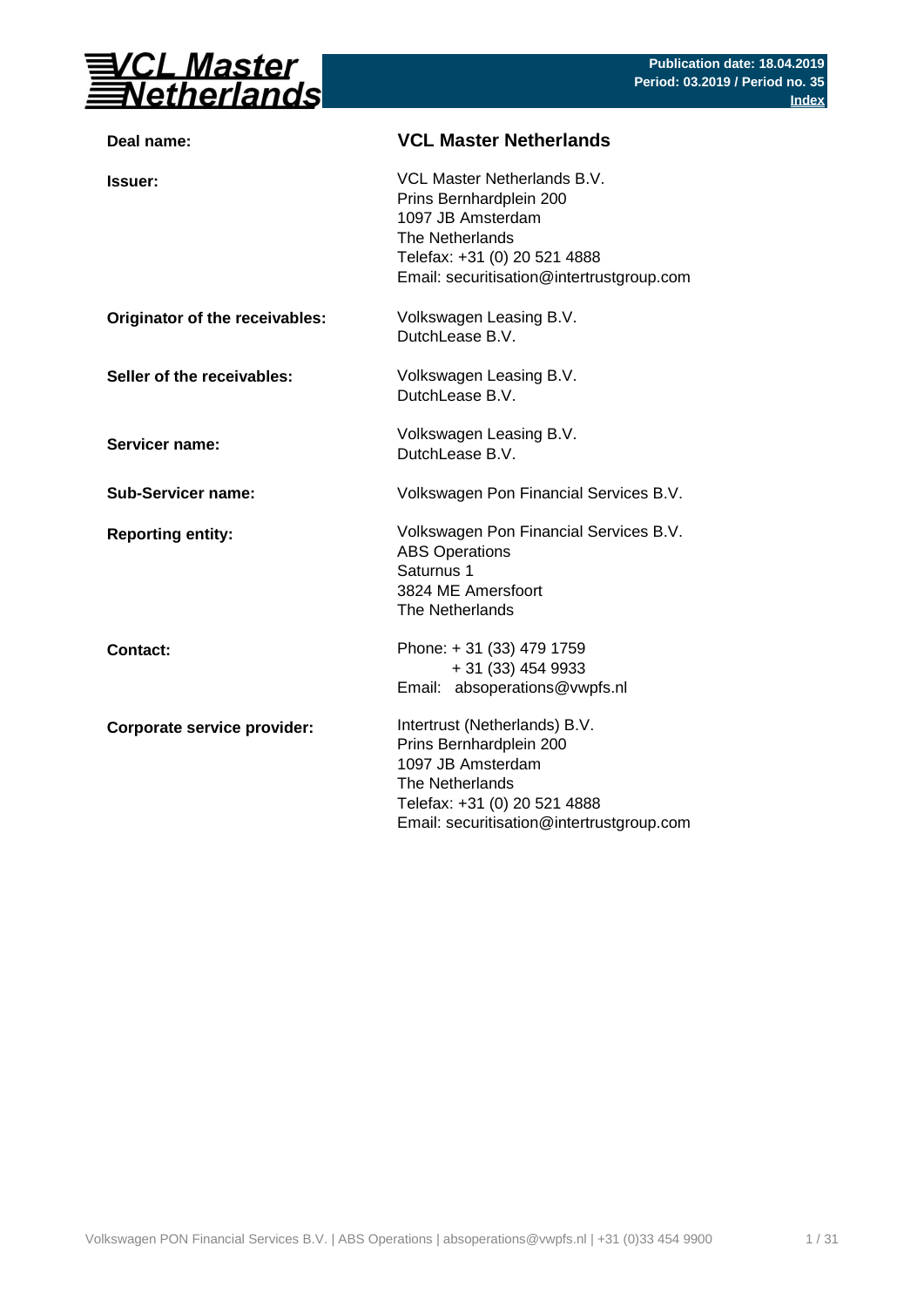

| Deal name:                     | <b>VCL Master Netherlands</b>                                                                                                                                                 |
|--------------------------------|-------------------------------------------------------------------------------------------------------------------------------------------------------------------------------|
| <b>Issuer:</b>                 | VCL Master Netherlands B.V.<br>Prins Bernhardplein 200<br>1097 JB Amsterdam<br>The Netherlands<br>Telefax: +31 (0) 20 521 4888<br>Email: securitisation@intertrustgroup.com   |
| Originator of the receivables: | Volkswagen Leasing B.V.<br>DutchLease B.V.                                                                                                                                    |
| Seller of the receivables:     | Volkswagen Leasing B.V.<br>DutchLease B.V.                                                                                                                                    |
| <b>Servicer name:</b>          | Volkswagen Leasing B.V.<br>DutchLease B.V.                                                                                                                                    |
| <b>Sub-Servicer name:</b>      | Volkswagen Pon Financial Services B.V.                                                                                                                                        |
| <b>Reporting entity:</b>       | Volkswagen Pon Financial Services B.V.<br><b>ABS Operations</b><br>Saturnus 1<br>3824 ME Amersfoort<br>The Netherlands                                                        |
| <b>Contact:</b>                | Phone: +31 (33) 479 1759<br>+ 31 (33) 454 9933<br>Email: absoperations@vwpfs.nl                                                                                               |
| Corporate service provider:    | Intertrust (Netherlands) B.V.<br>Prins Bernhardplein 200<br>1097 JB Amsterdam<br>The Netherlands<br>Telefax: +31 (0) 20 521 4888<br>Email: securitisation@intertrustgroup.com |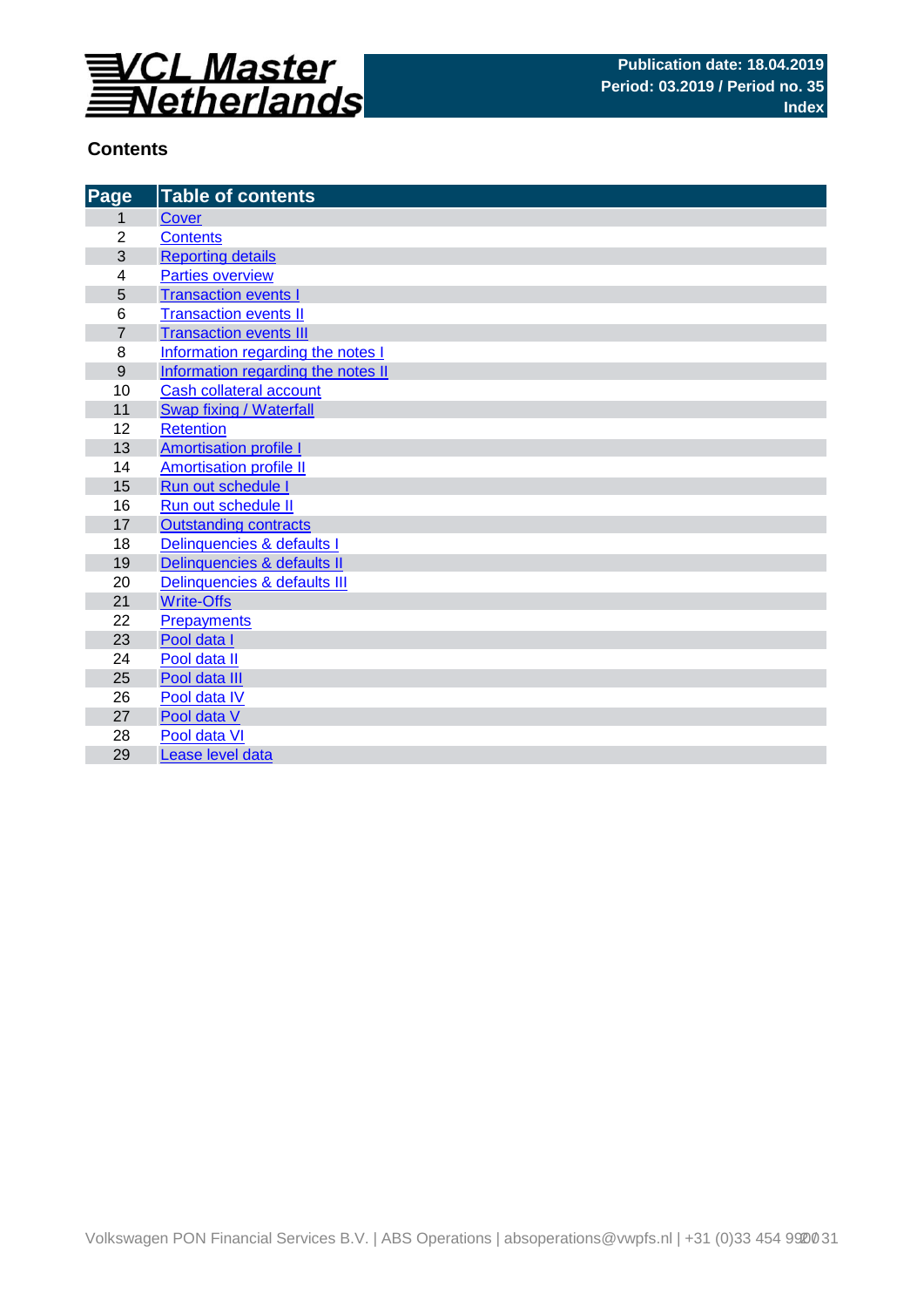

## **Contents**

| Page             | <b>Table of contents</b>           |
|------------------|------------------------------------|
| 1                | <b>Cover</b>                       |
| $\overline{2}$   | <b>Contents</b>                    |
| 3                | <b>Reporting details</b>           |
| 4                | <b>Parties overview</b>            |
| 5                | <b>Transaction events I</b>        |
| 6                | <b>Transaction events II</b>       |
| $\overline{7}$   | <b>Transaction events III</b>      |
| 8                | Information regarding the notes I  |
| $\boldsymbol{9}$ | Information regarding the notes II |
| 10               | Cash collateral account            |
| 11               | Swap fixing / Waterfall            |
| 12               | <b>Retention</b>                   |
| 13               | <b>Amortisation profile I</b>      |
| 14               | <b>Amortisation profile II</b>     |
| 15               | Run out schedule I                 |
| 16               | Run out schedule II                |
| 17               | <b>Outstanding contracts</b>       |
| 18               | Delinquencies & defaults I         |
| 19               | Delinquencies & defaults II        |
| 20               | Delinquencies & defaults III       |
| 21               | <b>Write-Offs</b>                  |
| 22               | <b>Prepayments</b>                 |
| 23               | Pool data I                        |
| 24               | Pool data II                       |
| 25               | Pool data III                      |
| 26               | Pool data IV                       |
| 27               | Pool data V                        |
| 28               | Pool data VI                       |
| 29               | Lease level data                   |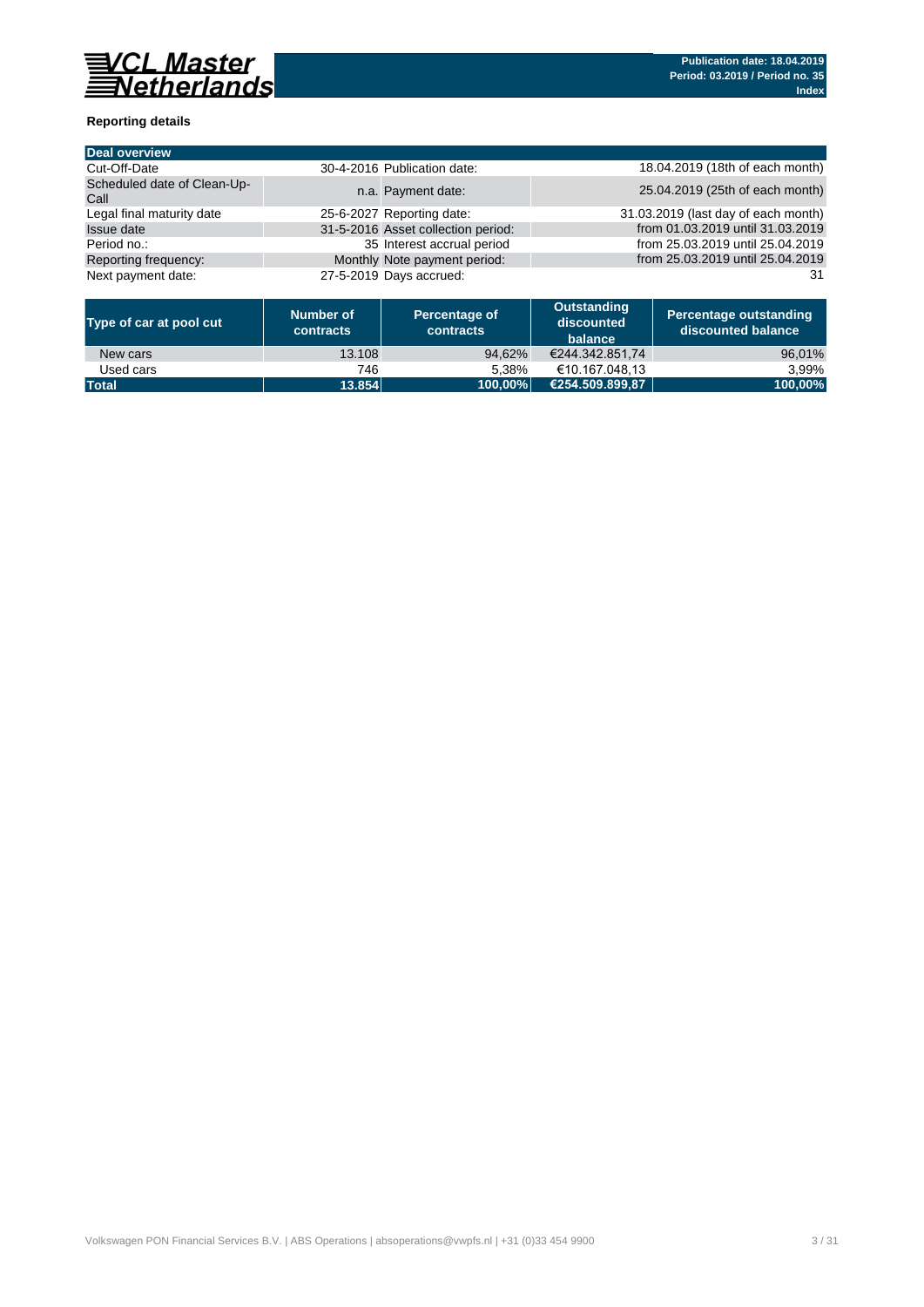

## **Reporting details**

| Deal overview                       |                                    |                                     |
|-------------------------------------|------------------------------------|-------------------------------------|
| Cut-Off-Date                        | 30-4-2016 Publication date:        | 18.04.2019 (18th of each month)     |
| Scheduled date of Clean-Up-<br>Call | n.a. Payment date:                 | 25.04.2019 (25th of each month)     |
| Legal final maturity date           | 25-6-2027 Reporting date:          | 31.03.2019 (last day of each month) |
| <b>Issue date</b>                   | 31-5-2016 Asset collection period: | from 01.03.2019 until 31.03.2019    |
| Period no.:                         | 35 Interest accrual period         | from 25.03.2019 until 25.04.2019    |
| Reporting frequency:                | Monthly Note payment period:       | from 25.03.2019 until 25.04.2019    |
| Next payment date:                  | 27-5-2019 Days accrued:            | 31                                  |

| Type of car at pool cut | Number of<br>contracts | Percentage of<br>contracts | Outstanding<br>discounted<br>balance | <b>Percentage outstanding</b><br>discounted balance |
|-------------------------|------------------------|----------------------------|--------------------------------------|-----------------------------------------------------|
| New cars                | 13.108                 | 94.62%                     | €244.342.851.74                      | 96,01%                                              |
| Used cars               | 746                    | 5.38%                      | €10.167.048.13                       | 3.99%                                               |
| <b>Total</b>            | 13.854                 | 100.00%                    | €254.509.899.87                      | 100,00%                                             |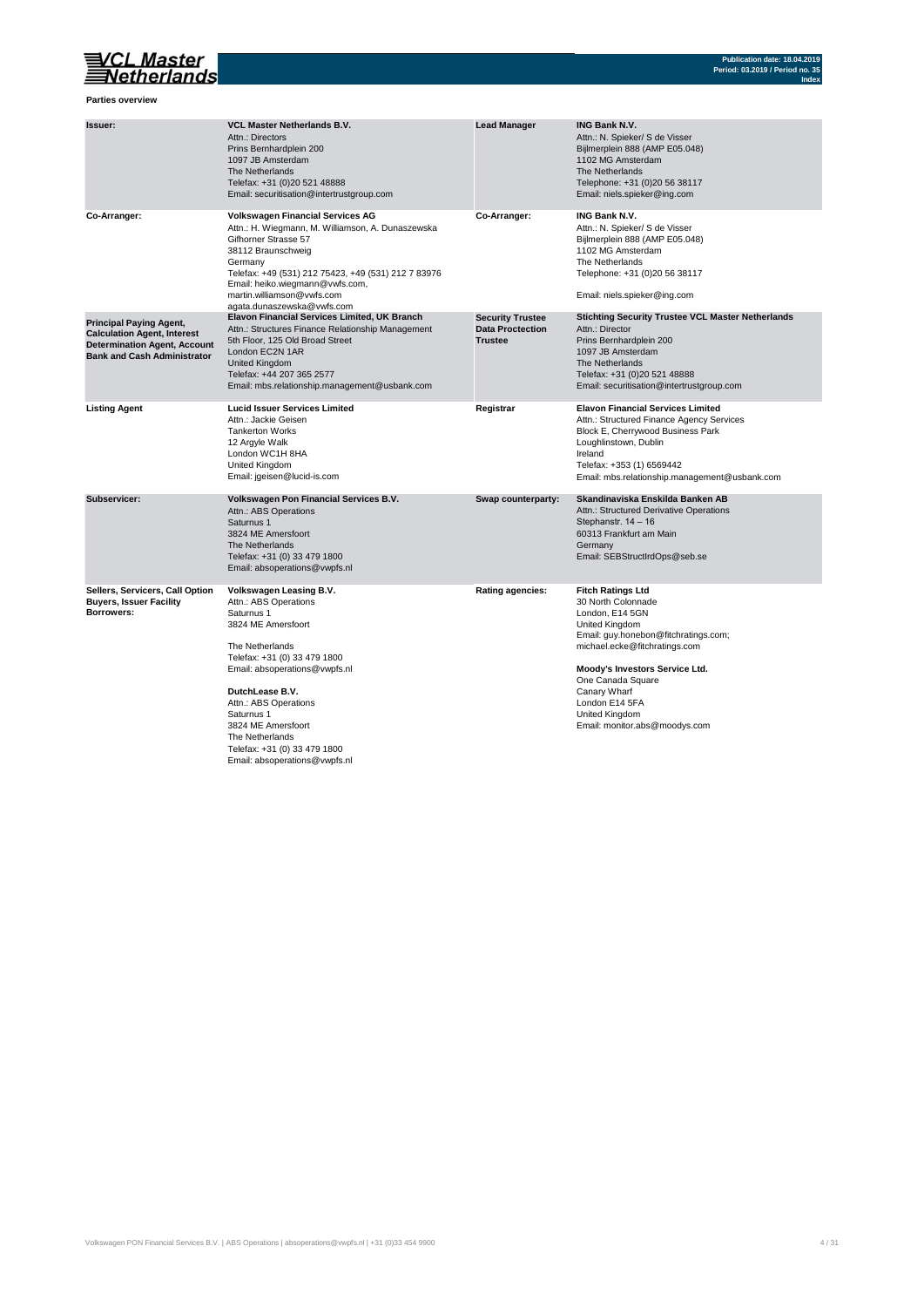

**Parties overview**

| Issuer:                                                                                                                                           | <b>VCL Master Netherlands B.V.</b><br>Attn.: Directors<br>Prins Bernhardplein 200<br>1097 JB Amsterdam<br>The Netherlands<br>Telefax: +31 (0)20 521 48888<br>Email: securitisation@intertrustgroup.com                                                                                                                                       | <b>Lead Manager</b>                                                  | <b>ING Bank N.V.</b><br>Attn.: N. Spieker/ S de Visser<br>Bijlmerplein 888 (AMP E05.048)<br>1102 MG Amsterdam<br>The Netherlands<br>Telephone: +31 (0)20 56 38117<br>Email: niels.spieker@ing.com                                                                                                               |
|---------------------------------------------------------------------------------------------------------------------------------------------------|----------------------------------------------------------------------------------------------------------------------------------------------------------------------------------------------------------------------------------------------------------------------------------------------------------------------------------------------|----------------------------------------------------------------------|-----------------------------------------------------------------------------------------------------------------------------------------------------------------------------------------------------------------------------------------------------------------------------------------------------------------|
| Co-Arranger:                                                                                                                                      | <b>Volkswagen Financial Services AG</b><br>Attn.: H. Wiegmann, M. Williamson, A. Dunaszewska<br>Gifhorner Strasse 57<br>38112 Braunschweig<br>Germany<br>Telefax: +49 (531) 212 75423, +49 (531) 212 7 83976<br>Email: heiko.wiegmann@vwfs.com,<br>martin.williamson@vwfs.com<br>agata.dunaszewska@vwfs.com                                  | Co-Arranger:                                                         | <b>ING Bank N.V.</b><br>Attn.: N. Spieker/ S de Visser<br>Bijlmerplein 888 (AMP E05.048)<br>1102 MG Amsterdam<br>The Netherlands<br>Telephone: +31 (0)20 56 38117<br>Email: niels.spieker@ing.com                                                                                                               |
| <b>Principal Paying Agent,</b><br><b>Calculation Agent, Interest</b><br><b>Determination Agent, Account</b><br><b>Bank and Cash Administrator</b> | <b>Elavon Financial Services Limited, UK Branch</b><br>Attn.: Structures Finance Relationship Management<br>5th Floor, 125 Old Broad Street<br>London EC2N 1AR<br><b>United Kingdom</b><br>Telefax: +44 207 365 2577<br>Email: mbs.relationship.management@usbank.com                                                                        | <b>Security Trustee</b><br><b>Data Proctection</b><br><b>Trustee</b> | <b>Stichting Security Trustee VCL Master Netherlands</b><br>Attn.: Director<br>Prins Bernhardplein 200<br>1097 JB Amsterdam<br>The Netherlands<br>Telefax: +31 (0)20 521 48888<br>Email: securitisation@intertrustgroup.com                                                                                     |
| <b>Listing Agent</b>                                                                                                                              | <b>Lucid Issuer Services Limited</b><br>Attn.: Jackie Geisen<br><b>Tankerton Works</b><br>12 Argyle Walk<br>London WC1H 8HA<br>United Kingdom<br>Email: jgeisen@lucid-is.com                                                                                                                                                                 | Registrar                                                            | <b>Elavon Financial Services Limited</b><br>Attn.: Structured Finance Agency Services<br>Block E, Cherrywood Business Park<br>Loughlinstown, Dublin<br>Ireland<br>Telefax: +353 (1) 6569442<br>Email: mbs.relationship.management@usbank.com                                                                    |
| Subservicer:                                                                                                                                      | Volkswagen Pon Financial Services B.V.<br>Attn.: ABS Operations<br>Saturnus 1<br>3824 ME Amersfoort<br>The Netherlands<br>Telefax: +31 (0) 33 479 1800<br>Email: absoperations@vwpfs.nl                                                                                                                                                      | Swap counterparty:                                                   | Skandinaviska Enskilda Banken AB<br>Attn.: Structured Derivative Operations<br>Stephanstr. 14 - 16<br>60313 Frankfurt am Main<br>Germany<br>Email: SEBStructIrdOps@seb.se                                                                                                                                       |
| Sellers, Servicers, Call Option<br><b>Buyers, Issuer Facility</b><br>Borrowers:                                                                   | Volkswagen Leasing B.V.<br>Attn.: ABS Operations<br>Saturnus 1<br>3824 ME Amersfoort<br>The Netherlands<br>Telefax: +31 (0) 33 479 1800<br>Email: absoperations@vwpfs.nl<br>DutchLease B.V.<br>Attn.: ABS Operations<br>Saturnus 1<br>3824 ME Amersfoort<br>The Netherlands<br>Telefax: +31 (0) 33 479 1800<br>Email: absoperations@vwpfs.nl | <b>Rating agencies:</b>                                              | <b>Fitch Ratings Ltd</b><br>30 North Colonnade<br>London, E14 5GN<br><b>United Kingdom</b><br>Email: guy.honebon@fitchratings.com;<br>michael.ecke@fitchratings.com<br>Moody's Investors Service Ltd.<br>One Canada Square<br>Canary Wharf<br>London E14 5FA<br>United Kingdom<br>Email: monitor.abs@moodys.com |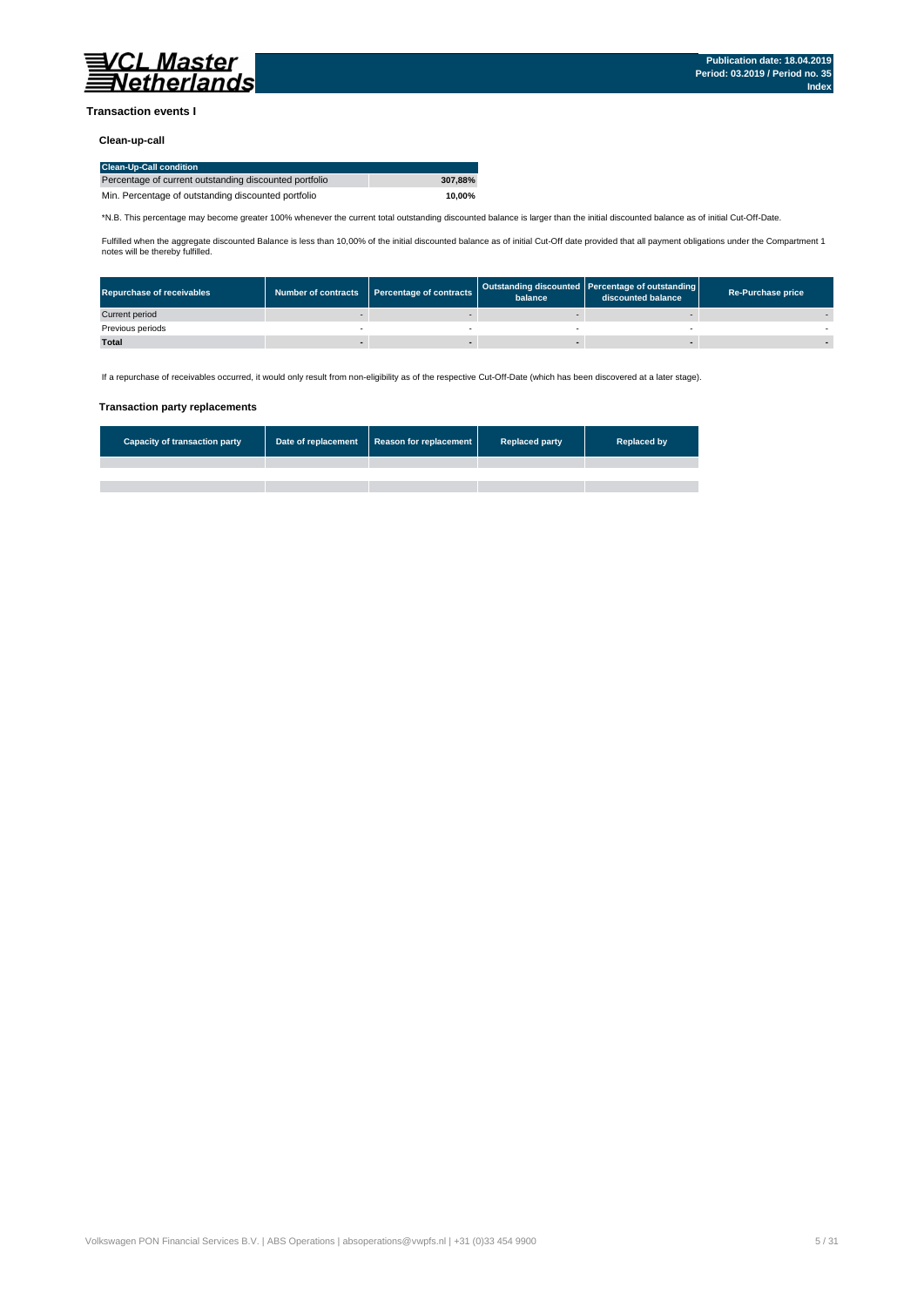

#### **Transaction events I**

#### **Clean-up-call**

| <b>Clean-Up-Call condition</b>                         |         |
|--------------------------------------------------------|---------|
| Percentage of current outstanding discounted portfolio | 307.88% |
| Min. Percentage of outstanding discounted portfolio    | 10.00%  |

\*N.B. This percentage may become greater 100% whenever the current total outstanding discounted balance is larger than the initial discounted balance as of initial Cut-Off-Date.

Fulfilled when the aggregate discounted Balance is less than 10,00% of the initial discounted balance as of initial Cut-Off date provided that all payment obligations under the Compartment 1 notes will be thereby fulfilled.

| <b>Repurchase of receivables</b> | Number of contracts Percentage of contracts | balance | Outstanding discounted Percentage of outstanding<br>discounted balance | <b>Re-Purchase price</b> |
|----------------------------------|---------------------------------------------|---------|------------------------------------------------------------------------|--------------------------|
| Current period                   |                                             |         |                                                                        |                          |
| Previous periods                 |                                             |         |                                                                        |                          |
| <b>Total</b>                     |                                             |         |                                                                        |                          |

If a repurchase of receivables occurred, it would only result from non-eligibility as of the respective Cut-Off-Date (which has been discovered at a later stage).

#### **Transaction party replacements**

| <b>Capacity of transaction party</b> | Date of replacement Reason for replacement | <b>Replaced party</b> | <b>Replaced by</b> |
|--------------------------------------|--------------------------------------------|-----------------------|--------------------|
|                                      |                                            |                       |                    |
|                                      |                                            |                       |                    |
|                                      |                                            |                       |                    |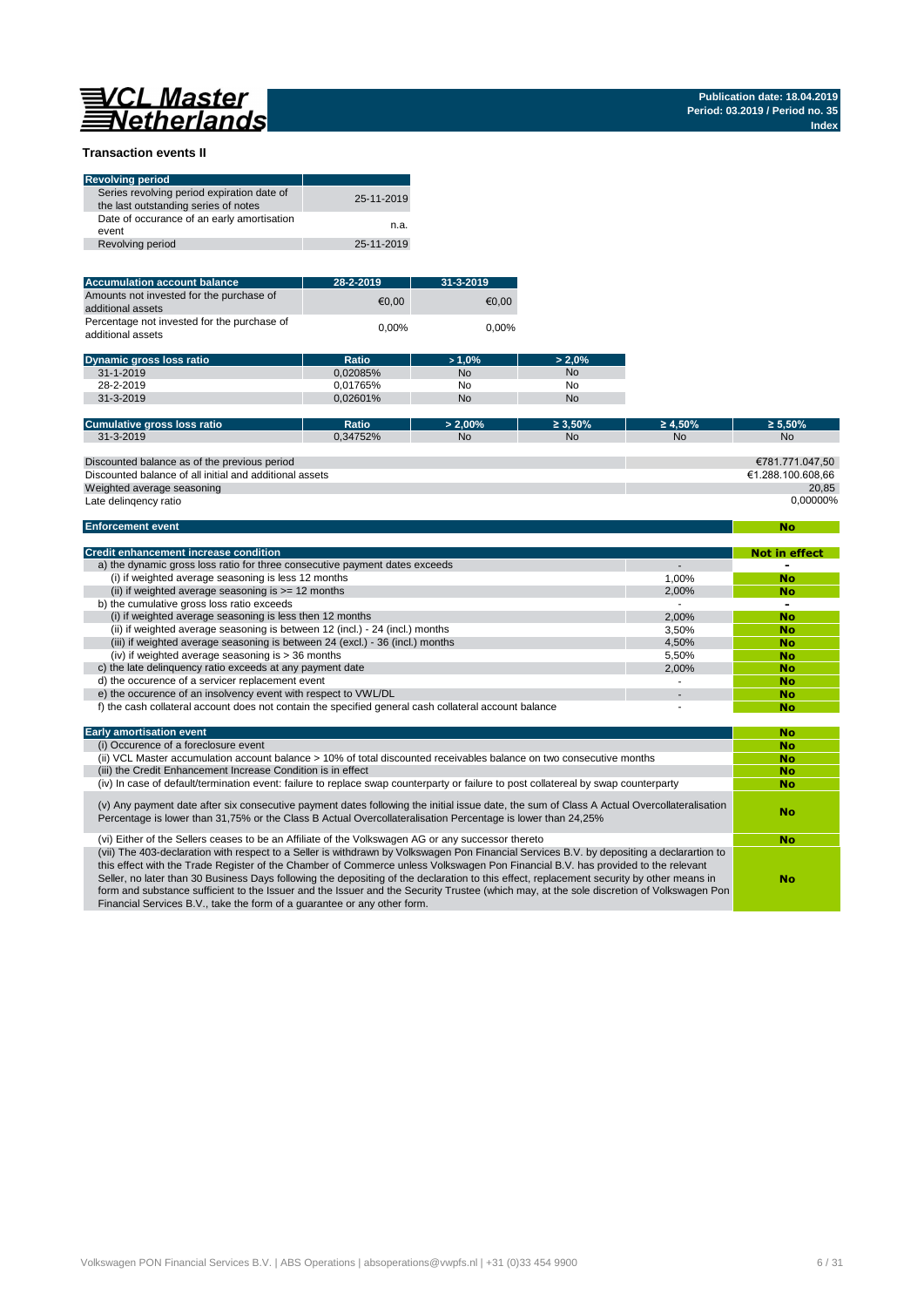**No**

#### **Transaction events II**

| <b>Revolving period</b>                                                            |            |
|------------------------------------------------------------------------------------|------------|
| Series revolving period expiration date of<br>the last outstanding series of notes | 25-11-2019 |
| Date of occurance of an early amortisation<br>event                                | n.a.       |
| Revolving period                                                                   | 25-11-2019 |

| <b>Accumulation account balance</b>                              | 28-2-2019 | $31 - 3 - 2019$ |
|------------------------------------------------------------------|-----------|-----------------|
| Amounts not invested for the purchase of<br>additional assets    | €0.00     | €0.00           |
| Percentage not invested for the purchase of<br>additional assets | $0.00\%$  | $0.00\%$        |

| <b>Dynamic gross loss ratio</b> | Ratio    | $>1.0\%$       | $> 2.0\%$ |
|---------------------------------|----------|----------------|-----------|
| $31 - 1 - 2019$                 | 0.02085% | <b>No</b>      | <b>No</b> |
| 28-2-2019                       | 0.01765% | N <sub>0</sub> | No        |
| 31-3-2019                       | 0.02601% | <b>No</b>      | <b>No</b> |

| Cumulative gross loss ratio                             | Ratio    | $> 2.00\%$ | $\geq 3.50\%$ | $\geq 4.50\%$ | $\geq 5.50\%$     |
|---------------------------------------------------------|----------|------------|---------------|---------------|-------------------|
| 31-3-2019                                               | 0.34752% | <b>No</b>  | <b>No</b>     | <b>No</b>     | <b>No</b>         |
|                                                         |          |            |               |               |                   |
| Discounted balance as of the previous period            |          |            |               |               | €781.771.047.50   |
| Discounted balance of all initial and additional assets |          |            |               |               | €1.288.100.608.66 |
| Weighted average seasoning                              |          |            |               |               | 20.85             |
| Late delingency ratio                                   |          |            |               |               | 0.00000%          |

#### **Enforcement event**

| <b>Credit enhancement increase condition</b>                                                          |       | Not in effect |
|-------------------------------------------------------------------------------------------------------|-------|---------------|
| a) the dynamic gross loss ratio for three consecutive payment dates exceeds                           |       |               |
| (i) if weighted average seasoning is less 12 months                                                   | 1.00% | <b>No</b>     |
| (ii) if weighted average seasoning is $\geq$ = 12 months                                              | 2.00% | No            |
| b) the cumulative gross loss ratio exceeds                                                            |       |               |
| (i) if weighted average seasoning is less then 12 months                                              | 2.00% | <b>No</b>     |
| (ii) if weighted average seasoning is between 12 (incl.) - 24 (incl.) months                          | 3.50% | No            |
| (iii) if weighted average seasoning is between 24 (excl.) - 36 (incl.) months                         | 4.50% | No            |
| (iv) if weighted average seasoning is $>$ 36 months                                                   | 5.50% | No            |
| c) the late delinguency ratio exceeds at any payment date                                             | 2.00% | No            |
| d) the occurence of a servicer replacement event                                                      |       | No            |
| e) the occurence of an insolvency event with respect to VWL/DL                                        |       | No            |
| f) the cash collateral account does not contain the specified general cash collateral account balance |       | No            |

| <b>Early amortisation event</b>                                                                                                                                                                                                                                                                                                                                                                                                                                                                                                                                                                                                                    | No        |
|----------------------------------------------------------------------------------------------------------------------------------------------------------------------------------------------------------------------------------------------------------------------------------------------------------------------------------------------------------------------------------------------------------------------------------------------------------------------------------------------------------------------------------------------------------------------------------------------------------------------------------------------------|-----------|
| (i) Occurence of a foreclosure event                                                                                                                                                                                                                                                                                                                                                                                                                                                                                                                                                                                                               | <b>No</b> |
| (ii) VCL Master accumulation account balance > 10% of total discounted receivables balance on two consecutive months                                                                                                                                                                                                                                                                                                                                                                                                                                                                                                                               | <b>No</b> |
| (iii) the Credit Enhancement Increase Condition is in effect                                                                                                                                                                                                                                                                                                                                                                                                                                                                                                                                                                                       | <b>No</b> |
| (iv) In case of default/termination event: failure to replace swap counterparty or failure to post collatereal by swap counterparty                                                                                                                                                                                                                                                                                                                                                                                                                                                                                                                | <b>No</b> |
| (v) Any payment date after six consecutive payment dates following the initial issue date, the sum of Class A Actual Overcollateralisation<br>Percentage is lower than 31,75% or the Class B Actual Overcollateralisation Percentage is lower than 24,25%                                                                                                                                                                                                                                                                                                                                                                                          | No        |
| (vi) Either of the Sellers ceases to be an Affiliate of the Volkswagen AG or any successor thereto                                                                                                                                                                                                                                                                                                                                                                                                                                                                                                                                                 | <b>No</b> |
| (vii) The 403-declaration with respect to a Seller is withdrawn by Volkswagen Pon Financial Services B.V. by depositing a declarartion to<br>this effect with the Trade Register of the Chamber of Commerce unless Volkswagen Pon Financial B.V. has provided to the relevant<br>Seller, no later than 30 Business Days following the depositing of the declaration to this effect, replacement security by other means in<br>form and substance sufficient to the Issuer and the Issuer and the Security Trustee (which may, at the sole discretion of Volkswagen Pon<br>Financial Services B.V., take the form of a quarantee or any other form. | No        |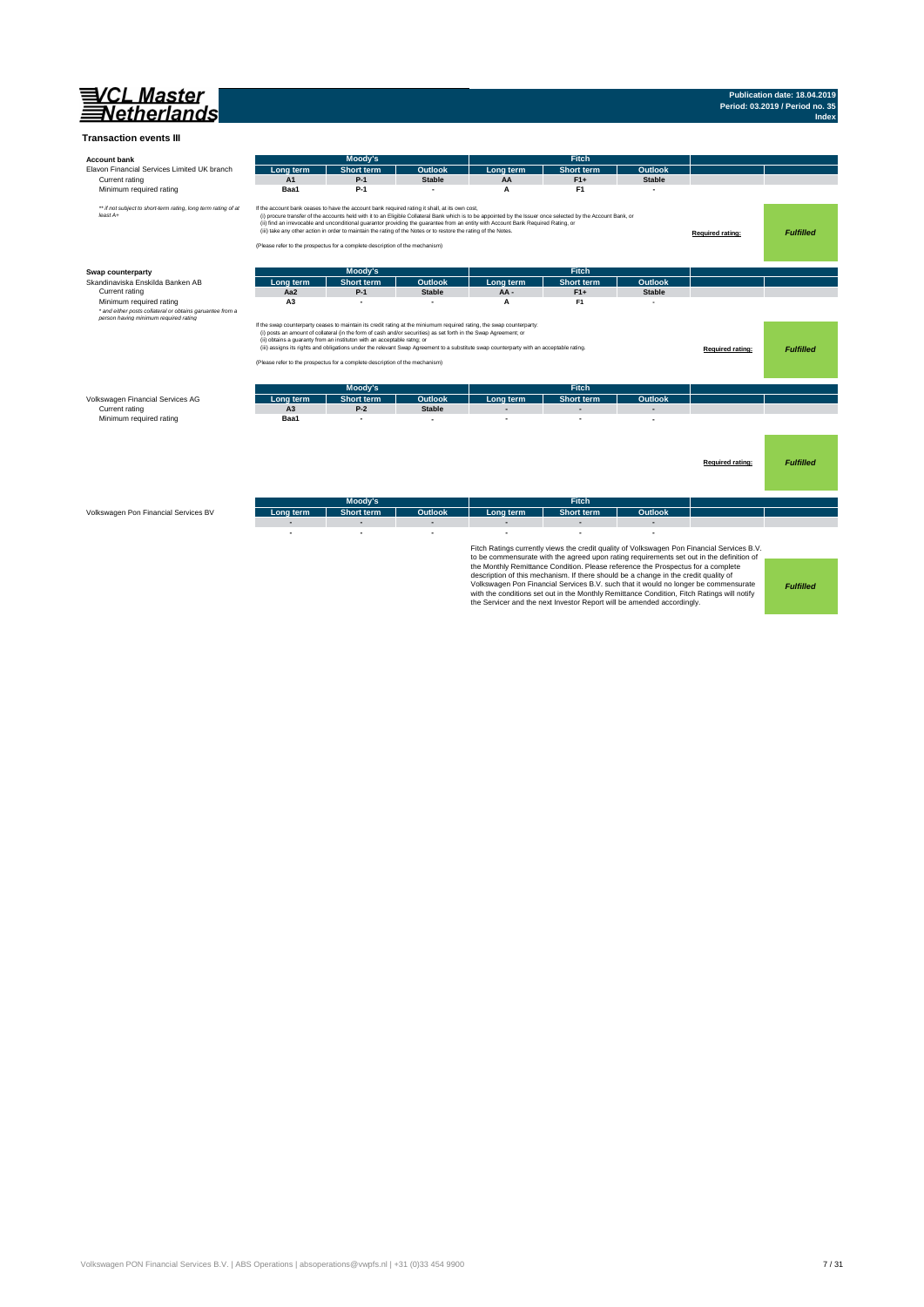

## **Publication date: 18.04.2019 Period: 03.2019 / Period no. 35 Index**

| <b>Account bank</b>                                                        |                | Moody's                                                                                                                                                                                                                                                                                           |               |                                                                                                                                                                                                                                                                                                    | Fitch                                                                                                                                                                                                                                                                                                                                           |                |                                                                                                                                                                                                                                                                               |                  |
|----------------------------------------------------------------------------|----------------|---------------------------------------------------------------------------------------------------------------------------------------------------------------------------------------------------------------------------------------------------------------------------------------------------|---------------|----------------------------------------------------------------------------------------------------------------------------------------------------------------------------------------------------------------------------------------------------------------------------------------------------|-------------------------------------------------------------------------------------------------------------------------------------------------------------------------------------------------------------------------------------------------------------------------------------------------------------------------------------------------|----------------|-------------------------------------------------------------------------------------------------------------------------------------------------------------------------------------------------------------------------------------------------------------------------------|------------------|
| Elavon Financial Services Limited UK branch                                | Lona term      | <b>Short term</b>                                                                                                                                                                                                                                                                                 | Outlook       | Long term                                                                                                                                                                                                                                                                                          | <b>Short term</b>                                                                                                                                                                                                                                                                                                                               | <b>Outlook</b> |                                                                                                                                                                                                                                                                               |                  |
| Current rating                                                             | A1             | $P-1$                                                                                                                                                                                                                                                                                             | <b>Stable</b> | AA                                                                                                                                                                                                                                                                                                 | $F1+$                                                                                                                                                                                                                                                                                                                                           | <b>Stable</b>  |                                                                                                                                                                                                                                                                               |                  |
| Minimum required rating                                                    | Baa1           | $P-1$                                                                                                                                                                                                                                                                                             |               | A                                                                                                                                                                                                                                                                                                  | F <sub>1</sub>                                                                                                                                                                                                                                                                                                                                  |                |                                                                                                                                                                                                                                                                               |                  |
| ** if not subject to short-term rating, long term rating of at<br>least A+ |                | If the account bank ceases to have the account bank required rating it shall, at its own cost,<br>(iii) take any other action in order to maintain the rating of the Notes or to restore the rating of the Notes.<br>(Please refer to the prospectus for a complete description of the mechanism) |               | (i) procure transfer of the accounts held with it to an Eligible Collateral Bank which is to be appointed by the Issuer once selected by the Account Bank, or<br>(ii) find an irrevocable and unconditional guarantor providing the guarantee from an entity with Account Bank Required Rating, or |                                                                                                                                                                                                                                                                                                                                                 |                | Required rating:                                                                                                                                                                                                                                                              | <b>Fulfilled</b> |
| Swap counterparty                                                          |                | Moody's                                                                                                                                                                                                                                                                                           |               |                                                                                                                                                                                                                                                                                                    | <b>Fitch</b>                                                                                                                                                                                                                                                                                                                                    |                |                                                                                                                                                                                                                                                                               |                  |
| Skandinaviska Enskilda Banken AB                                           | Lona term      | <b>Short term</b>                                                                                                                                                                                                                                                                                 | Outlook       | Lona term                                                                                                                                                                                                                                                                                          | <b>Short term</b>                                                                                                                                                                                                                                                                                                                               | Outlook        |                                                                                                                                                                                                                                                                               |                  |
| Current rating                                                             | Aa2            | $P-1$                                                                                                                                                                                                                                                                                             | <b>Stable</b> | AA-                                                                                                                                                                                                                                                                                                | $F1+$                                                                                                                                                                                                                                                                                                                                           | <b>Stable</b>  |                                                                                                                                                                                                                                                                               |                  |
| Minimum required rating                                                    | A <sub>3</sub> |                                                                                                                                                                                                                                                                                                   |               | A                                                                                                                                                                                                                                                                                                  | F <sub>1</sub>                                                                                                                                                                                                                                                                                                                                  |                |                                                                                                                                                                                                                                                                               |                  |
| * and either posts collateral or obtains garuantee from a                  |                |                                                                                                                                                                                                                                                                                                   |               |                                                                                                                                                                                                                                                                                                    |                                                                                                                                                                                                                                                                                                                                                 |                |                                                                                                                                                                                                                                                                               |                  |
|                                                                            |                | (i) posts an amount of collateral (in the form of cash and/or securities) as set forth in the Swap Agreement; or<br>(ii) obtains a guaranty from an instituton with an acceptable ratng; or<br>(Please refer to the prospectus for a complete description of the mechanism)                       |               | If the swap counterparty ceases to maintain its credit rating at the miniumum required rating, the swap counterparty:<br>(iii) assigns its rights and obligations under the relevant Swap Agreement to a substitute swap counterparty with an acceptable rating.                                   |                                                                                                                                                                                                                                                                                                                                                 |                | Required rating:                                                                                                                                                                                                                                                              | <b>Fulfilled</b> |
|                                                                            |                | Moody's                                                                                                                                                                                                                                                                                           |               |                                                                                                                                                                                                                                                                                                    | <b>Fitch</b>                                                                                                                                                                                                                                                                                                                                    |                |                                                                                                                                                                                                                                                                               |                  |
| Volkswagen Financial Services AG                                           | Lona term      | <b>Short term</b>                                                                                                                                                                                                                                                                                 | Outlook       | Long term                                                                                                                                                                                                                                                                                          | <b>Short term</b>                                                                                                                                                                                                                                                                                                                               | Outlook        |                                                                                                                                                                                                                                                                               |                  |
| Current rating                                                             | A <sub>3</sub> | $P-2$                                                                                                                                                                                                                                                                                             | <b>Stable</b> |                                                                                                                                                                                                                                                                                                    |                                                                                                                                                                                                                                                                                                                                                 |                |                                                                                                                                                                                                                                                                               |                  |
| Minimum required rating                                                    | Baa1           | ٠                                                                                                                                                                                                                                                                                                 |               |                                                                                                                                                                                                                                                                                                    |                                                                                                                                                                                                                                                                                                                                                 |                |                                                                                                                                                                                                                                                                               |                  |
|                                                                            |                |                                                                                                                                                                                                                                                                                                   |               |                                                                                                                                                                                                                                                                                                    |                                                                                                                                                                                                                                                                                                                                                 |                | Required rating:                                                                                                                                                                                                                                                              | <b>Fulfilled</b> |
|                                                                            |                | Moody's                                                                                                                                                                                                                                                                                           |               |                                                                                                                                                                                                                                                                                                    | <b>Fitch</b>                                                                                                                                                                                                                                                                                                                                    |                |                                                                                                                                                                                                                                                                               |                  |
| Volkswagen Pon Financial Services BV                                       | Lona term      | <b>Short term</b>                                                                                                                                                                                                                                                                                 | Outlook       | Long term                                                                                                                                                                                                                                                                                          | <b>Short term</b>                                                                                                                                                                                                                                                                                                                               | Outlook        |                                                                                                                                                                                                                                                                               |                  |
|                                                                            |                | L.                                                                                                                                                                                                                                                                                                |               |                                                                                                                                                                                                                                                                                                    |                                                                                                                                                                                                                                                                                                                                                 |                |                                                                                                                                                                                                                                                                               |                  |
|                                                                            |                |                                                                                                                                                                                                                                                                                                   |               |                                                                                                                                                                                                                                                                                                    | the Monthly Remittance Condition. Please reference the Prospectus for a complete<br>description of this mechanism. If there should be a change in the credit quality of<br>with the conditions set out in the Monthly Remittance Condition, Fitch Ratings will notify<br>the Servicer and the next Investor Report will be amended accordingly. |                | Fitch Ratings currently views the credit quality of Volkswagen Pon Financial Services B.V.<br>to be commensurate with the agreed upon rating requirements set out in the definition of<br>Volkswagen Pon Financial Services B.V. such that it would no longer be commensurate | <b>Fulfilled</b> |

Volkswagen PON Financial Services B.V. | ABS Operations | absoperations@vwpfs.nl | +31 (0)33 454 9900 7 / 31 / 31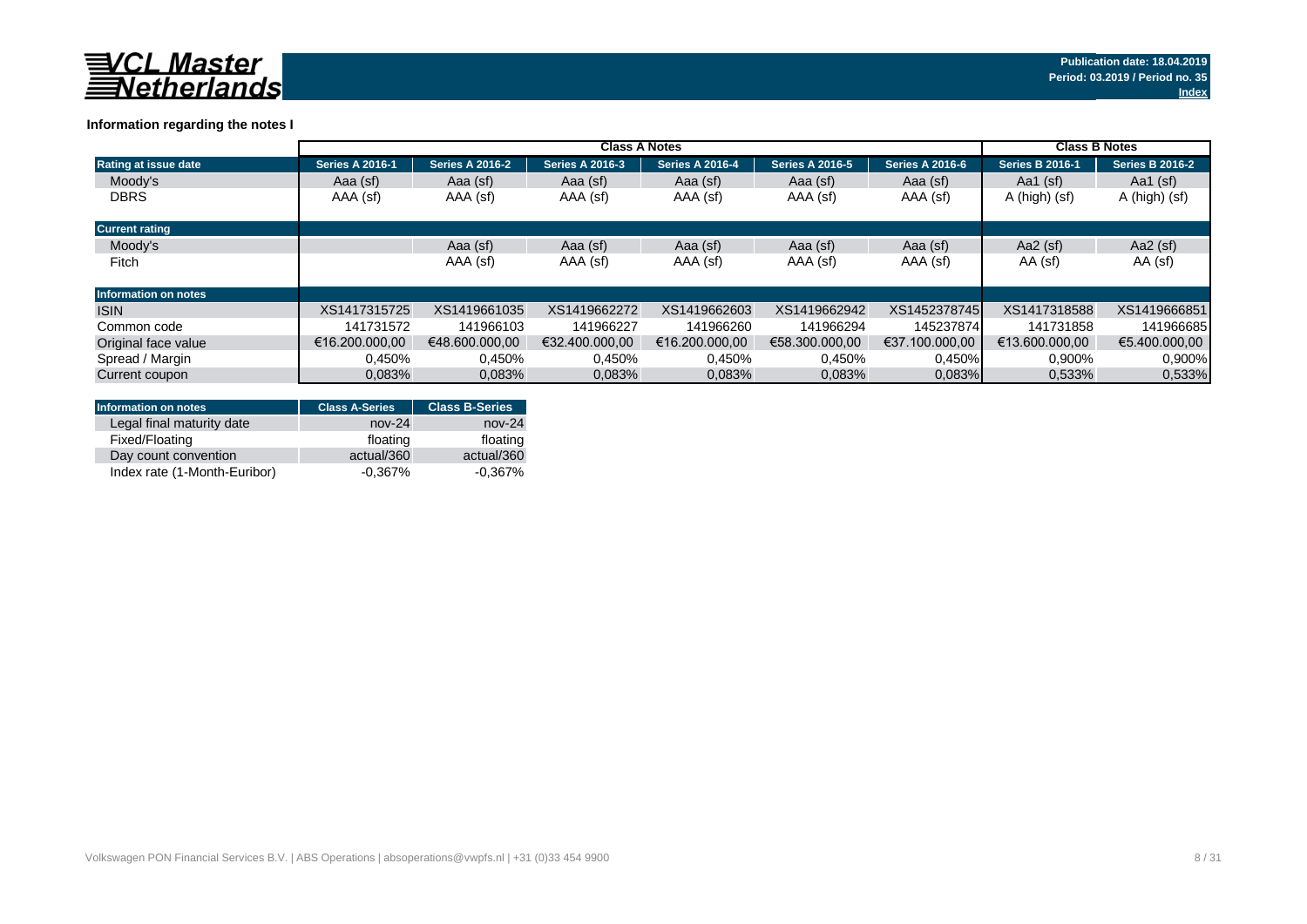

## **Information regarding the notes I**

|                             | <b>Class A Notes</b>   |                        |                        |                        |                        |                        | <b>Class B Notes</b>   |                        |
|-----------------------------|------------------------|------------------------|------------------------|------------------------|------------------------|------------------------|------------------------|------------------------|
| Rating at issue date        | <b>Series A 2016-1</b> | <b>Series A 2016-2</b> | <b>Series A 2016-3</b> | <b>Series A 2016-4</b> | <b>Series A 2016-5</b> | <b>Series A 2016-6</b> | <b>Series B 2016-1</b> | <b>Series B 2016-2</b> |
| Moody's                     | Aaa (sf)               | Aaa (sf)               | Aaa (sf)               | Aaa (sf)               | Aaa (sf)               | Aaa (sf)               | Aa1 $(sf)$             | Aa1 $(sf)$             |
| <b>DBRS</b>                 | AAA (sf)               | AAA (sf)               | AAA (sf)               | AAA (sf)               | AAA (sf)               | AAA (sf)               | A (high) (sf)          | A (high) (sf)          |
| <b>Current rating</b>       |                        |                        |                        |                        |                        |                        |                        |                        |
| Moody's                     |                        | Aaa (sf)               | Aaa (sf)               | Aaa (sf)               | Aaa (sf)               | Aaa (sf)               | Aa2 $(sf)$             | Aa2 $(sf)$             |
| Fitch                       |                        | AAA (sf)               | AAA (sf)               | AAA (sf)               | AAA (sf)               | AAA (sf)               | AA (sf)                | AA (sf)                |
| <b>Information on notes</b> |                        |                        |                        |                        |                        |                        |                        |                        |
| <b>ISIN</b>                 | XS1417315725           | XS1419661035           | XS1419662272           | XS1419662603           | XS1419662942           | XS1452378745           | XS1417318588           | XS1419666851           |
| Common code                 | 141731572              | 141966103              | 141966227              | 141966260              | 141966294              | 145237874              | 141731858              | 141966685              |
| Original face value         | €16.200.000.00         | €48,600,000,00         | €32.400.000.00         | €16.200.000.00         | €58.300.000.00         | €37.100.000.00         | €13.600.000.00         | €5.400.000.00          |
| Spread / Margin             | 0.450%                 | 0,450%                 | 0.450%                 | 0.450%                 | 0.450%                 | 0,450%                 | 0,900%                 | 0,900%                 |
| Current coupon              | 0.083%                 | 0,083%                 | 0.083%                 | 0.083%                 | 0.083%                 | $0.083\%$              | 0,533%                 | 0.533%                 |

| <b>Information on notes</b>  | <b>Class A-Series</b> | <b>Class B-Series</b> |
|------------------------------|-----------------------|-----------------------|
| Legal final maturity date    | $nov-24$              | $nov-24$              |
| Fixed/Floating               | floating              | floating              |
| Day count convention         | actual/360            | actual/360            |
| Index rate (1-Month-Euribor) | $-0.367%$             | $-0.367\%$            |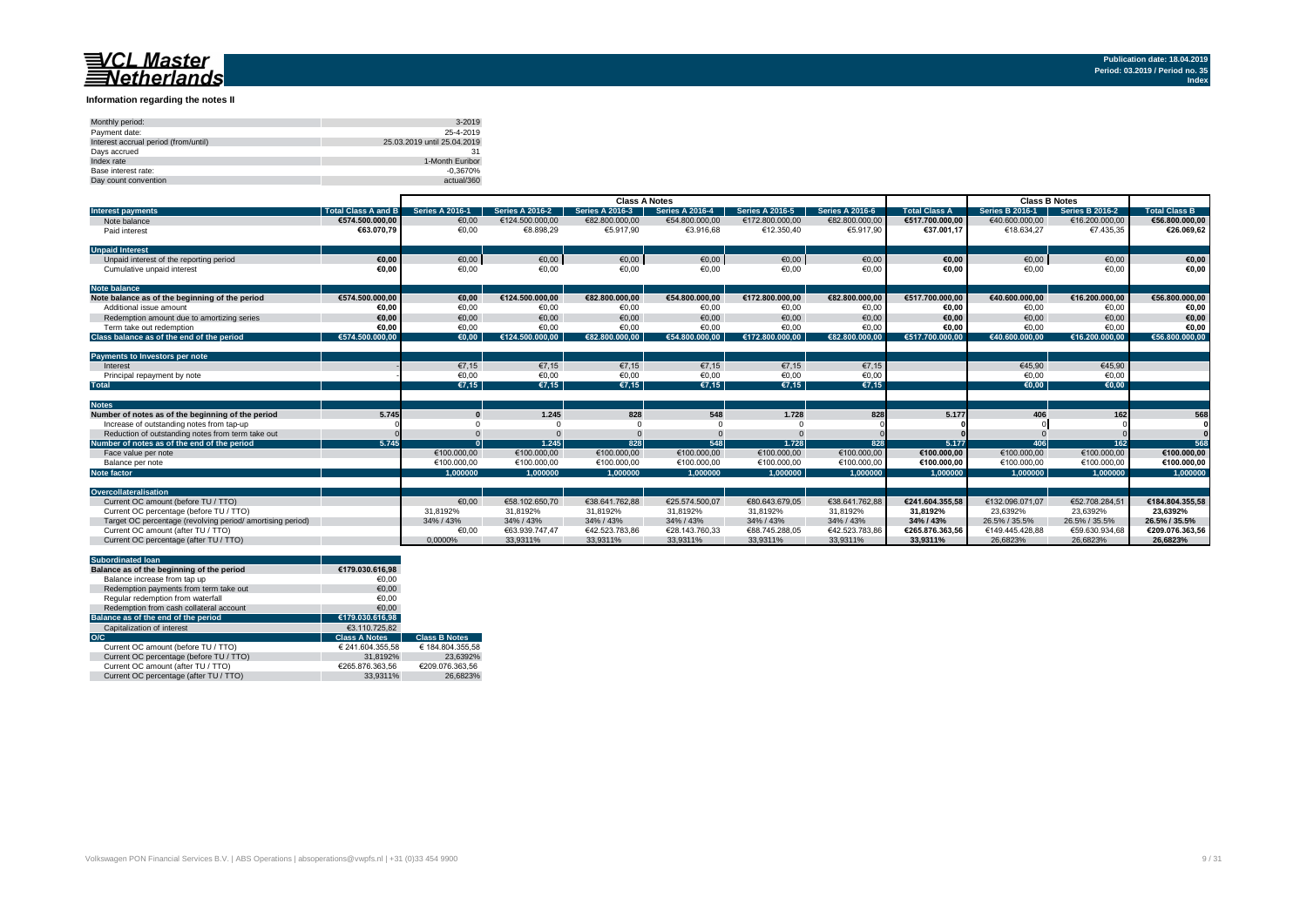#### **Information regarding the notes II**

| Monthly period:                      | 3-2019                      |
|--------------------------------------|-----------------------------|
| Payment date:                        | 25-4-2019                   |
| Interest accrual period (from/until) | 25.03.2019 until 25.04.2019 |
| Davs accrued                         |                             |
| Index rate                           | 1-Month Euribor             |
| Base interest rate:                  | $-0.3670%$                  |
| Day count convention                 | actual/360                  |

|                                                           |                            | <b>Class A Notes</b>   |                        |                        |                        |                        |                        | <b>Class B Notes</b> |                        |                        |                      |
|-----------------------------------------------------------|----------------------------|------------------------|------------------------|------------------------|------------------------|------------------------|------------------------|----------------------|------------------------|------------------------|----------------------|
| <b>Interest payments</b>                                  | <b>Total Class A and B</b> | <b>Series A 2016-1</b> | <b>Series A 2016-2</b> | <b>Series A 2016-3</b> | <b>Series A 2016-4</b> | <b>Series A 2016-5</b> | <b>Series A 2016-6</b> | <b>Total Class A</b> | <b>Series B 2016-1</b> | <b>Series B 2016-2</b> | <b>Total Class B</b> |
| Note balance                                              | €574.500.000.00            | €0,00                  | €124.500.000,00        | €82.800.000,00         | €54.800.000,00         | €172.800.000,00        | €82.800.000,00         | €517.700.000.00      | €40.600.000,00         | €16.200.000,00         | €56.800.000,00       |
| Paid interest                                             | €63.070.79                 | €0,00                  | €8.898,29              | €5.917,90              | €3.916.68              | €12.350,40             | €5.917.90              | €37.001.17           | €18.634.27             | €7.435,35              | €26.069,62           |
| <b>Unpaid Interest</b>                                    |                            |                        |                        |                        |                        |                        |                        |                      |                        |                        |                      |
| Unpaid interest of the reporting period                   | €0.00                      | €0,00                  | €0,00                  | €0,00                  | €0,00                  | €0,00                  | €0,00                  | €0,00                | €0,00                  | €0,00                  | €0,00                |
| Cumulative unpaid interest                                | €0.00                      | €0,00                  | €0,00                  | €0,00                  | €0,00                  | €0,00                  | €0,00                  | €0,00                | €0,00                  | €0,00                  | €0,00                |
| <b>Note balance</b>                                       |                            |                        |                        |                        |                        |                        |                        |                      |                        |                        |                      |
| Note balance as of the beginning of the period            | €574.500.000.00            | €0.00                  | €124.500.000.00        | €82.800.000.00         | €54.800.000.00         | €172.800.000.00        | €82.800.000.00         | €517.700.000.00      | €40.600.000.00         | €16.200.000,00         | €56.800.000.00       |
| Additional issue amount                                   | €0.00                      | €0.00                  | €0,00                  | €0,00                  | €0.00                  | €0,00                  | €0,00                  | €0,00                | €0.00                  | €0,00                  | €0,00                |
| Redemotion amount due to amortizing series                | €0.00                      | €0.00                  | €0.00                  | €0,00                  | €0.00                  | €0.00                  | €0,00                  | €0.00                | €0.00                  | €0.00                  | €0,00                |
| Term take out redemption                                  | €0.00                      | €0.00                  | €0.00                  | €0.00                  | €0.00                  | €0.00                  | €0,00                  | €0,00                | €0.00                  | €0,00                  | €0,00                |
| Class balance as of the end of the period                 | €574.500.000.00            | €0.00                  | €124.500.000.00        | €82.800.000.00         | €54.800.000.00         | €172.800.000.00        | €82.800.000.00         | €517.700.000.00      | €40.600.000.00         | €16.200.000.00         | €56.800.000.00       |
|                                                           |                            |                        |                        |                        |                        |                        |                        |                      |                        |                        |                      |
| Payments to Investors per note                            |                            |                        |                        |                        |                        |                        |                        |                      |                        |                        |                      |
| Interest                                                  |                            | €7,15                  | €7,15                  | €7,15                  | €7,15                  | €7.15                  | €7,15                  |                      | €45.90                 | €45.90                 |                      |
| Principal repayment by note                               |                            | €0,00                  | €0,00                  | €0,00                  | €0,00                  | €0,00                  | €0,00                  |                      | €0,00                  | €0,00                  |                      |
| <b>Total</b>                                              |                            | €7.15                  | €7.15                  | E7.15                  | E7.15                  | €7.15                  | €7,15                  |                      | €0.00                  | €0.00                  |                      |
|                                                           |                            |                        |                        |                        |                        |                        |                        |                      |                        |                        |                      |
| <b>Notes</b>                                              |                            |                        |                        |                        |                        |                        |                        |                      |                        |                        |                      |
| Number of notes as of the beginning of the period         | 5.745                      |                        | 1.245                  | 828                    | 548                    | 1.728                  | 828                    | 5.177                | 406                    | 162                    | 568                  |
| Increase of outstanding notes from tap-up                 |                            |                        |                        |                        |                        |                        |                        |                      |                        |                        |                      |
| Reduction of outstanding notes from term take out         |                            |                        |                        |                        |                        |                        |                        |                      |                        |                        |                      |
| Number of notes as of the end of the period               | 5.745                      |                        | 1.245                  | 828                    | 548                    | 1.728                  | 828                    | 5.177                | <b>406</b>             | 162                    | 568                  |
| Face value per note                                       |                            | €100.000,00            | €100.000,00            | €100.000,00            | €100.000,00            | €100.000,00            | €100.000,00            | €100.000,00          | €100.000,00            | €100.000,00            | €100.000,00          |
| Balance per note                                          |                            | €100.000.00            | €100.000.00            | €100.000.00            | €100.000.00            | €100.000.00            | €100.000.00            | €100.000.00          | €100.000.00            | €100.000.00            | €100.000,00          |
| <b>Note factor</b>                                        |                            | 1.000000               | 1.000000               | 1.000000               | 1.000000               | 1.000000               | 1.000000               | 1.000000             | 1.000000               | 1.000000               | 1.000000             |
|                                                           |                            |                        |                        |                        |                        |                        |                        |                      |                        |                        |                      |
| Overcollateralisation                                     |                            |                        |                        |                        |                        |                        |                        |                      |                        |                        |                      |
| Current OC amount (before TU / TTO)                       |                            | €0.00                  | €58.102.650.70         | €38.641.762.88         | €25.574.500.07         | €80.643.679.05         | €38.641.762.88         | €241.604.355.58      | €132.096.071.07        | €52.708.284.51         | €184.804.355.58      |
| Current OC percentage (before TU / TTO)                   |                            | 31.8192%               | 31.8192%               | 31.8192%               | 31.8192%               | 31.8192%               | 31.8192%               | 31.8192%             | 23.6392%               | 23.6392%               | 23.6392%             |
| Target OC percentage (revolving period/amortising period) |                            | 34% / 43%              | 34% / 43%              | 34% / 43%              | 34% / 43%              | 34% / 43%              | 34% / 43%              | 34% / 43%            | 26.5% / 35.5%          | 26.5% / 35.5%          | 26.5% / 35.5%        |
| Current OC amount (after TU / TTO)                        |                            | €0,00                  | €63.939.747,47         | €42.523.783.86         | €28.143.760.33         | €88.745.288.05         | €42.523.783.86         | €265.876.363.56      | €149.445.428.88        | €59.630.934.68         | €209.076.363,56      |
| Current OC percentage (after TU / TTO)                    |                            | 0.0000%                | 33.9311%               | 33,9311%               | 33.9311%               | 33.9311%               | 33,9311%               | 33.9311%             | 26.6823%               | 26.6823%               | 26.6823%             |

| <b>Subordinated loan</b>                  |                      |                      |
|-------------------------------------------|----------------------|----------------------|
| Balance as of the beginning of the period | €179.030.616.98      |                      |
| Balance increase from tap up              | €0.00                |                      |
| Redemption payments from term take out    | €0.00                |                      |
| Regular redemption from waterfall         | €0.00                |                      |
| Redemption from cash collateral account   | €0.00                |                      |
| Balance as of the end of the period       | €179.030.616.98      |                      |
| Capitalization of interest                | €3.110.725.82        |                      |
| O/C                                       | <b>Class A Notes</b> | <b>Class B Notes</b> |
| Current OC amount (before TU / TTO)       | € 241.604.355.58     | € 184.804.355.58     |
| Current OC percentage (before TU / TTO)   | 31.8192%             | 23.6392%             |
| Current OC amount (after TU / TTO)        | €265.876.363.56      | €209.076.363.56      |
| Current OC percentage (after TU / TTO)    | 33.9311%             | 26.6823%             |
|                                           |                      |                      |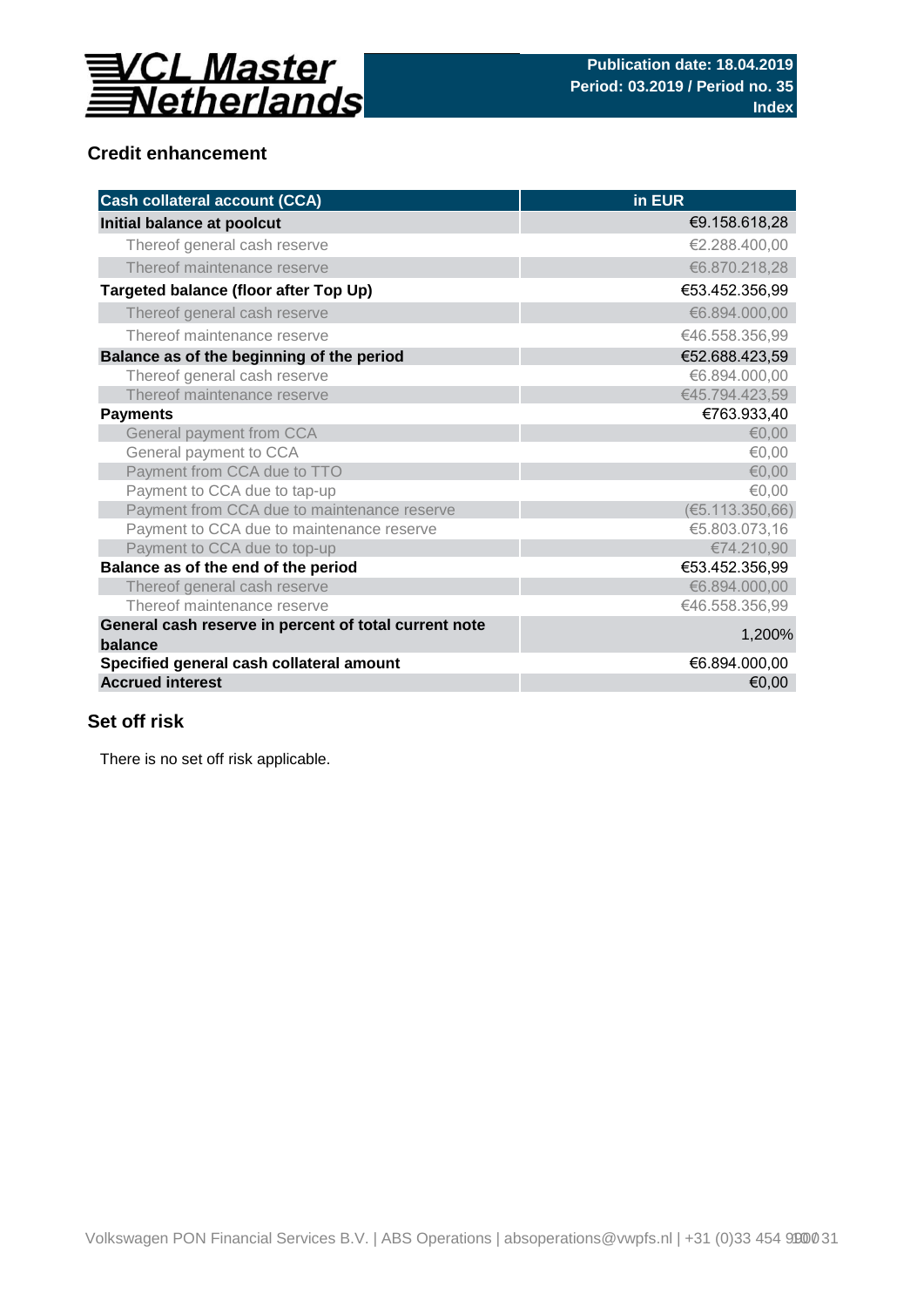

## **Credit enhancement**

| <b>Cash collateral account (CCA)</b>                             | in EUR          |
|------------------------------------------------------------------|-----------------|
| Initial balance at poolcut                                       | €9.158.618,28   |
| Thereof general cash reserve                                     | €2.288.400,00   |
| Thereof maintenance reserve                                      | €6.870.218,28   |
| Targeted balance (floor after Top Up)                            | €53.452.356,99  |
| Thereof general cash reserve                                     | €6.894.000,00   |
| Thereof maintenance reserve                                      | €46.558.356,99  |
| Balance as of the beginning of the period                        | €52.688.423,59  |
| Thereof general cash reserve                                     | €6.894.000,00   |
| Thereof maintenance reserve                                      | €45.794.423,59  |
| <b>Payments</b>                                                  | €763.933,40     |
| General payment from CCA                                         | €0,00           |
| General payment to CCA                                           | €0,00           |
| Payment from CCA due to TTO                                      | € $0,00$        |
| Payment to CCA due to tap-up                                     | €0,00           |
| Payment from CCA due to maintenance reserve                      | (65.113.350,66) |
| Payment to CCA due to maintenance reserve                        | €5.803.073,16   |
| Payment to CCA due to top-up                                     | €74.210,90      |
| Balance as of the end of the period                              | €53.452.356,99  |
| Thereof general cash reserve                                     | €6.894.000,00   |
| Thereof maintenance reserve                                      | €46.558.356,99  |
| General cash reserve in percent of total current note<br>balance | 1,200%          |
| Specified general cash collateral amount                         | €6.894.000,00   |
| <b>Accrued interest</b>                                          | €0,00           |

## **Set off risk**

There is no set off risk applicable.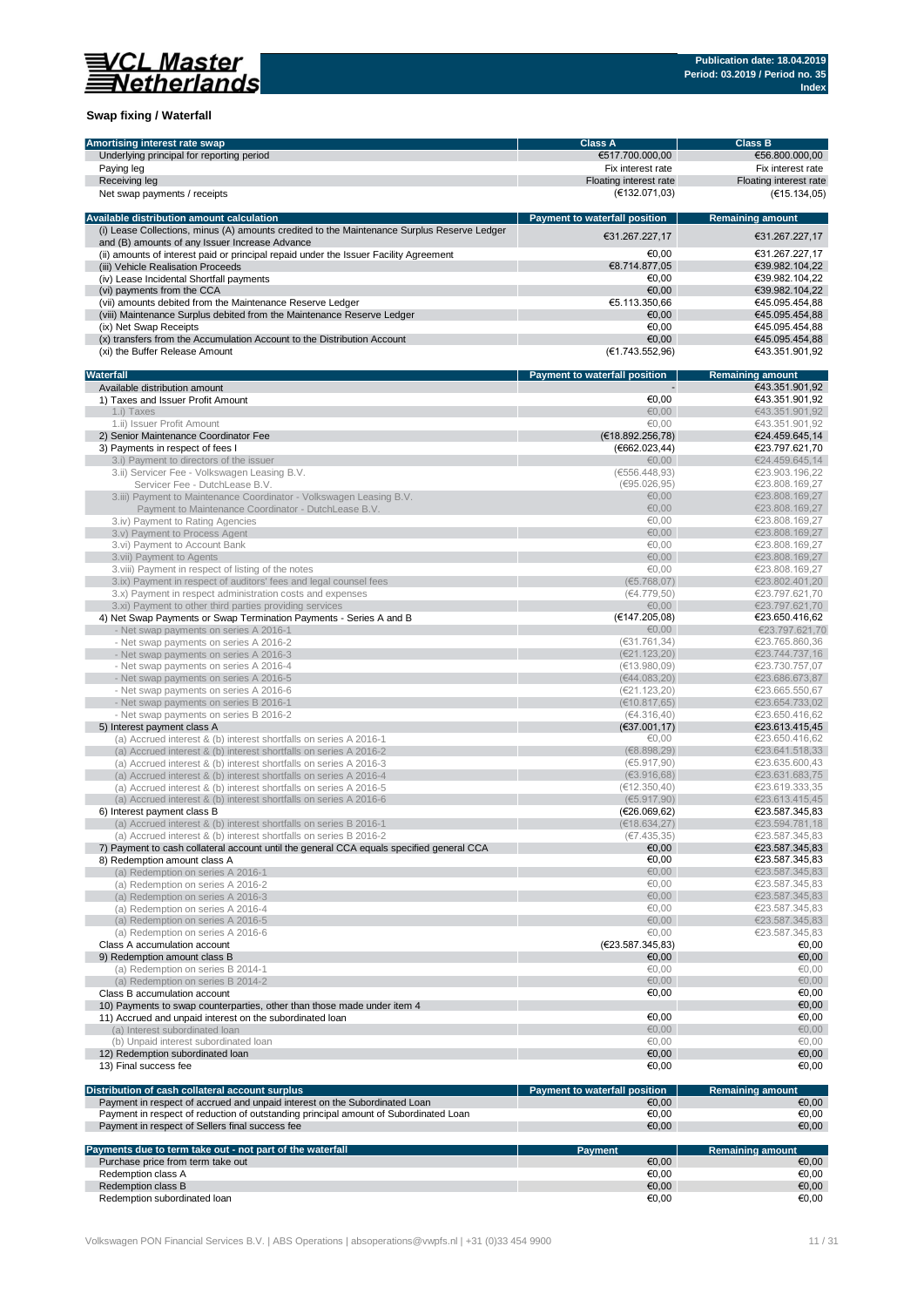

## **Swap fixing / Waterfall**

| Amortising interest rate swap                                                                  | <b>Class A</b>                       | <b>Class B</b>                   |
|------------------------------------------------------------------------------------------------|--------------------------------------|----------------------------------|
| Underlying principal for reporting period                                                      | €517.700.000,00                      | €56.800.000,00                   |
| Paying leg                                                                                     | Fix interest rate                    | Fix interest rate                |
| Receiving leg                                                                                  | Floating interest rate               | Floating interest rate           |
| Net swap payments / receipts                                                                   | (E132.071,03)                        | (€15.134,05)                     |
|                                                                                                |                                      |                                  |
| Available distribution amount calculation                                                      | <b>Payment to waterfall position</b> | <b>Remaining amount</b>          |
| (i) Lease Collections, minus (A) amounts credited to the Maintenance Surplus Reserve Ledger    |                                      |                                  |
|                                                                                                | €31.267.227,17                       | €31.267.227,17                   |
| and (B) amounts of any Issuer Increase Advance                                                 |                                      |                                  |
| (ii) amounts of interest paid or principal repaid under the Issuer Facility Agreement          | €0,00                                | €31.267.227,17                   |
| (iii) Vehicle Realisation Proceeds                                                             | €8.714.877,05                        | €39.982.104,22                   |
| (iv) Lease Incidental Shortfall payments                                                       | €0.00                                | €39.982.104,22                   |
| (vi) payments from the CCA                                                                     | €0.00                                | €39.982.104,22                   |
| (vii) amounts debited from the Maintenance Reserve Ledger                                      | €5.113.350,66                        | €45.095.454.88                   |
| (viii) Maintenance Surplus debited from the Maintenance Reserve Ledger                         | €0,00                                | €45.095.454.88                   |
| (ix) Net Swap Receipts                                                                         | €0.00                                | €45.095.454,88                   |
| (x) transfers from the Accumulation Account to the Distribution Account                        | €0,00                                | €45.095.454,88                   |
| (xi) the Buffer Release Amount                                                                 | (E1.743.552,96)                      | €43.351.901,92                   |
|                                                                                                |                                      |                                  |
| Waterfall                                                                                      | Payment to waterfall position        | <b>Remaining amount</b>          |
| Available distribution amount                                                                  |                                      | €43.351.901,92                   |
| 1) Taxes and Issuer Profit Amount                                                              | €0,00                                | €43.351.901,92                   |
| 1.i) Taxes                                                                                     | €0.00                                | €43.351.901,92                   |
| 1.ii) Issuer Profit Amount                                                                     | €0,00                                | €43.351.901,92                   |
| 2) Senior Maintenance Coordinator Fee                                                          | (E18.892.256,78)                     | €24.459.645,14                   |
|                                                                                                | (6662.023, 44)                       |                                  |
| 3) Payments in respect of fees I                                                               |                                      | €23.797.621,70                   |
| 3.i) Payment to directors of the issuer                                                        | €0,00                                | €24.459.645,14                   |
| 3.ii) Servicer Fee - Volkswagen Leasing B.V.                                                   | (€556.448,93)                        | €23.903.196,22                   |
| Servicer Fee - DutchLease B.V.                                                                 | (695.026, 95)                        | €23.808.169,27                   |
| 3.iii) Payment to Maintenance Coordinator - Volkswagen Leasing B.V.                            | €0,00                                | €23.808.169,27                   |
| Payment to Maintenance Coordinator - DutchLease B.V.                                           | €0,00                                | €23.808.169,27                   |
| 3.iv) Payment to Rating Agencies                                                               | €0.00                                | €23.808.169,27                   |
| 3.v) Payment to Process Agent                                                                  | € $0,00$                             | €23.808.169,27                   |
| 3.vi) Payment to Account Bank                                                                  | €0,00                                | €23.808.169,27                   |
| 3.vii) Payment to Agents                                                                       | €0.00                                | €23.808.169,27                   |
| 3.viii) Payment in respect of listing of the notes                                             | €0.00                                | €23.808.169,27                   |
|                                                                                                | (65.768,07)                          | €23.802.401,20                   |
| 3.ix) Payment in respect of auditors' fees and legal counsel fees                              |                                      |                                  |
| 3.x) Payment in respect administration costs and expenses                                      | (€4.779,50)                          | €23.797.621,70                   |
| 3.xi) Payment to other third parties providing services                                        | €0,00                                | €23.797.621,70                   |
| 4) Net Swap Payments or Swap Termination Payments - Series A and B                             | (€147.205,08)                        | €23.650.416,62                   |
| - Net swap payments on series A 2016-1                                                         | €0,00                                | €23.797.621,70                   |
| - Net swap payments on series A 2016-2                                                         | (631.761.34)                         | €23.765.860,36                   |
| - Net swap payments on series A 2016-3                                                         | (E21.123,20)                         | €23.744.737,16                   |
| - Net swap payments on series A 2016-4                                                         | (E13.980,09)                         | €23.730.757,07                   |
| - Net swap payments on series A 2016-5                                                         | (€44.083,20)                         | €23.686.673,87                   |
| - Net swap payments on series A 2016-6                                                         | (E21.123,20)                         | €23.665.550,67                   |
| - Net swap payments on series B 2016-1                                                         | (E10.817, 65)                        | €23.654.733,02                   |
|                                                                                                | (€4.316,40)                          | €23.650.416,62                   |
| - Net swap payments on series B 2016-2                                                         |                                      |                                  |
| 5) Interest payment class A                                                                    | (€37.001,17)                         | €23.613.415,45                   |
| (a) Accrued interest & (b) interest shortfalls on series A 2016-1                              | €0,00                                | €23.650.416,62                   |
| (a) Accrued interest & (b) interest shortfalls on series A 2016-2                              | (E8.898.29)                          | €23.641.518,33                   |
| (a) Accrued interest & (b) interest shortfalls on series A 2016-3                              | (65.917, 90)                         | €23.635.600,43                   |
| (a) Accrued interest & (b) interest shortfalls on series A 2016-4                              | (E3.916, 68)                         | €23.631.683,75                   |
| (a) Accrued interest & (b) interest shortfalls on series A 2016-5                              | (€12.350,40)                         | €23.619.333,35                   |
| (a) Accrued interest & (b) interest shortfalls on series A 2016-6                              | (65.917, 90)                         | €23.613.415,45                   |
| 6) Interest payment class B                                                                    | (E26.069, 62)                        | €23.587.345,83                   |
| (a) Accrued interest & (b) interest shortfalls on series B 2016-1                              | (E18.634, 27)                        | €23.594.781,18                   |
| (a) Accrued interest & (b) interest shortfalls on series B 2016-2                              | (E7.435,35)                          | €23.587.345,83                   |
| 7) Payment to cash collateral account until the general CCA equals specified general CCA       | €0,00                                | €23.587.345,83                   |
| 8) Redemption amount class A                                                                   | €0,00                                | €23.587.345,83                   |
| (a) Redemption on series A 2016-1                                                              | €0,00                                | €23.587.345,83                   |
| (a) Redemption on series A 2016-2                                                              | €0,00                                | €23.587.345,83                   |
| (a) Redemption on series A 2016-3                                                              | €0,00                                | €23.587.345,83                   |
|                                                                                                | €0,00                                | €23.587.345,83                   |
| (a) Redemption on series A 2016-4                                                              |                                      |                                  |
| (a) Redemption on series A 2016-5                                                              | €0,00                                | €23.587.345,83                   |
| (a) Redemption on series A 2016-6                                                              | €0,00                                | €23.587.345,83                   |
| Class A accumulation account                                                                   | (E23.587.345,83)                     | €0,00                            |
| 9) Redemption amount class B                                                                   | €0,00                                | €0,00                            |
| (a) Redemption on series B 2014-1                                                              | €0,00                                | €0,00                            |
| (a) Redemption on series B 2014-2                                                              | € $0,00$                             | €0,00                            |
| Class B accumulation account                                                                   | €0,00                                | €0,00                            |
| 10) Payments to swap counterparties, other than those made under item 4                        |                                      | €0,00                            |
| 11) Accrued and unpaid interest on the subordinated loan                                       | €0,00                                | €0,00                            |
| (a) Interest subordinated loan                                                                 | €0,00                                | €0,00                            |
| (b) Unpaid interest subordinated loan                                                          | €0,00                                | €0,00                            |
| 12) Redemption subordinated loan                                                               | €0,00                                | €0,00                            |
|                                                                                                | €0,00                                | €0,00                            |
| 13) Final success fee                                                                          |                                      |                                  |
| Distribution of cash collateral account surplus                                                | Payment to waterfall position        | <b>Remaining amount</b>          |
| Payment in respect of accrued and unpaid interest on the Subordinated Loan                     | €0,00                                | €0,00                            |
| Payment in respect of reduction of outstanding principal amount of Subordinated Loan           | €0,00                                |                                  |
|                                                                                                |                                      | €0,00                            |
| Payment in respect of Sellers final success fee                                                | €0,00                                | €0,00                            |
|                                                                                                |                                      |                                  |
| Payments due to term take out - not part of the waterfall<br>Purchase price from term take out | <b>Payment</b><br>€0,00              | <b>Remaining amount</b><br>€0,00 |
|                                                                                                | €0,00                                |                                  |
| Redemption class A                                                                             |                                      | €0,00                            |
| Redemption class B                                                                             | €0,00                                | €0,00                            |
| Redemption subordinated loan                                                                   | €0,00                                | €0,00                            |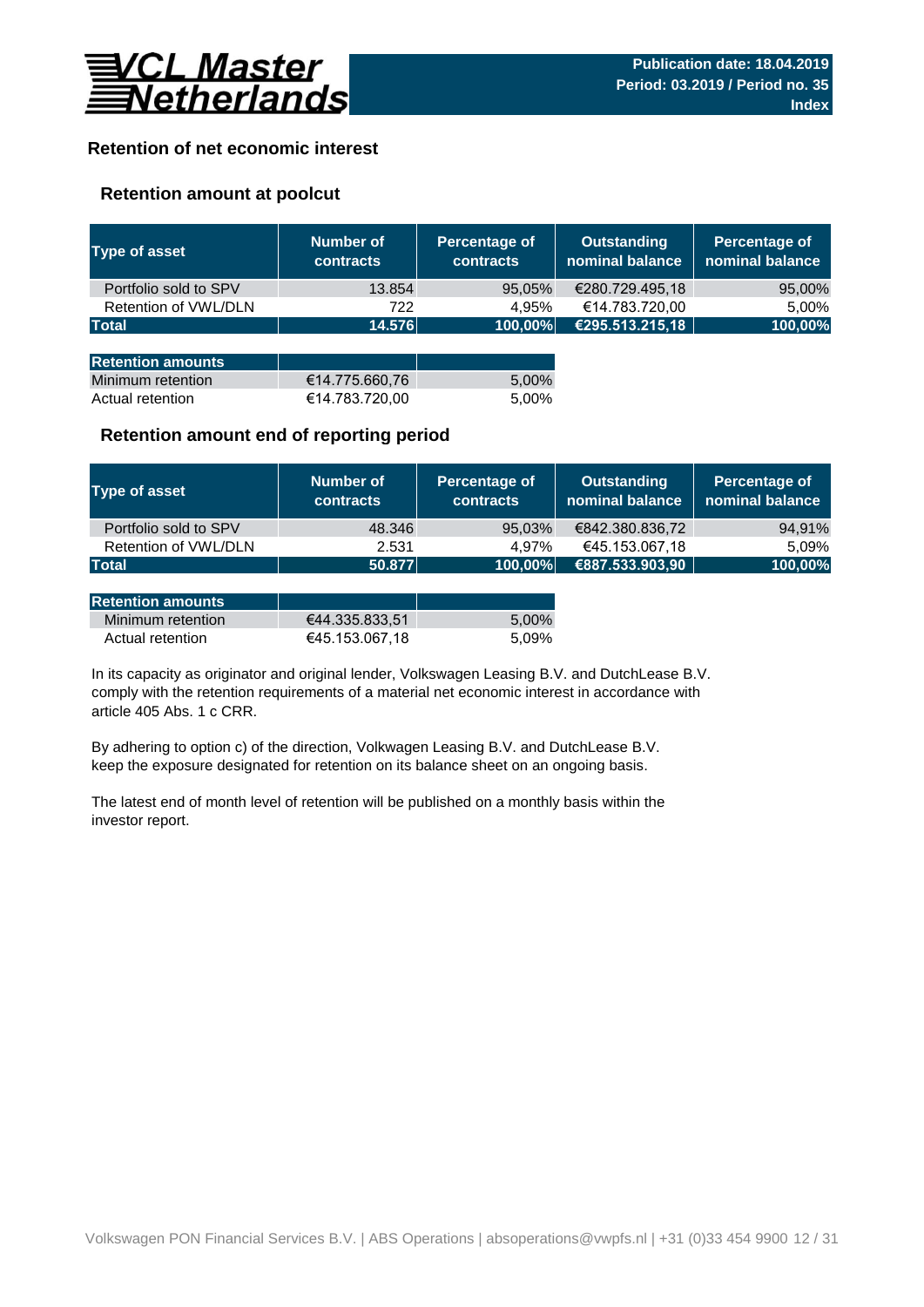

## **Retention of net economic interest**

## **Retention amount at poolcut**

| <b>Type of asset</b>     | <b>Number of</b><br><b>contracts</b> | Percentage of<br><b>contracts</b> | <b>Outstanding</b><br>nominal balance | Percentage of<br>nominal balance |
|--------------------------|--------------------------------------|-----------------------------------|---------------------------------------|----------------------------------|
| Portfolio sold to SPV    | 13.854                               | 95,05%                            | €280.729.495,18                       | 95,00%                           |
| Retention of VWL/DLN     | 722                                  | 4.95%                             | €14.783.720,00                        | 5,00%                            |
| <b>Total</b>             | 14.576                               | 100,00%                           | €295.513.215,18                       | 100,00%                          |
|                          |                                      |                                   |                                       |                                  |
| <b>Retention amounts</b> |                                      |                                   |                                       |                                  |
| Minimum retention        | €14.775.660,76                       | 5,00%                             |                                       |                                  |
| Actual retention         | €14.783.720,00                       | 5.00%                             |                                       |                                  |

## **Retention amount end of reporting period**

| Type of asset         | Number of<br><b>contracts</b> | Percentage of<br><b>contracts</b> | Outstanding<br>nominal balance | Percentage of<br>nominal balance |
|-----------------------|-------------------------------|-----------------------------------|--------------------------------|----------------------------------|
| Portfolio sold to SPV | 48.346                        | 95,03%                            | €842.380.836,72                | 94,91%                           |
| Retention of VWL/DLN  | 2.531                         | 4.97%                             | €45.153.067,18                 | 5.09%                            |
| Total                 | 50.877                        | 100,00%                           | €887.533.903,90                | 100,00%                          |

| <b>Retention amounts</b> |                |       |
|--------------------------|----------------|-------|
| Minimum retention        | €44.335.833.51 | 5.00% |
| Actual retention         | €45.153.067.18 | 5.09% |

article 405 Abs. 1 c CRR. In its capacity as originator and original lender, Volkswagen Leasing B.V. and DutchLease B.V. comply with the retention requirements of a material net economic interest in accordance with

By adhering to option c) of the direction, Volkwagen Leasing B.V. and DutchLease B.V. keep the exposure designated for retention on its balance sheet on an ongoing basis.

The latest end of month level of retention will be published on a monthly basis within the investor report.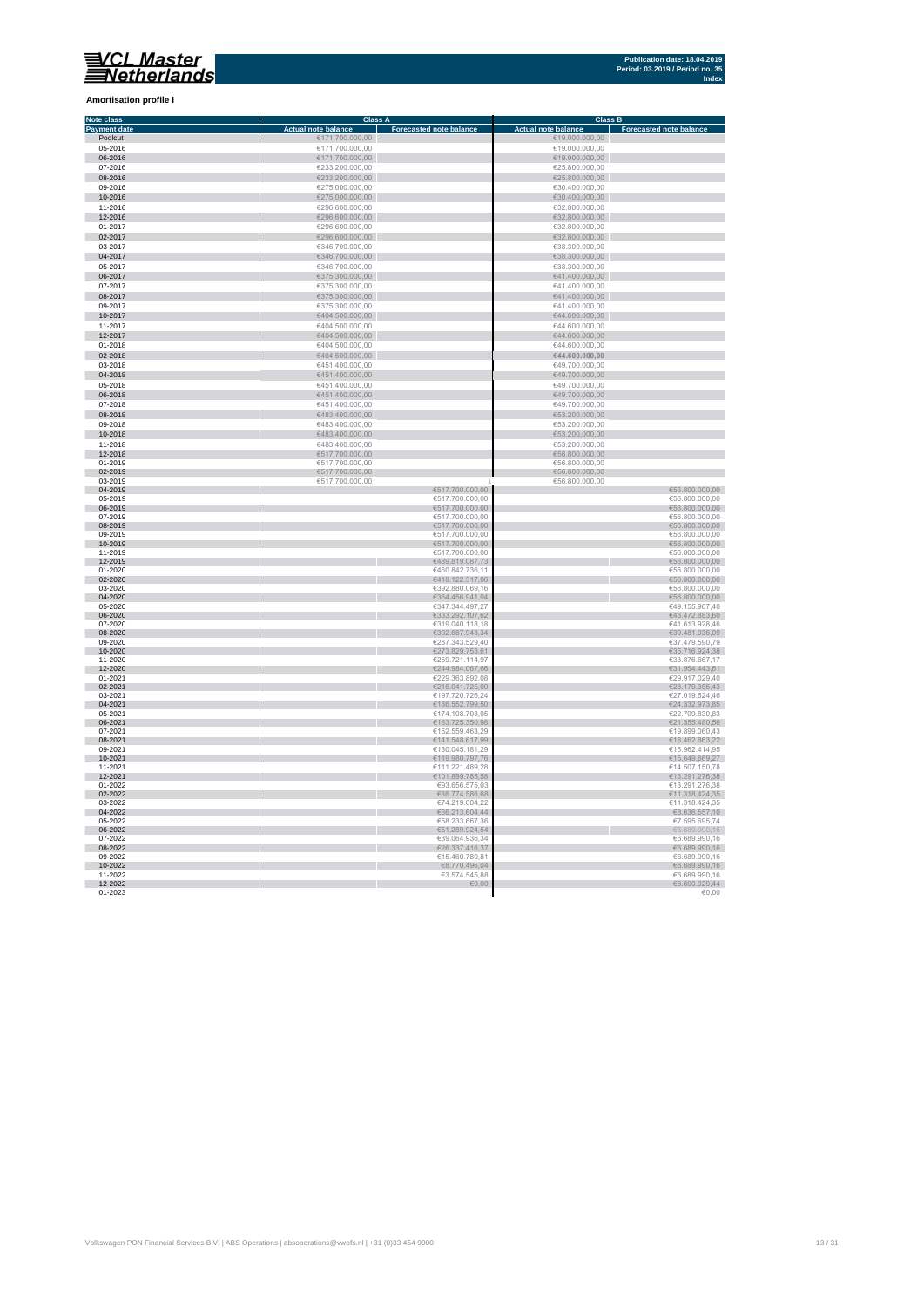**Amortisation profile I**

#### **Class A Class B Class B Class B Class B Class B Class B Class B Class B Class B Eq. 1 Note class Payment date and the Sale of the Case of the Sale of the Sale of the Sale of the Sale of the Sale of the Sale of the Sale of the Sale of the Sale of the Sale of the Sale of the Sale of the Sale of the Sale of the Sale of** Poolcut ∈19.000.000,00 ∈171.700.000,00 ∈171.700.000,00 ∈19.000.000,00 ∈19.000.000,00 ∈19.000.000,00 ∈19.000.000,00 ∈19.000.000,00 ∈19.000.000,00 ∈19.000.000,00 ∈19.000.000,00 ∈19.000.000,00 ∈19.000.000,00 ∈19.000.000,00 ∈ r 06-2016 €171.700.000,00 €19.000.000,00  $\begin{array}{r}\n 07-2016 \\
\hline\n 623.200.000,00 \\
\hline\n 625.800.000,00 \\
\hline\n 625.800.000,00 \\
\hline\n 625.800.000,00 \\
\hline\n 625.800.000,00 \\
\hline\n 625.800.000,00 \\
\hline\n 625.800.000,00 \\
\hline\n 625.800.000,00 \\
\hline\n 625.800.000,00 \\
\hline\n 625.800.000,00 \\
\h$ Ì. 08-2016 €233.200.000,00 €25.800.000,00 09-2016 €275.000.000,00 €30.400.000,00 п 10-2016 €275.000.000,00 €30.400.000,00 11-2016 €296.600.000,00 €32.800.000,00 11-2016<br>  $C296.600.000,00$ <br>  $C296.600.000,00$ <br>  $C296.600.000,00$ <br>  $C296.600.000,00$ <br>  $C296.600.000,00$ <br>  $C296.600.000,00$ <br>  $C296.600.000,00$ <br>  $C296.600.000,00$ <br>  $C286.600.000,00$ <br>  $C286.600.000,00$ <br>  $C286.600.000,00$ <br>  $C$ 12-2016 €296.600.000,00 €32.800.000,00 01-2017 €296.600.000,00 €32.800.000,00  $6346.700.000,00$  ∈38.300.000,00 ∈38.300.000,00 × 0**4-2017** €38.300.000,00 €346.700.000,00 €346.700.000,00 €38.300.000,00 €38.300.000,00 €38.300.000,00 €38.300.000,00<br>05-2017 €38.300.000,00 €346.700.000,00 €346.700.000,00 €346.700.000,00 €346.700 €38.300.000,00 €38.300.0 × 06-2017 €375.300.000,00 €41.400.000,00  $\epsilon$ 375.300.000,00  $\epsilon$  (and the set of  $\epsilon$ 41.400.000,00  $\epsilon$ 0**8-2017 ∈**41.400.000,00 ∈375.300.000,00 ∈375.300.000,00 ∈41.400.000,00 ∈41.400.000,00 ∈41.400.000,00 ∈41.400.000,00 ∈41.400.000,00 ∈41.400.000,00 ∈41.400.000,00 ∈41.400.000,00 ∈41.400.000,00 ∈41.400.000,00 ∈41.400.000,00 п 10-2017 €404.500.000,00 €44.600.000,00 11-2017 €404.500.000,00 €404.500.000,00 €404.500.000,00 €404.500.000,00 €404.500.000,00 €44.600.000,00 €44.600.000,00 n. 12-2017 €404.500.000,00 €404.500.000,00 €404.500.000,00 €404.500.000,00 €44.600.000,00 €44.600.000,00  $01-2018$  ∈404.500.000,00 ∈404.500.000,00 ∈404.500.000,00 ∈404.600.000,00 × 02-2018 €404.500.000,00 **€44.600.000,00**  $6451.400.000,00$ <br>  $6451.400.000,00$ <br>  $6451.400.000,00$ <br>  $6451.400.000,00$ <br>  $6451.400.000,00$ <br>  $6451.400.000,00$ <br>  $6451.400.000,00$ п 04-2018 €451.400.000,00 €49.700.000,00  $65-2018$  ∈451.400.000,00 ∈451.400.000,00 ∈451.400.000,00 ∈49.700.000,00 × 06-2018 €49.700.000,00 €451.400.000,00 € 451.400.000,00 € 5451.400.000,00 € 5451.400.000,00 € 549.700.000,00 07-2018 €451.400.000,00 €49.700.000,00 Ė  $\frac{6483.400.000,00}{6483.400.000,00}$   $\frac{6483.400.000,00}{6483.400,000,00}$   $\frac{653.200.000,00}{653.200,000,00}$  $09-2018$   $09-2018$   $09-2018$   $09-2018$   $09-2018$   $09-2018$   $09-2018$   $09-2018$   $09-2018$   $09-2018$   $09-2018$   $09-2018$   $09-2018$   $09-2018$   $09-2018$   $09-2018$   $09-2018$   $09-2018$   $09-2018$   $09-2018$   $09-2018$   $09-2018$   $11-2018$ <br>  $142018$ <br>  $12018$ <br>  $12018$ <br>  $12018$ <br>  $12018$ <br>  $12018$ <br>  $12018$ <br>  $12018$ <br>  $12018$ <br>  $12018$ <br>  $12018$ <br>  $12018$ <br>  $12018$ <br>  $12018$ <br>  $12018$ <br>  $12018$ <br>  $12018$ <br>  $12018$ <br>  $12018$ <br>  $12018$ <br>  $12018$ <br>  $12018$ <br>  $12018$ <br> 10-2018 €53.200.000,00 €683.400.000,00 €683.400.000,00 €53.200.000,00 €53.200.000,00 €53.200.000,00 €53.200.000,00<br>11-2018 €53.200.000,00 €53.200.000,00 €53.200.000,00 €53.200.000,00 €53.200.000,00 €53.200.000,00 €53.200.  $01-2019$  ∈517.700.000,00 ∈ €517.700.000,00 ∈ €517.700.000,00 × 02-2019 €517.700.000,00 €56.800.000,00  $\begin{array}{c|c|c|c|c|c} \hline \textbf{03-2019} & \textbf{656.800.000,00} \end{array}$   $\begin{array}{c} \textbf{656.800.000,00} \end{array}$ i. 0**4-2019** €56.800.000,00 €517.700.000,00 €517.700.000,00 €517.700.000,00 €517.700.000,00 €517.700.000,00 €56.800.000,00  $0.2019$  ∈517.700.000,00 ∈517.700.000,00 ∈ €517.700.000,00 ∈ €517.700.000,00 ∈ €517.700.000,00 ∈ €51.700.000,00 ∈ €51.700.000,00 ∈ €51.700.000,00 ∈ €51.700.000,00 ∈ ∈ €51.700.000,00 ∈ ∈ €51.700.000,00 ∈ ∈ €51.700.000,00 ×. 06-2019 €56.800.000,00 €517.700.000,00 €517.700.000,00 €517.700.000,00 €517.700.000,00 €517.700.000,00 €56.800.000,00  $07-2019$  ∈56.800.000,00 i. 08-2019 €517.700.000,00 €56.800.000,00  $09-2019$  ∈56.800.000,00 10-2019 €517.700.000,00 €56.800.000,00 11-2019 €517.700.000,00 €56.800.000,00 12-2019 €489.819.087,73 €56.800.000,00 01-2020 ∈56.800.000,00 п 02-2020 €56.800.000,00,00 € 56.800.000,00 € 57.5 € 57.5 € 57.5 € 57.5 € 57.5 € 57.5 € 57.5 € 57.5 € 57.5 € 57.5 € 57.5 € 57.5 € 57.5 € 57.5 € 57.5 € 57.5 € 57.5 € 57.5 € 57.5 € 57.5 € 57.5 € 57.5 € 57.5 € 57.5 € 57.5 € 5  $03$ -2020 ∈56.800.000,00 Ì. 04-2020 €56.800.000,00 € 66.800.000,00 € 66.800.000,00 € 66.800.000,00 € 66.800.000,00 € 66.800.000,00 € 65.800  $6347.344.497,27$   $649.155.967,4020$   $6347.344.497,27$   $649.155.967,4020$ n. 06-2020 ∈43.472.883,60 €43.472.883,60 € 533.292.107,62 € 533.292.107,62 € 43.472.883,60  $07$ -2020 ∈41.613.928,46 ∈41.613.928,46 r. 08-2020 €39.481.036,09 €302.687.943,34 €302.687.943,34 €302.687.943,34 €302.687.943,34 €30.481.036,09  $09-2020$  ∈37.479.590,79 €37.479.590,79 п 10-2020 €273.829.753,61 €35.716.924,38 11-2020 €259.721.114,97 €33.876.667,17 12-2020 €31.954.443,61 €31.954.443,61 €31.954.443,61 €31.954.443,61 €31.954.443,61 €31.954.443,61 €31.954.443,61 01-2021 ∈29.917.029,40 €229.363.892,08 ∈229.363.892,08 ∈29.917.029,40 02-2021 €28.179.355,43  $03$ -2021 ∈27.019.624,46 ∈27.019.624,46 04-2021 €186.552.799,50 €24.332.973,85  **∈22.709.830,83** 06-2021 €163.725.350,98 €21.355.480,56  $07-2021$  ∈19.899.060,43 08-2021 €141.548.617,99 €18.462.863,22  $09-2021$  ∈ 130.045.181,29  $\blacksquare$   $045.181,29$   $\blacksquare$   $05.2021$   $\blacksquare$   $05.2414,95$ 10-2021 €15.649.669,27 € 119.980.797,76 € 119.980.797,76 € 119.980.797,76 € 119.980.797,76 € 119.980.797,76 € 1 11-2021 €111.221.489,28 €14.507.150,78 12-2021 €101.899.785,58 €13.291.276,38 01-2022 ∈93.656.575,03 ∈93.656.575,03 ∈93.656.575,03 €93.656.575,03 €93.656.575,03 €13.291.276,38 02-2022 €86.774.586,68 €11.318.424,35  $03-2022$  ∈11.318.424,35 r. 04-2022  $\epsilon$  68.636.557,10  $05-2022$  ∈  $05-2022$  ∈  $05-74$  ∈  $05-2022$  ∈  $05-74$  ∈  $05-2022$  ∈  $05-74$  ∈  $05-74$  ∈  $05-74$  ∈  $05-74$  ∈  $05-74$  ∈  $05-74$  ∈  $05-74$  ∈  $05-74$  ∈  $05-74$  ∈  $05-74$  ∈  $05-74$  ∈  $05-74$  ∈  $05-74$  ∈  $05-74$  ∈  $05-74$  ∈  $0$ 06-2022  $\epsilon$ 51.289.924,54  $\epsilon$ 51.289.924,54  $\epsilon$ 51.289.924,54  $\epsilon$ 51.289.924,54  $\epsilon$ 5.689.990,16  $07-2022$  ∈39.064.936,34 ∈6.689.990,16 08-2022 €26.337.416,37 €6.689.990,16  $09-2022$  ∈ 6.689.990,16 10-2022 €8.689.990,16 €8.770.496,04 €8.770.496,04 €8.770.496,04 €8.770.496,04 €8.770.496,04 €8.689.990,16 11-2022 ∈ 3.574.545,88 ∈ 3.574.545,88 ∈ 3.574.545,88 ∈ 3.574.545,88 ∈ 3.574.545,88 ∈ 3.574.545,88 ∈ 3.574.545,88 ∈ 3.574.545,88 ∈ 3.574.545,88 ∈ 3.574.545,88 ∈ 3.574.545,88 ∈ 3.574.545,88 ∈ 3.574.545,88 ∈ 3.574.545,88 ∈

12-2022 €6.600.029,44  $01$ -2023  $\in$  0.00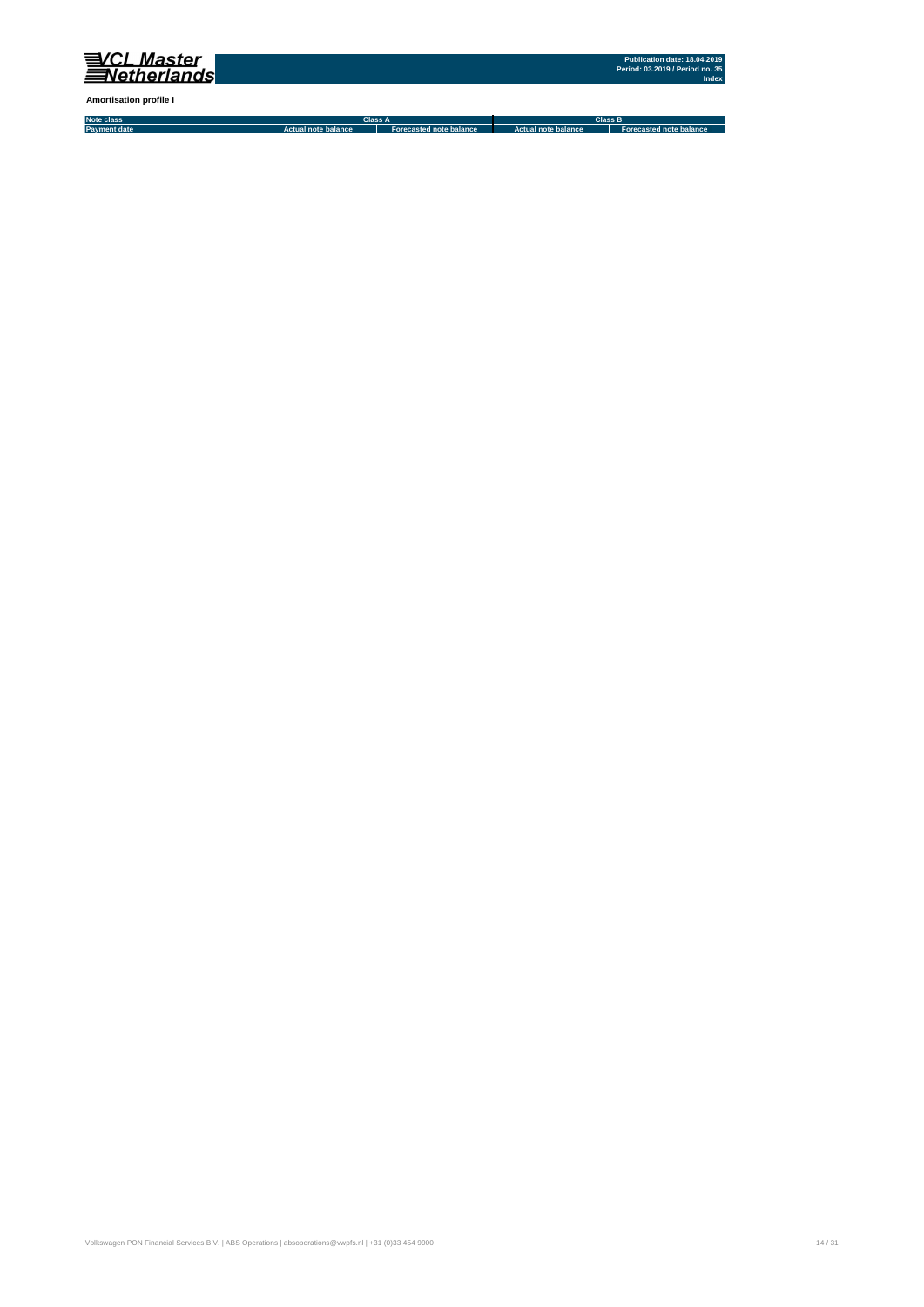

**Amortisation profile I**

**Note class Payment date Actual note balance Forecasted note balance Actual note balance2 Forecasted note balance3 Class A Class B**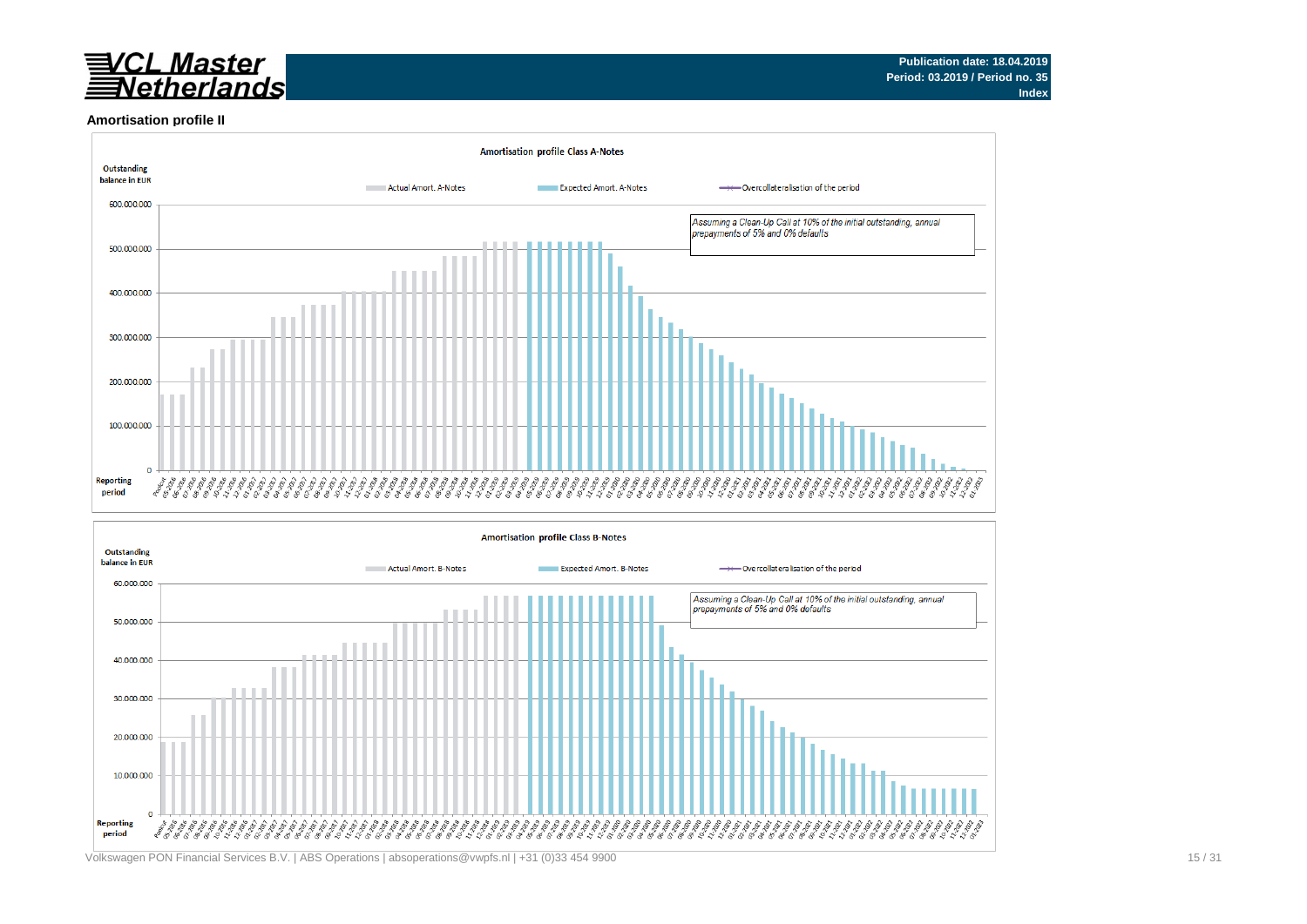# <u>VCL Master</u><br>∃Netherlands

#### **Amortisation profile II**



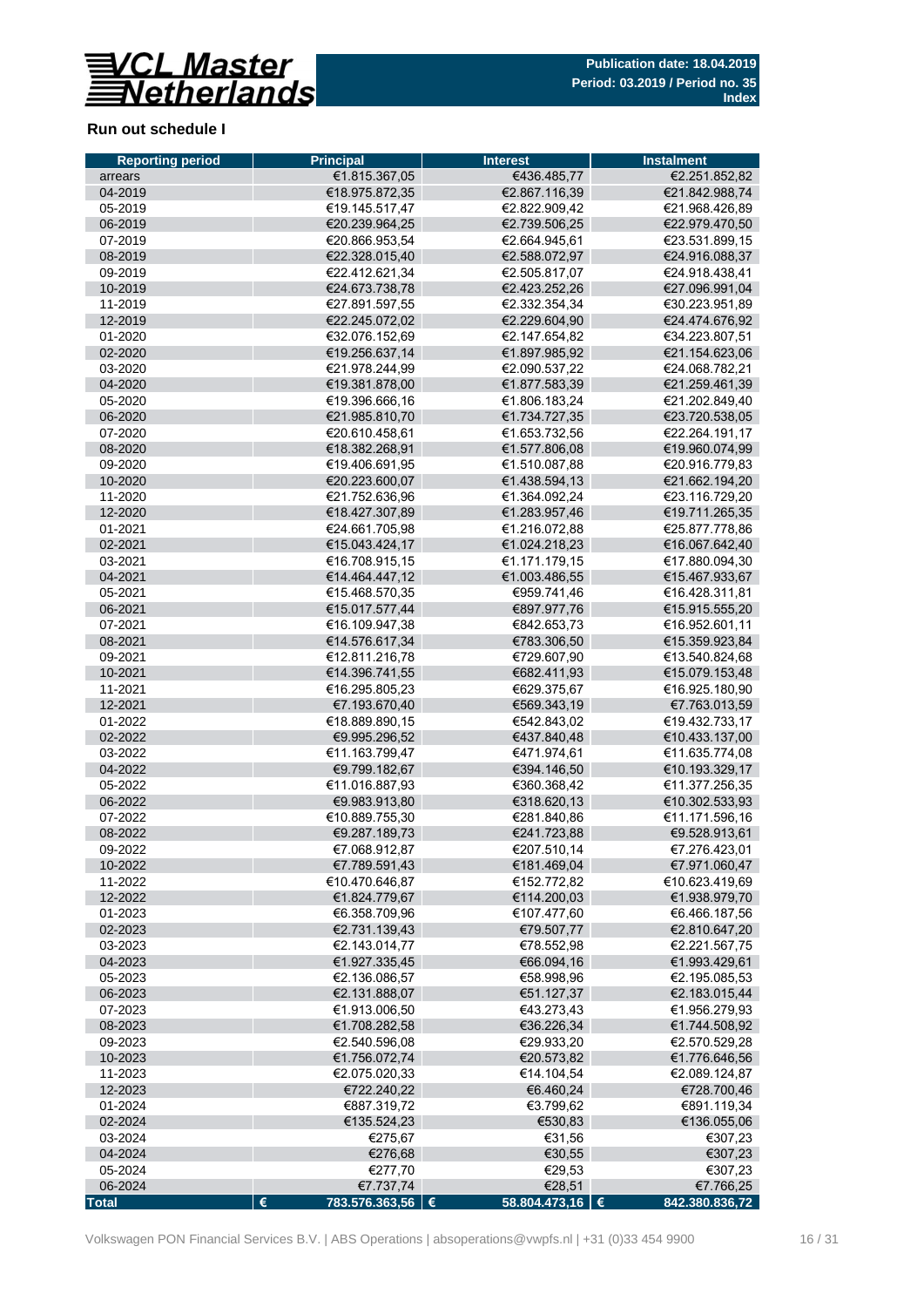

## **Run out schedule I**

| <b>Reporting period</b> | <b>Principal</b>                       | <b>Interest</b>            | <b>Instalment</b>                |
|-------------------------|----------------------------------------|----------------------------|----------------------------------|
| arrears                 | €1.815.367,05                          | €436.485,77                | €2.251.852,82                    |
| 04-2019                 | €18.975.872,35                         | €2.867.116,39              | €21.842.988,74                   |
| 05-2019                 | €19.145.517.47                         | €2.822.909,42              | €21.968.426,89                   |
| 06-2019                 | €20.239.964,25                         | €2.739.506,25              | €22.979.470,50                   |
| 07-2019                 | €20.866.953.54                         | €2.664.945.61              | €23.531.899.15                   |
| 08-2019                 | €22.328.015,40                         | €2.588.072,97              | €24.916.088,37                   |
| 09-2019                 | €22.412.621,34                         | €2.505.817,07              | €24.918.438,41                   |
| 10-2019                 | €24.673.738,78                         | €2.423.252,26              | €27.096.991,04                   |
| 11-2019                 | €27.891.597,55                         | €2.332.354,34              | €30.223.951,89                   |
| 12-2019                 | €22.245.072,02                         | €2.229.604,90              | €24.474.676,92                   |
| 01-2020                 | €32.076.152,69                         | €2.147.654,82              | €34.223.807,51                   |
| 02-2020                 | €19.256.637,14                         | €1.897.985,92              | €21.154.623,06                   |
| 03-2020                 | €21.978.244,99                         | €2.090.537.22              | €24.068.782,21                   |
| 04-2020                 | €19.381.878,00                         | €1.877.583,39              | €21.259.461,39                   |
| 05-2020                 | €19.396.666,16                         | €1.806.183,24              | €21.202.849,40                   |
| 06-2020                 | €21.985.810,70                         | €1.734.727,35              | €23.720.538,05                   |
| 07-2020                 | €20.610.458.61                         | €1.653.732,56              | €22.264.191,17                   |
| 08-2020                 | €18.382.268,91                         | €1.577.806,08              | €19.960.074,99                   |
| 09-2020                 | €19.406.691,95                         | €1.510.087,88              | €20.916.779,83                   |
| 10-2020                 | €20.223.600.07                         | €1.438.594,13              | €21.662.194,20                   |
| 11-2020                 | €21.752.636.96                         | €1.364.092,24              | €23.116.729,20                   |
| 12-2020                 | €18.427.307,89                         | €1.283.957,46              | €19.711.265,35                   |
| 01-2021                 | €24.661.705,98                         | €1.216.072.88              | €25.877.778,86                   |
| 02-2021                 | €15.043.424,17                         | €1.024.218,23              | €16.067.642,40                   |
| 03-2021                 | €16.708.915.15                         | €1.171.179.15              | €17.880.094,30                   |
| 04-2021                 | €14.464.447,12                         | €1.003.486,55              | €15.467.933,67                   |
| 05-2021                 | €15.468.570,35                         | €959.741.46                | €16.428.311,81                   |
| 06-2021                 | €15.017.577,44                         | €897.977,76                | €15.915.555,20                   |
| 07-2021                 | €16.109.947,38                         | €842.653,73                | €16.952.601,11                   |
| 08-2021                 | €14.576.617,34                         | €783.306,50                | €15.359.923,84                   |
| 09-2021                 | €12.811.216,78                         | €729.607,90                | €13.540.824,68                   |
| 10-2021                 | €14.396.741,55                         | €682.411,93                | €15.079.153,48                   |
| 11-2021                 | €16.295.805,23                         | €629.375,67                | €16.925.180,90                   |
| 12-2021                 | €7.193.670,40                          | €569.343,19                | €7.763.013,59                    |
| 01-2022                 | €18.889.890,15                         | €542.843,02                | €19.432.733,17                   |
| 02-2022                 | €9.995.296,52                          | €437.840,48<br>€471.974.61 | €10.433.137,00                   |
| 03-2022<br>04-2022      | €11.163.799,47                         |                            | €11.635.774,08<br>€10.193.329,17 |
|                         | €9.799.182,67<br>€11.016.887.93        | €394.146,50                | €11.377.256.35                   |
| 05-2022<br>06-2022      | €9.983.913,80                          | €360.368,42<br>€318.620,13 | €10.302.533,93                   |
| 07-2022                 | €10.889.755,30                         | €281.840,86                | €11.171.596,16                   |
| 08-2022                 | €9.287.189.73                          | €241.723.88                | €9.528.913.61                    |
| 09-2022                 | €7.068.912,87                          | €207.510,14                |                                  |
| 10-2022                 | €7.789.591,43                          | €181.469,04                | €7.276.423,01<br>€7.971.060,47   |
| 11-2022                 | €10.470.646,87                         | €152.772,82                | €10.623.419,69                   |
| 12-2022                 | €1.824.779,67                          | €114.200,03                | €1.938.979,70                    |
| 01-2023                 | €6.358.709,96                          | €107.477,60                | €6.466.187,56                    |
| 02-2023                 | €2.731.139,43                          | €79.507,77                 | €2.810.647,20                    |
| 03-2023                 | €2.143.014,77                          | €78.552,98                 | €2.221.567,75                    |
| 04-2023                 | €1.927.335,45                          | €66.094,16                 | €1.993.429,61                    |
| 05-2023                 | €2.136.086,57                          | €58.998,96                 | €2.195.085,53                    |
| 06-2023                 | €2.131.888,07                          | €51.127,37                 | €2.183.015,44                    |
| 07-2023                 | €1.913.006,50                          | €43.273,43                 | €1.956.279,93                    |
| 08-2023                 | €1.708.282,58                          | €36.226,34                 | €1.744.508,92                    |
| 09-2023                 | €2.540.596,08                          | €29.933,20                 | €2.570.529,28                    |
| 10-2023                 | €1.756.072,74                          | €20.573,82                 | €1.776.646,56                    |
| 11-2023                 | €2.075.020,33                          | €14.104,54                 | €2.089.124,87                    |
| 12-2023                 | €722.240,22                            | €6.460,24                  | €728.700,46                      |
| 01-2024                 | €887.319,72                            | €3.799,62                  | €891.119,34                      |
| 02-2024                 | €135.524,23                            | €530,83                    | €136.055,06                      |
| 03-2024                 | €275,67                                | €31,56                     | €307,23                          |
| 04-2024                 | €276,68                                | €30,55                     | €307,23                          |
| 05-2024                 | €277,70                                | €29,53                     | €307,23                          |
| 06-2024                 | €7.737,74                              | €28,51                     | €7.766,25                        |
| <b>Total</b>            | $\pmb{\epsilon}$<br>783.576.363,56   € | 58.804.473,16   €          | 842.380.836,72                   |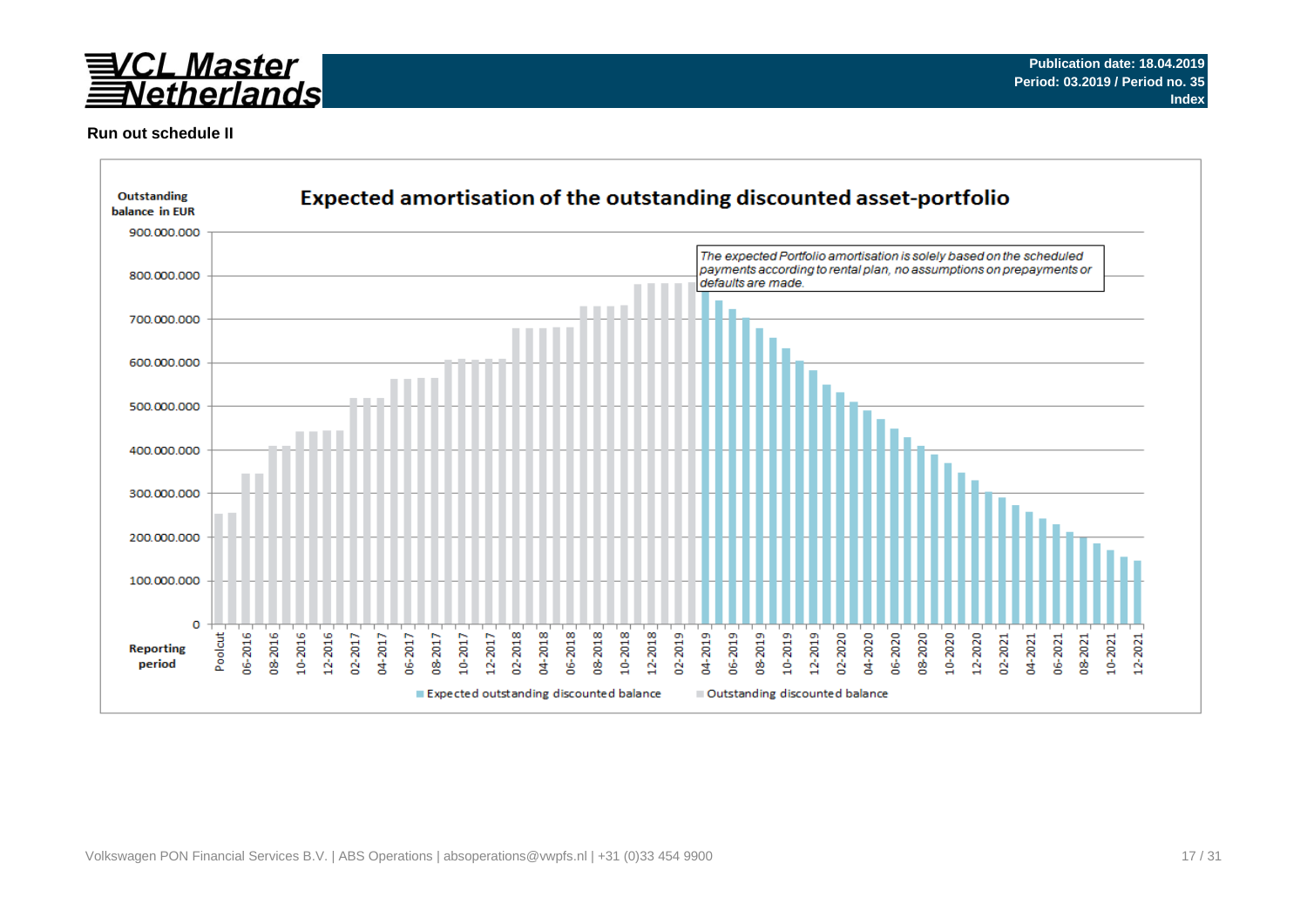

### **Run out schedule II**

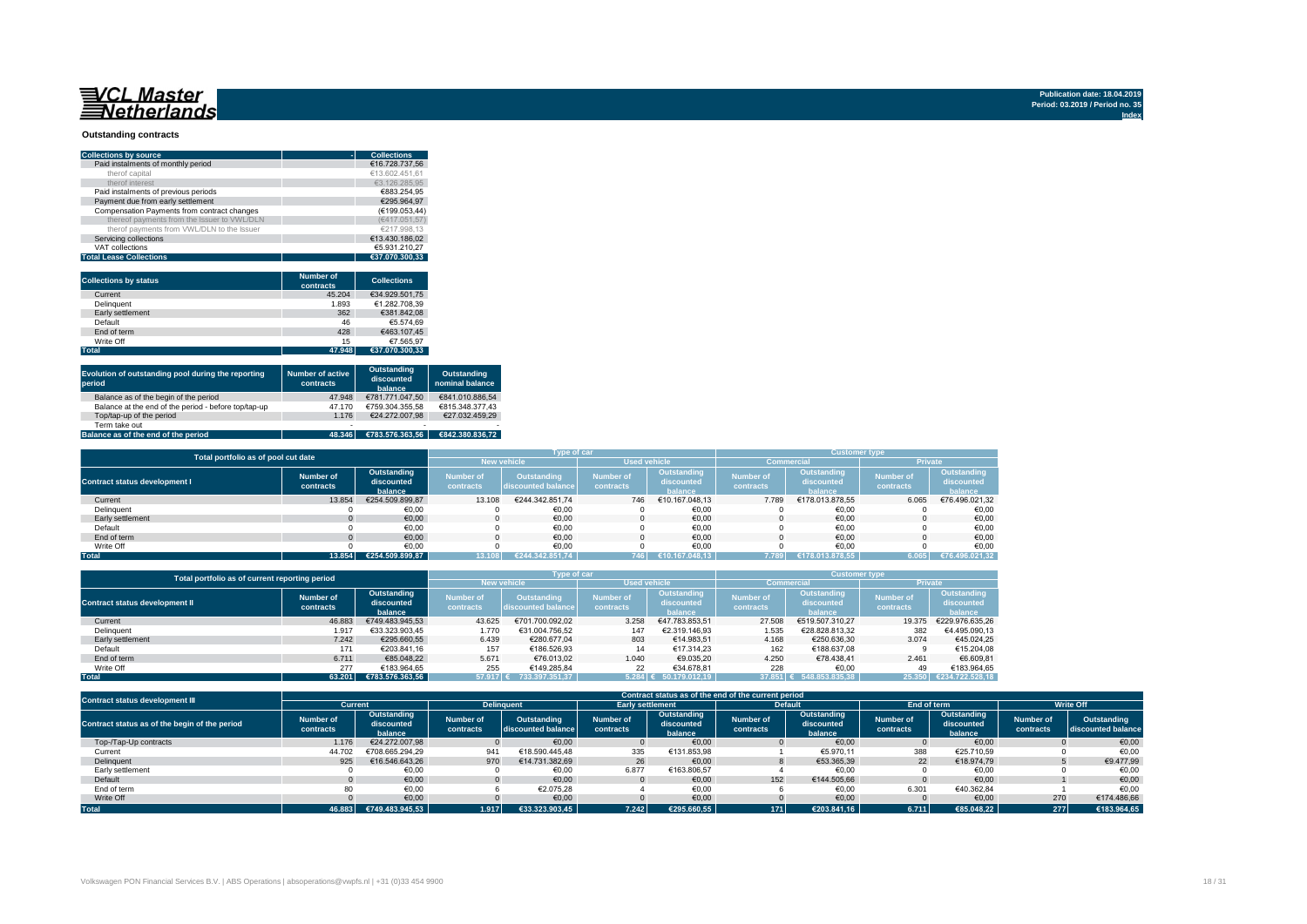#### **Outstanding contracts**

| <b>Collections by source</b>                | <b>Collections</b> |
|---------------------------------------------|--------------------|
| Paid instalments of monthly period          | €16.728.737.56     |
| therof capital                              | €13.602.451.61     |
| therof interest                             | €3.126.285.95      |
| Paid instalments of previous periods        | €883.254.95        |
| Payment due from early settlement           | €295.964.97        |
| Compensation Payments from contract changes | (€199.053.44)      |
| thereof payments from the Issuer to VWL/DLN | (€417.051.57)      |
| therof payments from VWL/DLN to the Issuer  | €217.998.13        |
| Servicing collections                       | €13.430.186.02     |
| VAT collections                             | €5.931.210.27      |
| <b>Total Lease Collections</b>              | €37.070.300.33     |

| <b>Collections by status</b> | <b>Number of</b><br>contracts | <b>Collections</b> |
|------------------------------|-------------------------------|--------------------|
| Current                      | 45.204                        | €34.929.501.75     |
| <b>Delinquent</b>            | 1.893                         | €1.282.708.39      |
| Early settlement             | 362                           | €381.842.08        |
| Default                      | 46                            | €5.574.69          |
| End of term                  | 428                           | €463.107.45        |
| Write Off                    | 15                            | €7.565.97          |
| <b>Total</b>                 | 47.948                        | €37.070.300.33     |

| Evolution of outstanding pool during the reporting<br>period | <b>Number of active</b><br>contracts | Outstanding<br>discounted<br>balance | Outstanding<br>nominal balance |
|--------------------------------------------------------------|--------------------------------------|--------------------------------------|--------------------------------|
| Balance as of the begin of the period                        | 47.948                               | €781.771.047.50                      | €841.010.886.54                |
| Balance at the end of the period - before top/tap-up         | 47.170                               | €759.304.355.58                      | €815.348.377.43                |
| Top/tap-up of the period                                     | 1.176                                | €24.272.007.98                       | €27.032.459.29                 |
| Term take out                                                | $\overline{\phantom{a}}$             | $\overline{\phantom{0}}$             |                                |
| Balance as of the end of the period                          | 48.346                               | €783.576.363.56                      | €842.380.836.72                |

| Total portfolio as of pool cut date  |                        |                                      |                               | Type of car                       |                               |                                      | <b>Customer type</b>          |                                      |                               |                                      |  |
|--------------------------------------|------------------------|--------------------------------------|-------------------------------|-----------------------------------|-------------------------------|--------------------------------------|-------------------------------|--------------------------------------|-------------------------------|--------------------------------------|--|
|                                      |                        |                                      |                               | <b>New vehicle</b>                | <b>Used vehicle</b>           |                                      |                               | <b>Commercial</b>                    | Private                       |                                      |  |
| <b>Contract status development I</b> | Number of<br>contracts | Outstanding<br>discounted<br>balance | <b>Number of</b><br>contracts | Outstanding<br>discounted balance | <b>Number of</b><br>contracts | Outstanding<br>discounted<br>halance | <b>Number of</b><br>contracts | Outstanding<br>discounted<br>halance | <b>Number of</b><br>contracts | Outstanding<br>discounted<br>balance |  |
| Current                              | 13.854                 | €254.509.899.87                      | 13.108                        | €244.342.851.74                   | 746                           | €10.167.048.13                       | 7.789                         | €178.013.878.55                      | 6.065                         | €76.496.021,32                       |  |
| Delinquent                           |                        | €0.00                                |                               | €0.00                             |                               | €0,00                                |                               | €0,00                                |                               | €0,00                                |  |
| Early settlement                     |                        | €0,00                                |                               | €0,00                             |                               | €0,00                                |                               | €0,00                                |                               | €0,00                                |  |
| Default                              |                        | €0.00                                |                               | €0,00                             |                               | €0.00                                |                               | €0,00                                |                               | €0,00                                |  |
| End of term                          |                        | €0,00                                |                               | €0.00                             |                               | €0.00                                |                               | €0.00                                |                               | €0,00                                |  |
| Write Off                            |                        | €0.00                                |                               | €0.00                             |                               | €0.00                                |                               | €0.00                                |                               | €0.00                                |  |
| <b>Total</b>                         | 13.854                 | €254.509.899.87                      |                               | €244.342.851.74                   | 746                           | €10.167.048.13                       | 7.789                         | €178.013.878.55                      | 6.065                         | €76.496.021.32                       |  |

|                                       | Total portfolio as of current reporting period                 |                 |                               |                                          |                               | Type of car                          |                               |                                      |                               |                                      |  |
|---------------------------------------|----------------------------------------------------------------|-----------------|-------------------------------|------------------------------------------|-------------------------------|--------------------------------------|-------------------------------|--------------------------------------|-------------------------------|--------------------------------------|--|
|                                       |                                                                |                 | <b>New vehicle</b>            |                                          | <b>Used vehicle</b>           |                                      |                               | Commercial                           | <b>Private</b>                |                                      |  |
| <b>Contract status development II</b> | Outstanding<br>Number of<br>discounted<br>contracts<br>balance |                 | <b>Number of</b><br>contracts | <b>Outstanding</b><br>discounted balance | <b>Number of</b><br>contracts | Outstanding<br>discounted<br>balance | <b>Number of</b><br>contracts | Outstanding<br>discounted<br>balance | <b>Number of</b><br>contracts | Outstanding<br>discounted<br>balance |  |
| Current                               | 46.883                                                         | €749.483.945.53 | 43.625                        | €701.700.092.02                          | 3.258                         | €47.783.853.51                       | 27,508                        | €519.507.310.27                      | 19,375                        | €229.976.635.26                      |  |
| Delinquent                            | 1.917                                                          | €33.323.903.45  | 1.770                         | €31.004.756.52                           | 147                           | €2.319.146.93                        | 1.535                         | €28.828.813.32                       | 382                           | €4.495.090.13                        |  |
| Early settlement                      | 7.242                                                          | €295,660.55     | 6.439                         | €280.677.04                              | 803                           | €14.983.51                           | 4.168                         | €250.636.30                          | 3.074                         | €45.024.25                           |  |
| Default                               | 171                                                            | €203.841.16     | 157                           | €186.526.93                              |                               | €17.314.23                           | 162                           | €188,637,08                          |                               | €15.204.08                           |  |
| End of term                           | 6.711                                                          | €85.048.22      | 5.671                         | €76.013.02                               | 1.040                         | €9.035.20                            | 4.250                         | €78.438.41                           | 2.461                         | €6.609.81                            |  |
| Write Off                             | 277                                                            | €183.964.65     | 255                           | €149.285.84                              | 22                            | €34.678.81                           | 228                           | €0.00                                | 49                            | €183.964.65                          |  |
| <b>Total</b>                          | 63.201                                                         | €783.576.363.56 | 57.917 €                      | 733.397.351.37                           |                               | 5.284 € 50.179.012.19                | 37.851 €                      | 548.853.835.38                       | 25.350                        | €234.722.528.18                      |  |

| <b>Contract status development III</b>        |                               |                                      |                        |                                   |                        |                                      | Contract status as of the end of the current period |                                      |                               |                                      |                        |                                   |
|-----------------------------------------------|-------------------------------|--------------------------------------|------------------------|-----------------------------------|------------------------|--------------------------------------|-----------------------------------------------------|--------------------------------------|-------------------------------|--------------------------------------|------------------------|-----------------------------------|
|                                               | Current                       |                                      | <b>Delinguent</b>      |                                   |                        | <b>Early settlement</b>              |                                                     | <b>Default</b>                       | End of term                   |                                      | <b>Write Off</b>       |                                   |
| Contract status as of the begin of the period | <b>Number of</b><br>contracts | Outstanding<br>discounted<br>balance | Number of<br>contracts | Outstanding<br>discounted balance | Number of<br>contracts | Outstanding<br>discounted<br>balance | Number of<br>contracts                              | Outstanding<br>discounted<br>balance | <b>Number of</b><br>contracts | Outstanding<br>discounted<br>balance | Number of<br>contracts | Outstanding<br>discounted balance |
| Top-/Tap-Up contracts                         | 1.176                         | €24.272.007.98                       |                        | €0,00                             |                        | €0.00                                |                                                     | €0,00                                |                               | €0.00                                |                        | €0,00                             |
| Current                                       | 44.702                        | €708.665.294.29                      | 941                    | €18.590.445.48                    | 335                    | €131.853.98                          |                                                     | €5.970.11                            | 388                           | €25.710.59                           |                        | €0,00                             |
| Delinquent                                    | 925                           | €16.546.643.26                       | 970                    | €14.731.382.69                    | 26                     | €0.00                                |                                                     | €53.365.39                           | 22                            | €18.974.79                           |                        | €9.477,99                         |
| Early settlement                              |                               | €0,00                                |                        | €0,00                             | 6.877                  | €163.806,57                          |                                                     | €0,00                                |                               | €0,00                                |                        | €0,00                             |
| Default                                       |                               | €0.00                                |                        | €0.00                             |                        | €0.00                                | 152                                                 | €144.505.66                          |                               | €0.00                                |                        | €0,00                             |
| End of term                                   |                               | €0.00                                |                        | €2.075.28                         |                        | €0,00                                |                                                     | €0.00                                | 6.301                         | €40.362.84                           |                        | €0.00                             |
| Write Off                                     |                               | €0.00                                |                        | €0,00                             |                        | €0,00                                |                                                     | €0,00                                |                               | €0,00                                | 270                    | €174.486,66                       |
| <b>Total</b>                                  | 46.883                        | €749.483.945.53                      | 1.917                  | €33.323.903,45                    | 7.242                  | €295.660.55                          | 171                                                 | €203.841.16                          | 6.711                         | €85.048.22                           | 277                    | €183.964,65                       |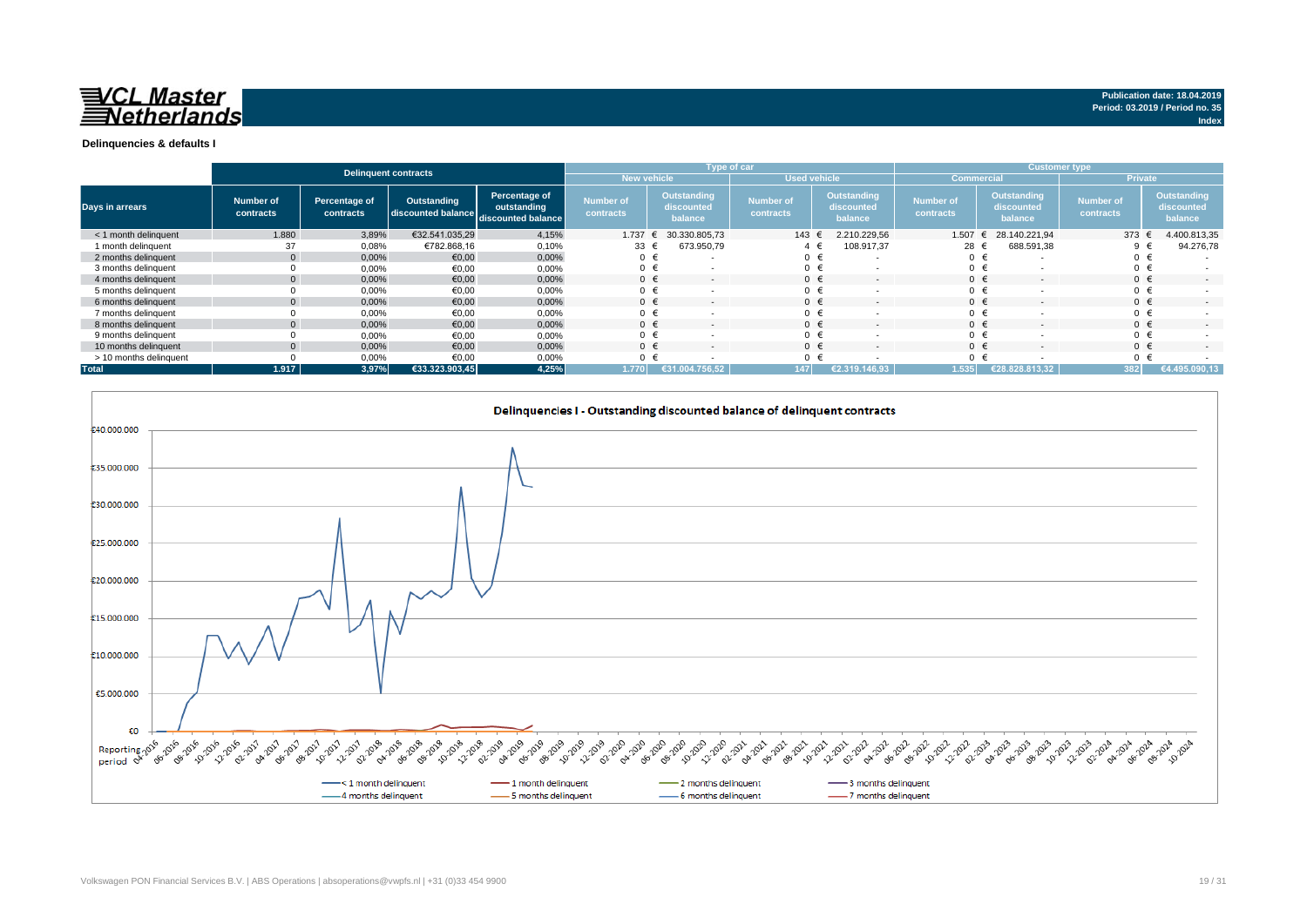

|                        |                        |                            | <b>Delinquent contracts</b>                          |                              |                               |             | Type of car                          |                               |                     |                                             | <b>Customer type</b>          |   |                                      |                               |                |                                      |
|------------------------|------------------------|----------------------------|------------------------------------------------------|------------------------------|-------------------------------|-------------|--------------------------------------|-------------------------------|---------------------|---------------------------------------------|-------------------------------|---|--------------------------------------|-------------------------------|----------------|--------------------------------------|
|                        |                        |                            |                                                      |                              |                               | New vehicle |                                      |                               | <b>Used vehicle</b> |                                             | <b>Commercial</b>             |   |                                      |                               | <b>Private</b> |                                      |
| Days in arrears        | Number of<br>contracts | Percentage of<br>contracts | Outstanding<br>discounted balance discounted balance | Percentage of<br>outstanding | <b>Number of</b><br>contracts |             | Outstanding<br>discounted<br>balance | <b>Number of</b><br>contracts |                     | <b>Outstanding</b><br>discounted<br>balance | <b>Number of</b><br>contracts |   | Outstanding<br>discounted<br>balance | <b>Number of</b><br>contracts |                | Outstanding<br>discounted<br>balance |
| < 1 month delinguent   | 1.880                  | 3,89%                      | €32.541.035,29                                       | 4,15%                        | 1.737                         |             | 30.330.805.73                        | 143 €                         |                     | 2.210.229.56                                | 1.507                         | € | 28.140.221.94                        |                               | 373 $\epsilon$ | 4.400.813,35                         |
| 1 month delinquent     | 37                     | 0,08%                      | €782.868,16                                          | 0,10%                        | 33                            |             | 673.950,79                           |                               |                     | 108.917,37                                  | 28 €                          |   | 688.591,38                           |                               | 9 €            | 94.276,78                            |
| 2 months delinquent    |                        | 0,00%                      | €0,00                                                | 0,00%                        | $0 \in$                       |             |                                      | $0 \in$                       |                     | ٠.                                          | 0 <sup>1</sup>                |   |                                      |                               | $0 \in$        |                                      |
| 3 months delinquent    |                        | 0,00%                      | €0,00                                                | 0,00%                        | $0 \in$                       |             |                                      |                               | €                   | <b>.</b>                                    | $\mathbf{0}$                  |   |                                      |                               | $0 \in$        |                                      |
| 4 months delinquent    |                        | 0.00%                      | €0.00                                                | 0,00%                        | $0 \in$                       |             | $\overline{\phantom{0}}$             | $0 \in$                       |                     | $\overline{\phantom{a}}$                    | $\Omega$                      |   |                                      |                               | $0 \in$        |                                      |
| 5 months delinquent    |                        | 0,00%                      | €0,00                                                | 0,00%                        | $0 \in$                       |             |                                      |                               | €                   |                                             | $\Omega$                      |   |                                      |                               | $0 \in$        |                                      |
| 6 months delinquent    |                        | 0,00%                      | €0,00                                                | 0,00%                        | $0 \in$                       |             |                                      | $0 \in$                       |                     | $\overline{\phantom{a}}$                    | $\Omega$                      |   |                                      |                               | $0 \in$        |                                      |
| 7 months delinquent    |                        | 0,00%                      | €0,00                                                | 0,00%                        | $0 \in$                       |             |                                      |                               | €                   | <b>.</b>                                    | $\mathbf 0$                   |   |                                      |                               | $0 \in$        |                                      |
| 8 months delinquent    |                        | 0,00%                      | €0,00                                                | 0,00%                        | $0 \in$                       |             |                                      | $0 \in$                       |                     | $\overline{\phantom{a}}$                    | $\Omega$                      |   |                                      |                               | $0 \in$        |                                      |
| 9 months delinquent    |                        | 0,00%                      | €0,00                                                | 0,00%                        | $0 \in$                       |             |                                      |                               | €                   | <b>.</b>                                    | $\Omega$                      |   |                                      |                               | $0 \in$        |                                      |
| 10 months delinquent   |                        | 0,00%                      | €0.00                                                | 0,00%                        | $0 \in$                       |             | $\overline{\phantom{0}}$             | $0 \in$                       |                     | $\overline{\phantom{a}}$                    | $\Omega$                      |   | $\overline{\phantom{a}}$             |                               | $0 \in$        |                                      |
| > 10 months delinquent |                        | 0,00%                      | €0.00                                                | 0,00%                        | $0 \in$                       |             |                                      |                               |                     |                                             | $\Omega$                      |   |                                      |                               | $0 \in$        |                                      |
| <b>Total</b>           | 1.917                  | 3,97%                      | €33.323.903,45                                       | 4,25%                        | 1.770                         |             | €31.004.756.52                       | 147                           |                     | €2.319.146.93                               | 1.535                         |   | €28.828.813.32                       |                               | 382            | €4.495.090,13                        |

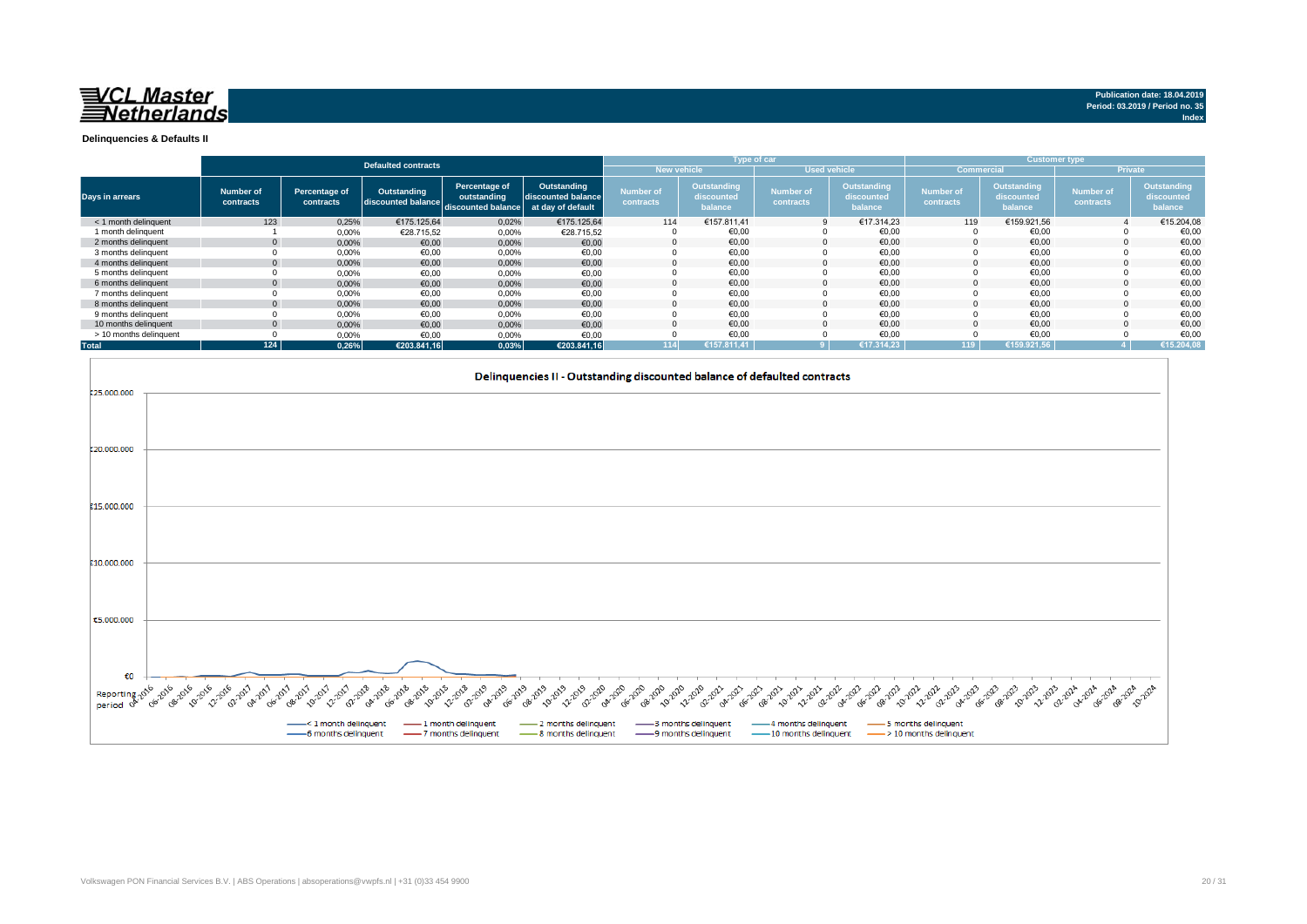

**Index**

**Delinquencies & Defaults II**

|                        |                        |                            |                                   |                                                                      |                                   |                                           |                                      | Type of car                   |                                      |                               |                                      | <b>Customer type</b>          |                                             |
|------------------------|------------------------|----------------------------|-----------------------------------|----------------------------------------------------------------------|-----------------------------------|-------------------------------------------|--------------------------------------|-------------------------------|--------------------------------------|-------------------------------|--------------------------------------|-------------------------------|---------------------------------------------|
|                        |                        |                            | <b>Defaulted contracts</b>        |                                                                      |                                   | <b>New vehicle</b><br><b>Used vehicle</b> |                                      |                               |                                      | Commercial                    |                                      | <b>Private</b>                |                                             |
| Days in arrears        | Number of<br>contracts | Percentage of<br>contracts | Outstanding<br>discounted balance | Percentage of<br>outstanding<br>discounted balance at day of default | Outstanding<br>discounted balance | <b>Number of</b><br>contracts             | Outstanding<br>discounted<br>balance | <b>Number of</b><br>contracts | Outstanding<br>discounted<br>balance | <b>Number of</b><br>contracts | Outstanding<br>discounted<br>balance | <b>Number of</b><br>contracts | <b>Outstanding</b><br>discounted<br>balance |
| < 1 month delinquent   | 123                    | 0,25%                      | €175.125.64                       | 0,02%                                                                | €175.125.64                       | 114                                       | €157.811.41                          |                               | €17.314.23                           | 119                           | €159.921,56                          |                               | €15.204,08                                  |
| 1 month delinguent     |                        | 0,00%                      | €28.715,52                        | 0,00%                                                                | €28.715,52                        |                                           | €0,00                                |                               | €0,00                                |                               | €0,00                                |                               | €0,00                                       |
| 2 months delinquent    |                        | 0,00%                      | €0,00                             | 0,00%                                                                | €0,00                             |                                           | €0.00                                | $\Omega$                      | €0,00                                |                               | €0,00                                |                               | €0,00                                       |
| 3 months delinquent    |                        | 0,00%                      | €0,00                             | 0,00%                                                                | €0,00                             |                                           | €0,00                                |                               | €0,00                                |                               | €0,00                                |                               | €0,00                                       |
| 4 months delinguent    |                        | 0,00%                      | €0,00                             | 0,00%                                                                | €0,00                             |                                           | €0.00                                |                               | €0.00                                |                               | €0.00                                |                               | €0,00                                       |
| 5 months delinguent    |                        | 0,00%                      | €0,00                             | 0,00%                                                                | €0,00                             |                                           | €0,00                                |                               | €0,00                                |                               | €0,00                                |                               | €0,00                                       |
| 6 months delinquent    |                        | 0.00%                      | €0.00                             | 0,00%                                                                | €0,00                             |                                           | €0.00                                |                               | €0.00                                |                               | €0.00                                |                               | €0,00                                       |
| 7 months delinquent    |                        | 0,00%                      | €0,00                             | 0,00%                                                                | €0,00                             |                                           | €0,00                                |                               | €0,00                                |                               | €0,00                                |                               | €0,00                                       |
| 8 months delinquent    |                        | 0,00%                      | €0,00                             | 0,00%                                                                | €0,00                             |                                           | €0,00                                |                               | €0,00                                |                               | €0,00                                |                               | €0,00                                       |
| 9 months delinquent    |                        | 0,00%                      | €0,00                             | 0,00%                                                                | €0,00                             |                                           | €0,00                                |                               | €0,00                                |                               | €0,00                                |                               | €0,00                                       |
| 10 months delinguent   |                        | 0,00%                      | €0,00                             | 0,00%                                                                | €0,00                             |                                           | €0.00                                |                               | €0.00                                |                               | €0.00                                |                               | €0,00                                       |
| > 10 months delinquent |                        | 0,00%                      | €0.00                             | 0,00%                                                                | €0.00                             |                                           | €0,00                                |                               | €0,00                                |                               | €0,00                                |                               | €0,00                                       |
| <b>Total</b>           | 124                    | 0.26%                      | €203.841,16                       | 0,03%                                                                | €203.841.16                       | $114$                                     | €157.811.41                          |                               | €17.314.23                           | 119                           | L€159.921.56 <sup>1</sup>            |                               | €15.204,08                                  |

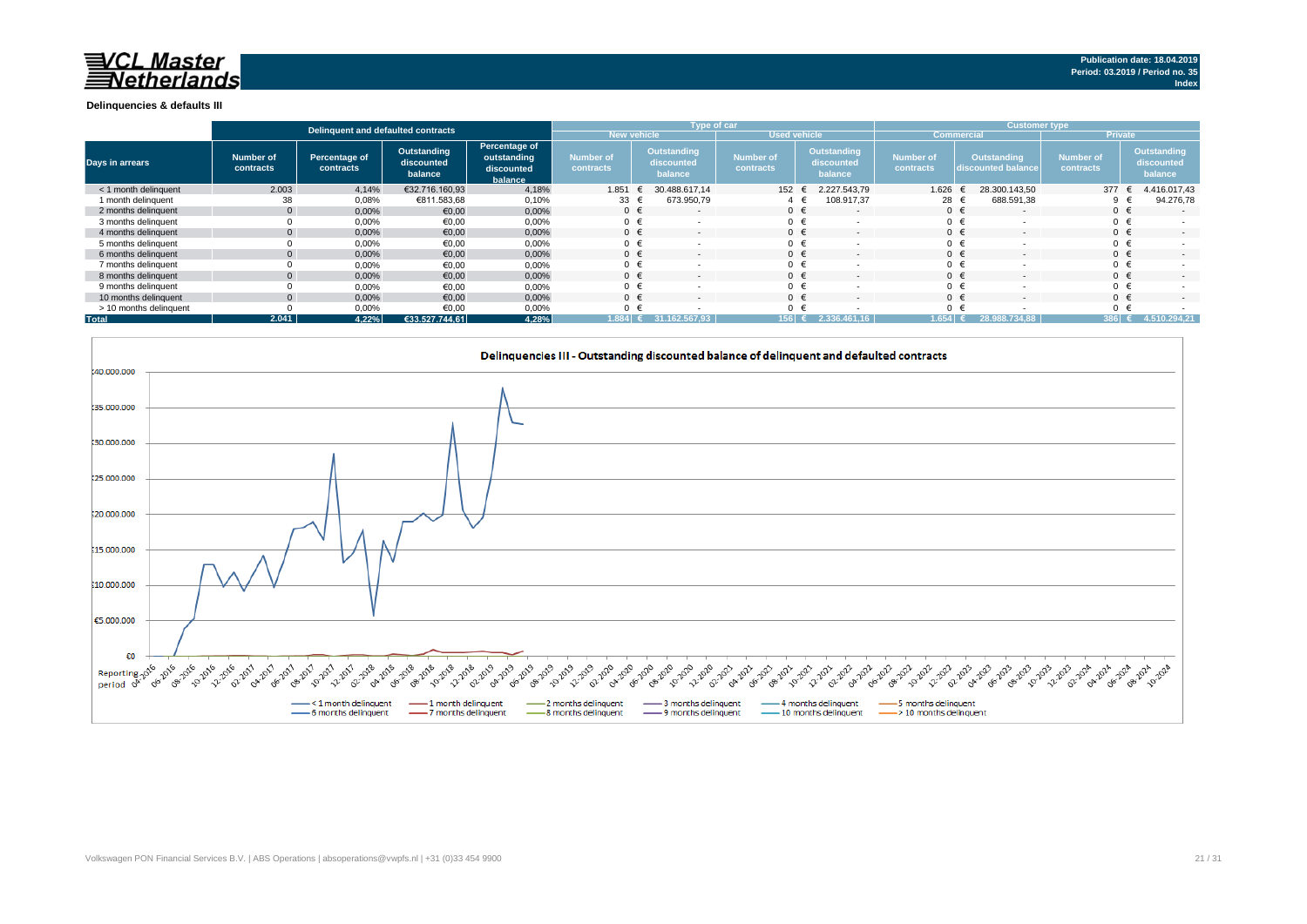#### **Delinquencies & defaults III**

|                        |                        | Delinguent and defaulted contracts |                                      |                                                       |                               |                                      | Type of car                   |                                             | <b>Customer type</b>          |                                   |                               |                                      |  |
|------------------------|------------------------|------------------------------------|--------------------------------------|-------------------------------------------------------|-------------------------------|--------------------------------------|-------------------------------|---------------------------------------------|-------------------------------|-----------------------------------|-------------------------------|--------------------------------------|--|
|                        |                        |                                    |                                      |                                                       | <b>New vehicle</b>            |                                      | <b>Used vehicle</b>           |                                             |                               | <b>Commercial</b>                 | <b>Private</b>                |                                      |  |
| <b>Days in arrears</b> | Number of<br>contracts | Percentage of<br>contracts         | Outstanding<br>discounted<br>balance | Percentage of<br>outstanding<br>discounted<br>balance | <b>Number of</b><br>contracts | Outstanding<br>discounted<br>balance | <b>Number of</b><br>contracts | <b>Outstanding</b><br>discounted<br>balance | <b>Number of</b><br>contracts | Outstanding<br>discounted balance | <b>Number of</b><br>contracts | Outstanding<br>discounted<br>balance |  |
| < 1 month delinquent   | 2.003                  | 4,14%                              | €32.716.160.93                       | 4,18%                                                 | 1.851                         | 30.488.617.14<br>€                   | 152                           | 2.227.543.79                                | 1.626                         | 28.300.143.50                     | 377                           | 4.416.017,43                         |  |
| 1 month delinquent     | 38                     | 0,08%                              | €811.583,68                          | 0,10%                                                 | $33 \div$                     | 673.950,79                           |                               | 108.917,37                                  | 28 €                          | 688.591,38                        |                               | 94.276,78                            |  |
| 2 months delinquent    | $\Omega$               | 0,00%                              | €0,00                                | 0,00%                                                 | $0 \in$                       | $\overline{\phantom{a}}$             | $0 \in$                       |                                             |                               | $0 \in$                           | $0 \in$                       | $\sim$                               |  |
| 3 months delinguent    |                        | 0,00%                              | €0,00                                | 0,00%                                                 | $0 \in$                       |                                      | $0 \in$                       |                                             | $0 \in$                       |                                   |                               |                                      |  |
| 4 months delinquent    |                        | 0,00%                              | €0,00                                | 0,00%                                                 | $0 \in$                       |                                      | $0 \in$                       |                                             |                               | $0 \in$                           | $0 \in$                       | $\sim$                               |  |
| 5 months delinquent    |                        | 0,00%                              | €0,00                                | 0,00%                                                 | $0 \in$                       |                                      | $0 \in$                       |                                             |                               | $0 \in$                           |                               |                                      |  |
| 6 months delinquent    |                        | 0,00%                              | €0,00                                | 0,00%                                                 | $0 \in$                       |                                      | $0 \in$                       |                                             | $0 \in$                       |                                   |                               | $\sim$                               |  |
| 7 months delinquent    |                        | 0,00%                              | €0,00                                | 0,00%                                                 | $0 \in$                       |                                      | $0 \in$                       |                                             |                               | $0 \in$                           |                               |                                      |  |
| 8 months delinguent    |                        | 0,00%                              | €0,00                                | 0,00%                                                 | $0 \in$                       |                                      | $\cap$ $\in$                  |                                             | $0 \in$                       |                                   |                               | $\sim$                               |  |
| 9 months delinguent    |                        | 0,00%                              | €0,00                                | 0,00%                                                 | $0 \in$                       |                                      | $0 \in$                       |                                             |                               | $0 \in$                           |                               |                                      |  |
| 10 months delinquent   |                        | 0,00%                              | €0,00                                | 0,00%                                                 | $0 \in$                       |                                      | $\cap$ $\in$                  |                                             |                               | $0 \in$                           | $0 \in$                       | $\sim$                               |  |
| > 10 months delinguent |                        | 0,00%                              | €0,00                                | 0,00%                                                 | $0 \in$                       |                                      | $0 \in$                       |                                             |                               | $0 \in$                           |                               |                                      |  |
| <b>Total</b>           | 2.041                  | 4.22%                              | €33.527.744,61                       | 4,28%                                                 | $1.884$ $\pm$                 | 31.162.567,93                        | 156 €                         | 2.336                                       | 1.654                         | 28.988.734.88                     | 386 €                         | 4.510.294.21                         |  |

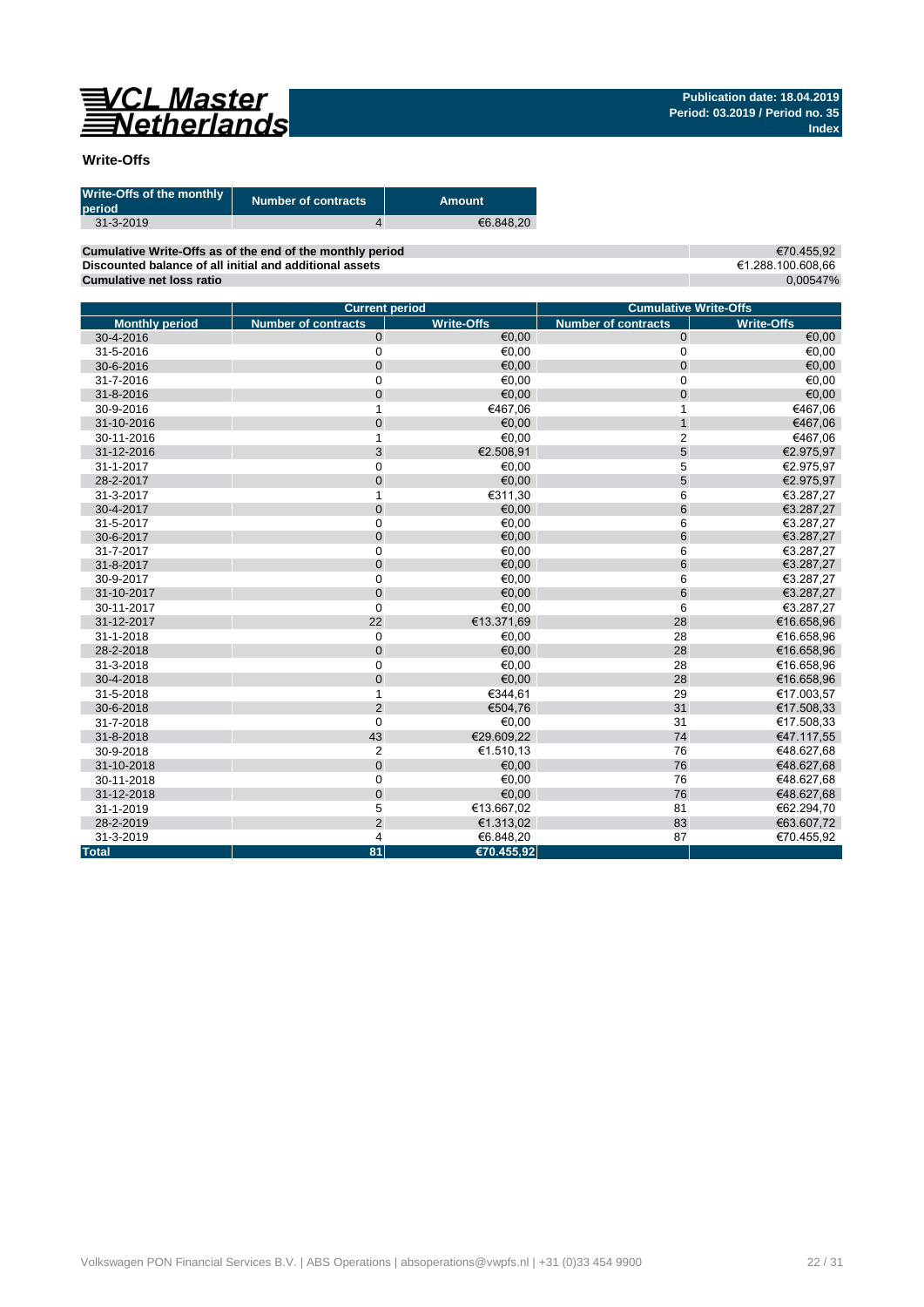

## **Write-Offs**

| Write-Offs of the monthly<br>period | <b>Number of contracts</b> | Amount    |
|-------------------------------------|----------------------------|-----------|
| $31 - 3 - 2019$                     |                            | €6.848.20 |

**Cumulative Write-Offs as of the end of the monthly period Discounted balance of all initial and additional assets Cumulative net loss ratio**

€70.455,92 €1.288.100.608,66 0,00547%

|                       | <b>Current period</b>      |                   | <b>Cumulative Write-Offs</b> |                   |  |  |  |
|-----------------------|----------------------------|-------------------|------------------------------|-------------------|--|--|--|
| <b>Monthly period</b> | <b>Number of contracts</b> | <b>Write-Offs</b> | <b>Number of contracts</b>   | <b>Write-Offs</b> |  |  |  |
| 30-4-2016             | $\mathbf 0$                | €0,00             | $\mathbf 0$                  | €0,00             |  |  |  |
| 31-5-2016             | $\mathbf 0$                | €0,00             | 0                            | €0,00             |  |  |  |
| 30-6-2016             | $\overline{0}$             | €0.00             | $\mathbf 0$                  | €0,00             |  |  |  |
| 31-7-2016             | $\mathbf 0$                | €0,00             | 0                            | €0,00             |  |  |  |
| 31-8-2016             | $\mathbf 0$                | €0,00             | $\mathbf 0$                  | €0,00             |  |  |  |
| 30-9-2016             | 1                          | €467,06           | 1                            | €467,06           |  |  |  |
| 31-10-2016            | $\mathbf 0$                | €0,00             | $\overline{1}$               | €467,06           |  |  |  |
| 30-11-2016            | 1                          | €0,00             | $\overline{\mathbf{c}}$      | €467,06           |  |  |  |
| 31-12-2016            | 3                          | €2.508,91         | 5                            | €2.975,97         |  |  |  |
| 31-1-2017             | $\mathbf 0$                | €0,00             | 5                            | €2.975,97         |  |  |  |
| 28-2-2017             | $\mathbf{0}$               | €0,00             | 5                            | €2.975,97         |  |  |  |
| 31-3-2017             | $\mathbf{1}$               | €311,30           | 6                            | €3.287,27         |  |  |  |
| 30-4-2017             | $\mathbf 0$                | €0,00             | 6                            | €3.287,27         |  |  |  |
| 31-5-2017             | $\mathbf 0$                | €0,00             | 6                            | €3.287,27         |  |  |  |
| 30-6-2017             | $\mathbf 0$                | €0,00             | 6                            | €3.287,27         |  |  |  |
| 31-7-2017             | $\mathbf 0$                | €0.00             | 6                            | €3.287,27         |  |  |  |
| 31-8-2017             | $\mathbf 0$                | €0,00             | 6                            | €3.287,27         |  |  |  |
| 30-9-2017             | $\mathbf 0$                | €0,00             | 6                            | €3.287,27         |  |  |  |
| 31-10-2017            | $\mathbf 0$                | €0,00             | 6                            | €3.287,27         |  |  |  |
| 30-11-2017            | $\mathbf 0$                | €0,00             | 6                            | €3.287,27         |  |  |  |
| 31-12-2017            | 22                         | €13.371,69        | 28                           | €16.658,96        |  |  |  |
| 31-1-2018             | $\mathbf 0$                | €0,00             | 28                           | €16.658,96        |  |  |  |
| 28-2-2018             | $\mathbf 0$                | €0,00             | 28                           | €16.658,96        |  |  |  |
| 31-3-2018             | $\mathbf 0$                | €0,00             | 28                           | €16.658,96        |  |  |  |
| 30-4-2018             | $\mathbf 0$                | €0,00             | 28                           | €16.658,96        |  |  |  |
| 31-5-2018             | $\mathbf{1}$               | €344.61           | 29                           | €17.003,57        |  |  |  |
| 30-6-2018             | $\overline{2}$             | €504,76           | 31                           | €17.508,33        |  |  |  |
| 31-7-2018             | $\mathbf 0$                | €0,00             | 31                           | €17.508,33        |  |  |  |
| 31-8-2018             | 43                         | €29.609.22        | 74                           | €47.117,55        |  |  |  |
| 30-9-2018             | $\overline{2}$             | €1.510,13         | 76                           | €48.627,68        |  |  |  |
| 31-10-2018            | $\mathbf 0$                | €0,00             | 76                           | €48.627,68        |  |  |  |
| 30-11-2018            | $\mathbf 0$                | €0,00             | 76                           | €48.627,68        |  |  |  |
| 31-12-2018            | $\pmb{0}$                  | €0,00             | 76                           | €48.627,68        |  |  |  |
| 31-1-2019             | 5                          | €13.667,02        | 81                           | €62.294,70        |  |  |  |
| 28-2-2019             | $\overline{2}$             | €1.313,02         | 83                           | €63.607,72        |  |  |  |
| 31-3-2019             | $\overline{4}$             | €6.848,20         | 87                           | €70.455,92        |  |  |  |
| <b>Total</b>          | 81                         | €70.455,92        |                              |                   |  |  |  |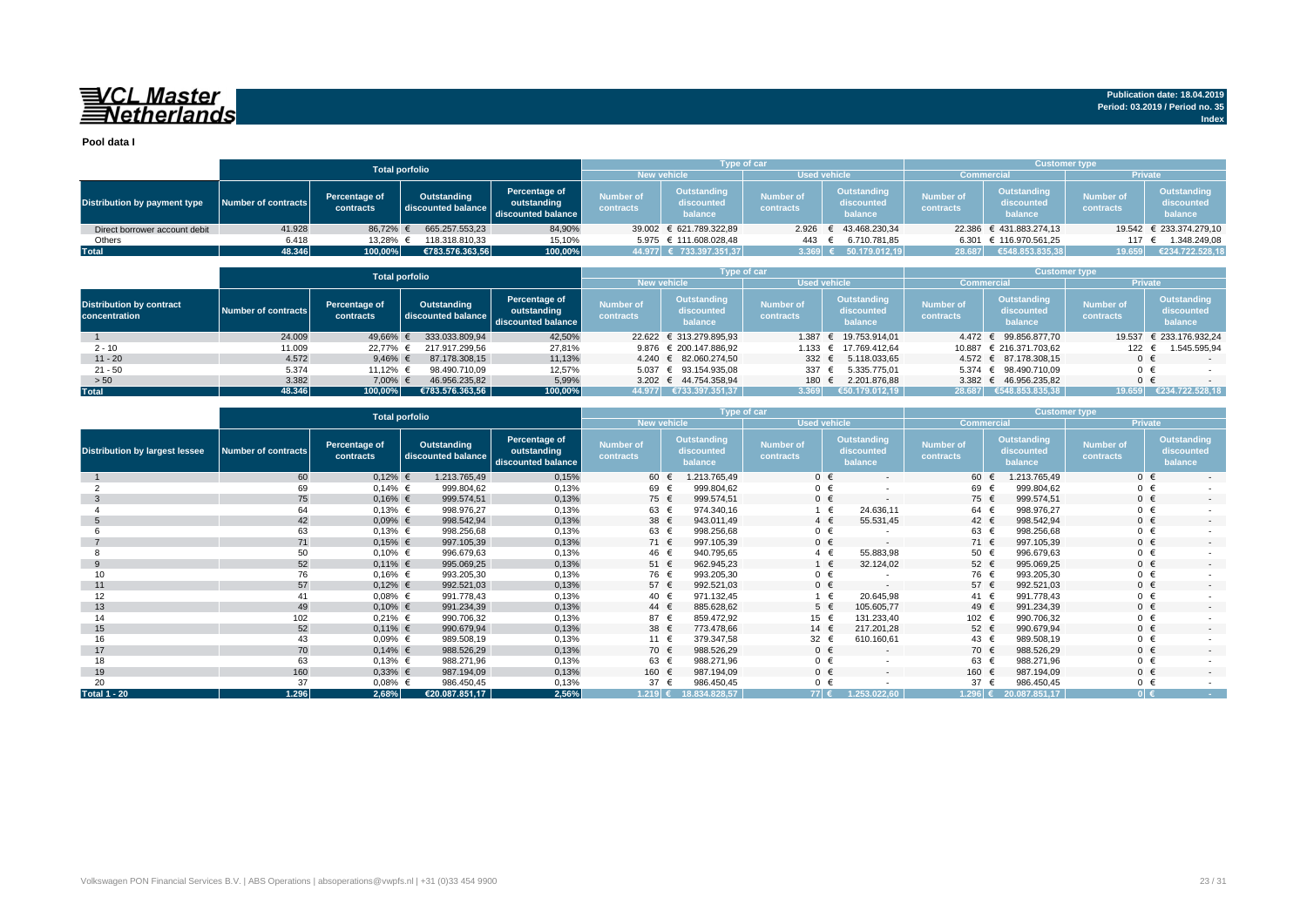## VCL Master<br>ENetherlands

**Pool data I**

|                               |                                                                                                                                              |          | <b>Total porfolio</b>         |                                      |                                                                | <b>Type of car</b>      |                               |                                      | <b>Customer type</b>          |                                      |        |                         |
|-------------------------------|----------------------------------------------------------------------------------------------------------------------------------------------|----------|-------------------------------|--------------------------------------|----------------------------------------------------------------|-------------------------|-------------------------------|--------------------------------------|-------------------------------|--------------------------------------|--------|-------------------------|
|                               |                                                                                                                                              |          |                               |                                      | <b>Used vehicle</b><br>New vehicle                             |                         | <b>Commercial</b>             |                                      | <b>Private</b>                |                                      |        |                         |
| Distribution by payment type  | Percentage of<br>Outstanding<br>Percentage of<br>Number of contracts<br>outstanding<br>discounted balance<br>contracts<br>discounted balance |          | <b>Number of</b><br>contracts | Outstanding<br>discounted<br>balance | Outstanding<br>Number of<br>discounted<br>contracts<br>balance |                         | <b>Number of</b><br>contracts | Outstanding<br>discounted<br>balance | <b>Number of</b><br>contracts | Outstanding<br>discounted<br>balance |        |                         |
| Direct borrower account debit | 41.928                                                                                                                                       | 86.72%   | 665.257.553.23                | 84,90%                               |                                                                | 39.002 € 621.789.322,89 |                               | 2.926 € 43.468.230,34                |                               | 22.386 € 431.883.274.13              |        | 19.542 € 233.374.279,10 |
| Others                        | 6.418                                                                                                                                        | 13.28% € | 118.318.810.33                | 15,10%                               |                                                                | 5.975 € 111.608.028,48  | 443                           | 6.710.781,85                         |                               | 6.301 € 116.970.561.25               | 117 (  | 1.348.249,08            |
| <b>Total</b>                  | 48.346                                                                                                                                       | 100,00%  | €783.576.363.56               | 100,00%                              |                                                                | 44.977 € 733.397.351,37 |                               | $3.369$ € 50.179.012,19              |                               |                                      | 19.659 | €234.722.528,18         |

|                                                  |                     |                            | <b>Total porfolio</b>             |                                                    | <b>Type of car</b>                        |                                      |                               |                                      | <b>Customer type</b>          |                                      |                               |                                      |
|--------------------------------------------------|---------------------|----------------------------|-----------------------------------|----------------------------------------------------|-------------------------------------------|--------------------------------------|-------------------------------|--------------------------------------|-------------------------------|--------------------------------------|-------------------------------|--------------------------------------|
|                                                  |                     |                            |                                   |                                                    | <b>New vehicle</b><br><b>Used vehicle</b> |                                      |                               |                                      |                               | <b>Commercial</b>                    | <b>Private</b>                |                                      |
| <b>Distribution by contract</b><br>concentration | Number of contracts | Percentage of<br>contracts | Outstanding<br>discounted balance | Percentage of<br>outstanding<br>discounted balance | <b>Number of</b><br>contracts             | Outstanding<br>discounted<br>balance | <b>Number of</b><br>contracts | Outstanding<br>discounted<br>balance | <b>Number of</b><br>contracts | Outstanding<br>discounted<br>balance | <b>Number of</b><br>contracts | Outstanding<br>discounted<br>balance |
|                                                  | 24.009              | 49,66%                     | 333.033.809.94                    | 42,50%                                             |                                           | 22.622 € 313.279.895,93              | 1.387                         | € 19.753.914.01                      |                               | 4.472 € 99.856.877,70                |                               | 19.537 € 233.176.932,24              |
| $2 - 10$                                         | 11.009              | 22.77%                     | 217.917.299.56                    | 27,81%                                             |                                           | 9.876 € 200.147.886.92               |                               | 1.133 € 17.769.412.64                | 10.887                        | € 216.371.703.62                     | 122                           | 1.545.595,94                         |
| $11 - 20$                                        | 4.572               | 9.46% $\in$                | 87.178.308.15                     | 11,13%                                             |                                           | 4.240 € 82.060.274.50                | 332 $\epsilon$                | 5.118.033.65                         |                               | 4.572 € 87.178.308.15                | $0 \in$                       | $-$                                  |
| $21 - 50$                                        | 5.374               | 11.12% €                   | 98.490.710.09                     | 12,57%                                             |                                           | 5.037 € 93.154.935.08                | 337 $\epsilon$                | 5.335.775.01                         |                               | 5.374 € 98.490.710.09                | $0 \in$                       |                                      |
| > 50                                             | 3.382               | 7,00% €                    | 46.956.235.82                     | 5,99%                                              |                                           | 3.202 € 44.754.358.94                | 180 €                         | 2.201.876.88                         |                               | 3.382 € 46.956.235,82                | $0 \in$                       |                                      |
| <b>Total</b>                                     | 48.346              | $100.00\%$                 | €783.576.363.56                   | 100,00%                                            | 44.977                                    | $\sqrt{5733.397.351.37}$             | 3.369                         | €50.179.012,19                       |                               | 28.687 €548.853.835.38               | 19.659                        | €234.722.528.18                      |

|                                       |                            |                            | <b>Total porfolio</b>             |                                                    |                               |                                      | Type of car                   |                                      | <b>Customer type</b>          |                                             |                               |                                             |
|---------------------------------------|----------------------------|----------------------------|-----------------------------------|----------------------------------------------------|-------------------------------|--------------------------------------|-------------------------------|--------------------------------------|-------------------------------|---------------------------------------------|-------------------------------|---------------------------------------------|
|                                       |                            |                            |                                   |                                                    | <b>New vehicle</b>            |                                      |                               | <b>Used vehicle</b>                  | <b>Commercial</b>             |                                             | Private                       |                                             |
| <b>Distribution by largest lessee</b> | <b>Number of contracts</b> | Percentage of<br>contracts | Outstanding<br>discounted balance | Percentage of<br>outstanding<br>discounted balance | <b>Number of</b><br>contracts | Outstanding<br>discounted<br>balance | <b>Number of</b><br>contracts | Outstanding<br>discounted<br>balance | <b>Number of</b><br>contracts | <b>Outstanding</b><br>discounted<br>balance | <b>Number of</b><br>contracts | <b>Outstanding</b><br>discounted<br>balance |
|                                       | 60                         | $0,12%$ €                  | 1.213.765,49                      | 0,15%                                              | 60 €                          | 1.213.765,49                         |                               | $0 \in$<br>$\sim$                    | 60 €                          | 1.213.765,49                                | $0 \in$                       | $\sim$                                      |
|                                       | 69                         | $0,14%$ €                  | 999.804,62                        | 0,13%                                              | 69 €                          | 999.804,62                           |                               | $0 \in$                              | 69 €                          | 999.804,62                                  | $0 \in$                       |                                             |
| -3                                    | 75                         | $0,16%$ €                  | 999.574,51                        | 0,13%                                              | 75 €                          | 999.574,51                           |                               | $0 \in$<br>$\overline{a}$            | 75 €                          | 999.574,51                                  | $0 \in$                       | $\sim$                                      |
|                                       | 64                         | $0,13%$ €                  | 998.976,27                        | 0,13%                                              | 63 €                          | 974.340,16                           |                               | 24.636,11<br>1 €                     | 64 €                          | 998.976,27                                  | $0 \in$                       |                                             |
|                                       | 42                         | $0,09%$ €                  | 998.542,94                        | 0,13%                                              | 38 $\epsilon$                 | 943.011,49                           |                               | $4 \in$<br>55.531,45                 | 42 €                          | 998.542,94                                  | $0 \in$                       | $\sim$                                      |
|                                       | 63                         | $0,13%$ €                  | 998.256,68                        | 0,13%                                              | 63 €                          | 998.256,68                           |                               | $0 \in$                              | $63 +$                        | 998.256,68                                  | $0 \in$                       |                                             |
|                                       | 71                         | $0,15%$ €                  | 997.105,39                        | 0,13%                                              | 71 €                          | 997.105,39                           | $0 \in$                       | $\overline{\phantom{a}}$             | 71 €                          | 997.105,39                                  | $0 \in$                       | $\overline{\phantom{a}}$                    |
|                                       | 50                         | $0,10%$ €                  | 996.679,63                        | 0,13%                                              | 46 €                          | 940.795,65                           | $4 \in$                       | 55.883,98                            | $50 \in$                      | 996.679,63                                  | $0 \in$                       |                                             |
| 9                                     | 52                         | $0,11\%$ €                 | 995.069,25                        | 0,13%                                              | 51 €                          | 962.945,23                           |                               | 32.124,02<br>$1 \in$                 | $52 \in$                      | 995.069,25                                  | $0 \in$                       | $\sim$                                      |
| 10                                    | 76                         | $0,16%$ €                  | 993.205,30                        | 0,13%                                              | 76 €                          | 993.205,30                           |                               | $0 \in$                              | 76 €                          | 993.205,30                                  | $0 \in$                       |                                             |
| 11                                    | 57                         | $0,12%$ €                  | 992.521,03                        | 0,13%                                              | 57 €                          | 992.521,03                           | $0 \in$                       | $\overline{\phantom{a}}$             | 57 €                          | 992.521.03                                  | $0 \in$                       | $\overline{\phantom{a}}$                    |
| 12                                    | 41                         | $0,08%$ €                  | 991.778,43                        | 0,13%                                              | 40 €                          | 971.132,45                           |                               | 20.645,98<br>1 €                     | 41 €                          | 991.778.43                                  | $0 \in$                       |                                             |
| 13                                    | 49                         | $0,10%$ €                  | 991.234,39                        | 0,13%                                              | 44 €                          | 885.628,62                           |                               | 5 €<br>105.605,77                    | 49 €                          | 991.234,39                                  | $0 \in$                       | $\sim$                                      |
| 14                                    | 102                        | $0,21%$ €                  | 990.706,32                        | 0,13%                                              | 87 €                          | 859.472,92                           | 15 €                          | 131.233,40                           | 102 €                         | 990.706,32                                  | $0 \in$                       |                                             |
| 15                                    | 52                         | $0,11\%$ €                 | 990.679,94                        | 0,13%                                              | 38 €                          | 773.478,66                           | 14 €                          | 217.201,28                           | $52 \in$                      | 990.679,94                                  | $0 \in$                       | $\overline{\phantom{a}}$                    |
| 16                                    | 43                         | $0.09%$ €                  | 989.508,19                        | 0,13%                                              | 11 €                          | 379.347,58                           | 32 $\epsilon$                 | 610.160,61                           | 43 €                          | 989.508,19                                  | $0 \in$                       |                                             |
| 17                                    | 70                         | $0,14%$ €                  | 988.526,29                        | 0,13%                                              | 70 €                          | 988.526,29                           | $0 \in$                       | $\overline{\phantom{a}}$             | 70 €                          | 988.526,29                                  | $0 \in$                       | $\sim$                                      |
| 18                                    | 63                         | $0,13%$ €                  | 988.271,96                        | 0,13%                                              | 63 €                          | 988.271,96                           |                               | $0 \in$                              | $63 \in$                      | 988.271.96                                  | $0 \in$                       |                                             |
| 19                                    | 160                        | $0,33%$ €                  | 987.194,09                        | 0,13%                                              | 160 €                         | 987.194,09                           |                               | $0 \in$<br>$\sim$                    | 160 €                         | 987.194,09                                  | $0 \in$                       | $\overline{\phantom{a}}$                    |
| 20                                    | 37                         | $0,08%$ €                  | 986.450,45                        | 0,13%                                              | 37 $\epsilon$                 | 986.450,45                           | $0 \in$                       |                                      | 37                            | 986.450,45                                  | $0 \in$                       |                                             |
| <b>Total 1 - 20</b>                   | 1.296                      | 2,68%                      | €20.087.851,17                    | 2,56%                                              |                               | 1.219 € 18.834.828,57                | $77 \in$                      | 1.253.022.60                         |                               | $1.296 \in 20.087.851,17$                   | $0 \in$                       | <b>Contract</b>                             |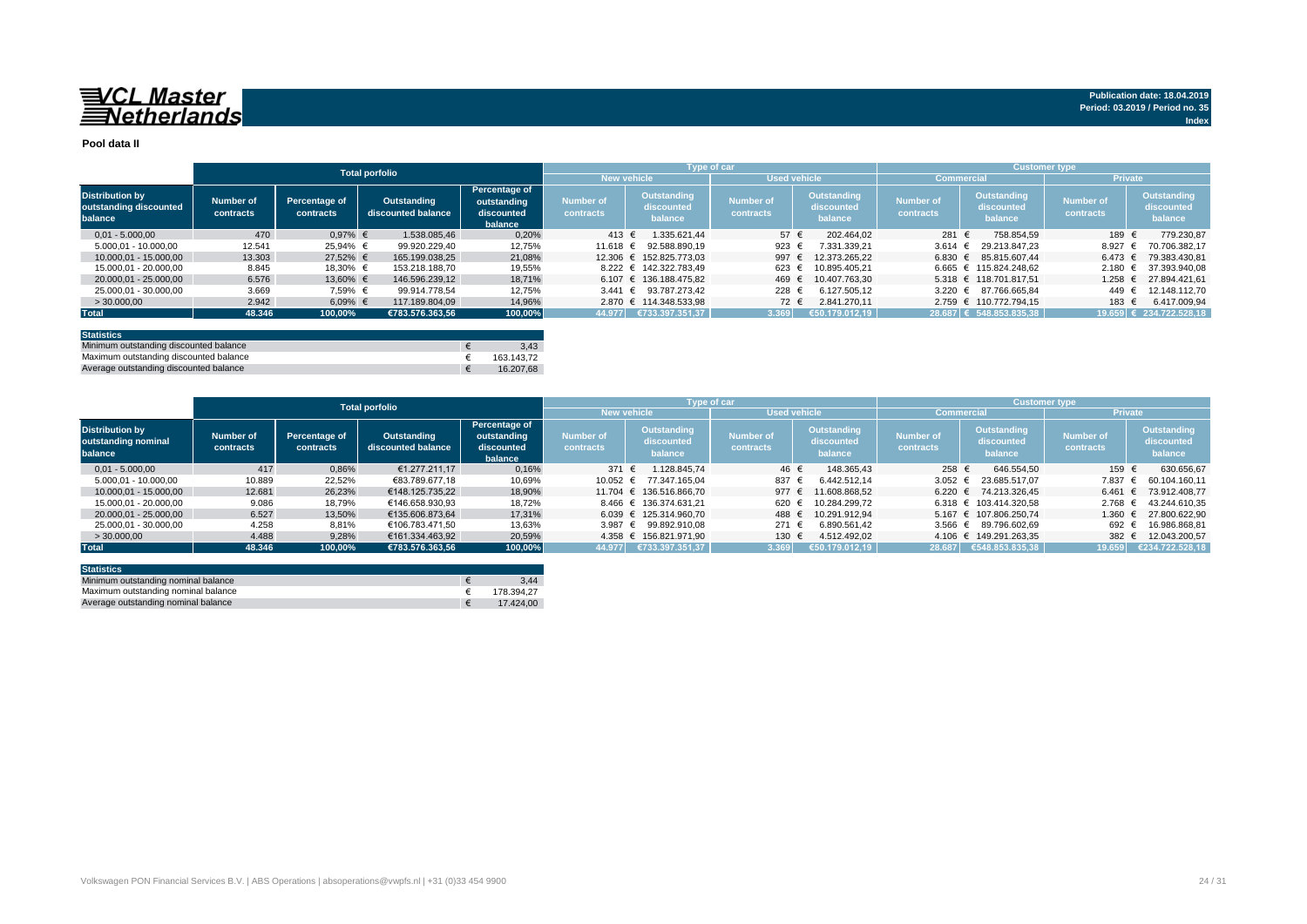#### **Pool data II**

|                                                             |                        |                            |                                   |                                                       |                               |                                             | Type of car                   |                                      | <b>Customer type</b>   |                                      |                               |                                             |
|-------------------------------------------------------------|------------------------|----------------------------|-----------------------------------|-------------------------------------------------------|-------------------------------|---------------------------------------------|-------------------------------|--------------------------------------|------------------------|--------------------------------------|-------------------------------|---------------------------------------------|
|                                                             |                        |                            | <b>Total porfolio</b>             |                                                       | New vehicle <sup>'</sup>      |                                             | <b>Used vehicle</b>           |                                      | <b>Commercial</b>      |                                      |                               | <b>Private</b>                              |
| <b>Distribution by</b><br>outstanding discounted<br>balance | Number of<br>contracts | Percentage of<br>contracts | Outstanding<br>discounted balance | Percentage of<br>outstanding<br>discounted<br>balance | <b>Number of</b><br>contracts | <b>Outstanding</b><br>discounted<br>balance | <b>Number of</b><br>contracts | Outstanding<br>discounted<br>balance | Number of<br>contracts | Outstanding<br>discounted<br>balance | <b>Number of</b><br>contracts | <b>Outstanding</b><br>discounted<br>balance |
| $0.01 - 5.000.00$                                           | 470                    | $0,97%$ €                  | 1.538.085.46                      | 0,20%                                                 | 413 €                         | 1.335.621.44                                | 57 $\epsilon$                 | 202.464.02                           | 281 €                  | 758.854.59                           | 189 €                         | 779.230.87                                  |
| 5.000.01 - 10.000.00                                        | 12.541                 | 25.94% €                   | 99.920.229.40                     | 12,75%                                                | 11.618 €                      | 92.588.890.19                               | 923 $\epsilon$                | 7.331.339.21                         |                        | 3.614 € 29.213.847.23                | 8.927                         | 70.706.382.17                               |
| 10.000.01 - 15.000.00                                       | 13.303                 | 27.52% €                   | 165.199.038.25                    | 21,08%                                                |                               | 12.306 € 152.825.773.03                     | 997                           | 12.373.265.22                        |                        | 6.830 € 85.815.607.44                | 6.473                         | 79.383.430.81                               |
| 15.000.01 - 20.000.00                                       | 8.845                  | 18.30% €                   | 153.218.188.70                    | 19,55%                                                |                               | 8.222 € 142.322.783.49                      | 623 €                         | 10.895.405.21                        |                        | 6.665 € 115.824.248.62               | 2.180                         | 37.393.940.08                               |
| 20.000.01 - 25.000.00                                       | 6.576                  | 13,60% €                   | 146.596.239,12                    | 18,71%                                                |                               | 6.107 € 136.188.475.82                      | 469                           | 10.407.763.30                        |                        | 5.318 € 118.701.817.51               | 1.258                         | 27.894.421.61                               |
| 25.000.01 - 30.000.00                                       | 3.669                  | 7,59% €                    | 99.914.778.54                     | 12,75%                                                |                               | 3.441 € 93.787.273.42                       | 228 €                         | 6.127.505.12                         |                        | 3.220 € 87.766.665.84                | 449                           | 12.148.112.70                               |
| >30.000,00                                                  | 2.942                  | 6,09% €                    | 117.189.804.09                    | 14,96%                                                |                               | 2.870 € 114.348.533.98                      | 72 €                          | 2.841.270.11                         |                        | 2.759 € 110.772.794.15               | 183 €                         | 6.417.009,94                                |
| <b>Total</b>                                                | 48.346                 | 100,00%                    | €783.576.363.56                   | 100,00%                                               |                               | 44.977 €733.397.351,37                      | 3.369                         | €50.179.012.19                       |                        | 28.687 € 548.853.835,38              |                               | $19.659$ € 234.722.528,18                   |
|                                                             |                        |                            |                                   |                                                       |                               |                                             |                               |                                      |                        |                                      |                               |                                             |

| <b>Statistics</b>                      |            |
|----------------------------------------|------------|
| Minimum outstanding discounted balance | 3.43       |
| Maximum outstanding discounted balance | 163.143.72 |
| Average outstanding discounted balance | 16.207.68  |

|                                                          |                        |                            | <b>Total porfolio</b>             |                                                       |                        | <b>Type of car</b>                   |                                      |                                      | <b>Customer type</b>          |                                      |                               |                                      |
|----------------------------------------------------------|------------------------|----------------------------|-----------------------------------|-------------------------------------------------------|------------------------|--------------------------------------|--------------------------------------|--------------------------------------|-------------------------------|--------------------------------------|-------------------------------|--------------------------------------|
|                                                          |                        |                            |                                   |                                                       |                        | <b>New vehicle</b>                   |                                      | <b>Used vehicle</b>                  |                               | <b>Commercial</b>                    | <b>Private</b>                |                                      |
| <b>Distribution by</b><br>outstanding nominal<br>balance | Number of<br>contracts | Percentage of<br>contracts | Outstanding<br>discounted balance | Percentage of<br>outstanding<br>discounted<br>balance | Number of<br>contracts | Outstanding<br>discounted<br>balance | <b>Number of</b><br><b>contracts</b> | Outstanding<br>discounted<br>balance | <b>Number of</b><br>contracts | Outstanding<br>discounted<br>balance | <b>Number of</b><br>contracts | Outstanding<br>discounted<br>balance |
| $0.01 - 5.000.00$                                        | 417                    | 0.86%                      | €1.277.211.17                     | 0,16%                                                 | 371                    | 1.128.845.74                         | 46 €                                 | 148.365.43                           | 258 €                         | 646.554.50                           | 159 €                         | 630.656.67                           |
| 5.000.01 - 10.000.00                                     | 10.889                 | 22,52%                     | €83.789.677.18                    | 10,69%                                                | 10.052 €               | 77.347.165.04                        | 837                                  | 6.442.512.14                         | 3.052 $\epsilon$              | 23.685.517.07                        | 7.837                         | 60.104.160.11                        |
| 10.000.01 - 15.000.00                                    | 12.681                 | 26,23%                     | €148.125.735.22                   | 18,90%                                                |                        | 11.704 € 136.516.866,70              | 977                                  | 11.608.868.52                        | $6.220$ €                     | 74.213.326.45                        | 6.461                         | 73.912.408.77                        |
| 15.000.01 - 20.000.00                                    | 9.086                  | 18.79%                     | €146.658.930.93                   | 18.72%                                                |                        | 8.466 € 136.374.631.21               | 620                                  | 10.284.299.72                        |                               | 6.318 € 103.414.320.58               | $2.768 \t∈$                   | 43.244.610.35                        |
| 20.000.01 - 25.000.00                                    | 6.527                  | 13,50%                     | €135.606.873.64                   | 17.31%                                                |                        | 6.039 € 125.314.960.70               | 488                                  | 10.291.912.94                        |                               | 5.167 € 107.806.250.74               | 1.360                         | 27.800.622.90                        |
| 25.000.01 - 30.000.00                                    | 4.258                  | 8,81%                      | €106.783.471,50                   | 13,63%                                                |                        | 3.987 € 99.892.910.08                | 271                                  | 6.890.561.42                         | $3.566$ €                     | 89.796.602,69                        | 692                           | 16.986.868,81                        |
| >30.000.00                                               | 4.488                  | 9.28%                      | €161.334.463.92                   | 20.59%                                                |                        | 4.358 € 156.821.971.90               | 130                                  | 4.512.492.02                         |                               | 4.106 € 149.291.263.35               | 382                           | 12.043.200.57                        |
| <b>Total</b>                                             | 48.346                 | 100.00%                    | €783.576.363.56                   | 100.00%                                               | 44.977                 | ₹733.397.351,37                      | 3.369                                | 650.179.012,19                       | 28.687                        | €548.853.835.38                      | 19.659                        | €234.722.528,18                      |

| <b>Statistics</b>                   |            |
|-------------------------------------|------------|
| Minimum outstanding nominal balance | 3.44       |
| Maximum outstanding nominal balance | 178.394.27 |
| Average outstanding nominal balance | 17.424.00  |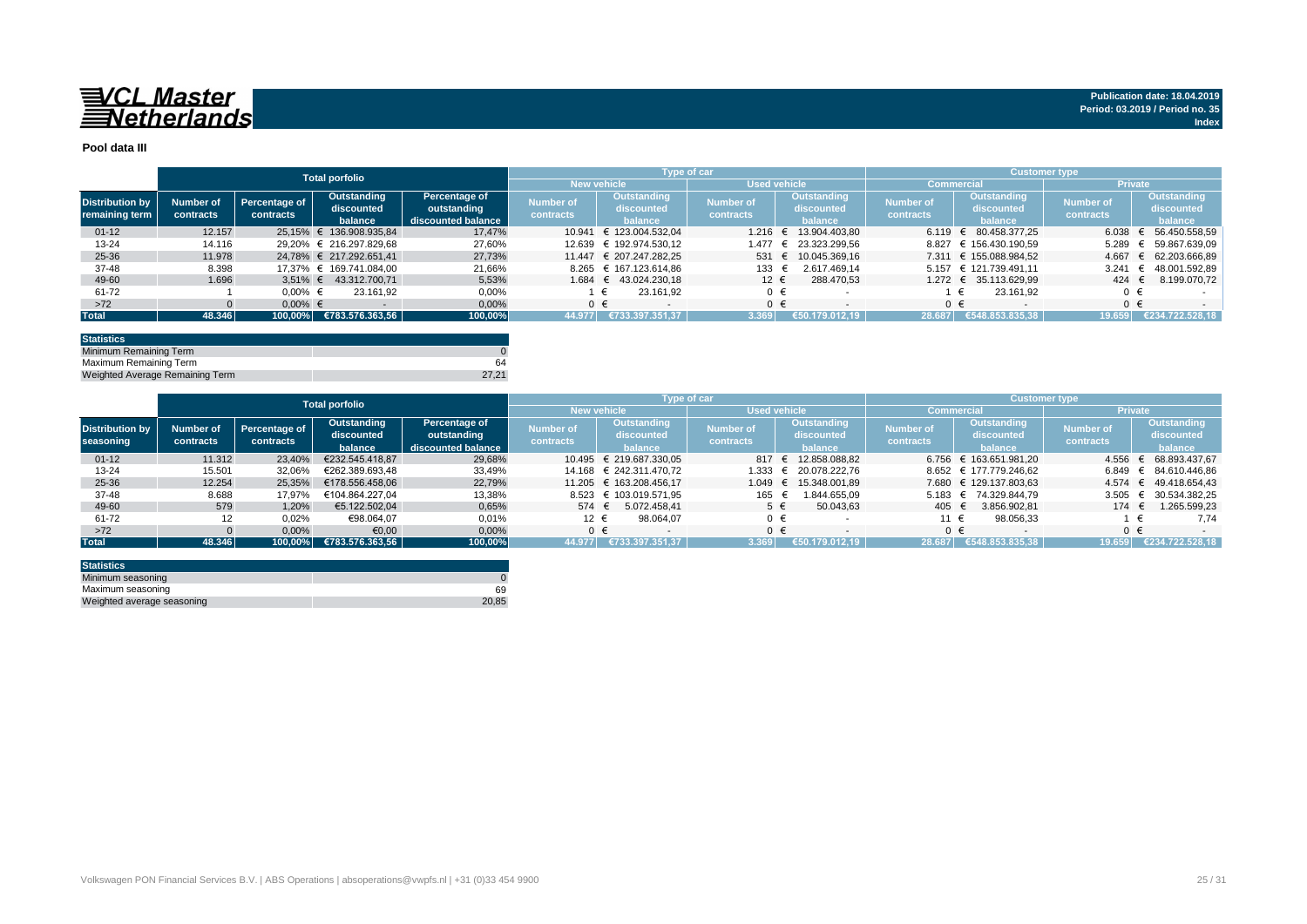

#### **Pool data III**

|                                          |                        |                            | <b>Total porfolio</b>      |                              |                               |                           | Type of car                   |                                  | <b>Customer type</b>          |                           |                               |                           |
|------------------------------------------|------------------------|----------------------------|----------------------------|------------------------------|-------------------------------|---------------------------|-------------------------------|----------------------------------|-------------------------------|---------------------------|-------------------------------|---------------------------|
|                                          |                        |                            |                            |                              |                               | <b>New vehicle</b>        | Used vehicle                  |                                  |                               | <b>Commercial</b>         | <b>Private</b>                |                           |
| <b>Distribution by</b><br>remaining term | Number of<br>contracts | Percentage of<br>contracts | Outstanding<br>discounted  | Percentage of<br>outstanding | <b>Number of</b><br>contracts | Outstanding<br>discounted | <b>Number of</b><br>contracts | <b>Outstanding</b><br>discounted | <b>Number of</b><br>contracts | Outstanding<br>discounted | <b>Number of</b><br>contracts | Outstanding<br>discounted |
|                                          |                        |                            | balance                    | discounted balance           |                               | balance                   |                               | balance                          |                               | balance                   |                               | balance                   |
| $01 - 12$                                | 12.157                 |                            | 25.15% € 136.908.935.84    | 17.47%                       | 10.941                        | € 123.004.532.04          | 1.216                         | 13.904.403.80<br>€               | 6.119                         | 80.458.377.25             | 6.038 $\in$                   | 56.450.558.59             |
| $13 - 24$                                | 14.116                 |                            | 29.20% € 216.297.829.68    | 27,60%                       | 12.639                        | € 192.974.530.12          | 1.477                         | € 23.323.299.56                  |                               | 8.827 € 156.430.190.59    | 5.289                         | 59.867.639.09             |
| 25-36                                    | 11.978                 |                            | 24.78% € 217.292.651.41    | 27.73%                       |                               | 11.447 € 207.247.282.25   | 531 €                         | 10.045.369.16                    |                               | 7.311 € 155.088.984.52    | 4.667                         | 62.203.666.89             |
| 37-48                                    | 8.398                  |                            | 17.37% € 169.741.084.00    | 21.66%                       |                               | 8.265 € 167.123.614.86    | 133 €                         | 2.617.469.14                     |                               | 5.157 € 121.739.491.11    | 3.241                         | 48.001.592.89             |
| 49-60                                    | 1.696                  |                            | $3.51\% \in 43.312.700.71$ | 5.53%                        |                               | 1.684 € 43.024.230.18     | $12 \epsilon$                 | 288.470.53                       |                               | 1.272 € 35.113.629.99     | 424 $\in$                     | 8.199.070.72              |
| 61-72                                    |                        | $0.00\%$ €                 | 23.161.92                  | 0,00%                        |                               | 23.161.92                 | $0 \in$                       |                                  |                               | 23.161.92                 |                               |                           |
| $>72$                                    |                        | $0.00\%$ €                 |                            | 0,00%                        |                               | $0 \in$                   | $0 \in$                       |                                  |                               | $0 \in$                   | $0 \in$                       |                           |
| <b>Total</b>                             | 48.346                 | 100.00%                    | €783.576.363,56            | 100,00%                      | 44.977                        | €733.397.351.37           | 3.369                         | €50.179.012,19                   | 28.687                        | €548.853.835,38           | 19.659                        | €234.722.528.18           |

| <b>Statistics</b>               |       |
|---------------------------------|-------|
| Minimum Remaining Term          |       |
| Maximum Remaining Term          | 64    |
| Weighted Average Remaining Term | 27.21 |

|                        |           |               | <b>Total porfolio</b> |                      |                    | Type of car             |                     |                       | <b>Customer type</b>          |                        |                        |                       |
|------------------------|-----------|---------------|-----------------------|----------------------|--------------------|-------------------------|---------------------|-----------------------|-------------------------------|------------------------|------------------------|-----------------------|
|                        |           |               |                       |                      | <b>New vehicle</b> |                         | <b>Used vehicle</b> |                       |                               | <b>Commercial</b>      | <b>Private</b>         |                       |
|                        |           |               | Outstanding           | <b>Percentage of</b> | Number of          | <b>Outstanding</b>      |                     | <b>Outstanding</b>    |                               | <b>Outstanding</b>     |                        | Outstanding           |
| <b>Distribution by</b> | Number of | Percentage of | discounted            | outstanding          | contracts          | discounted<br>balance   | <b>Number of</b>    | discounted            | <b>Number of</b><br>contracts | discounted             | Number of<br>contracts | discounted            |
| seasoning              | contracts | contracts     | balance               | discounted balance   |                    |                         | contracts           | balance               |                               | balance                |                        | balance               |
| $01 - 12$              | 11.312    | 23,40%        | €232.545.418.87       | 29,68%               |                    | 10.495 € 219.687.330.05 |                     | 817 € 12.858.088.82   |                               | 6.756 € 163.651.981.20 | 4.556                  | € 68.893.437,67       |
| $13 - 24$              | 15.501    | 32,06%        | €262.389.693.48       | 33,49%               |                    | 14.168 € 242.311.470.72 | 1.333               | € 20.078.222.76       |                               | 8.652 € 177.779.246,62 |                        | 6.849 € 84.610.446.86 |
| $25 - 36$              | 12.254    | 25.35%        | €178.556.458.06       | 22,79%               |                    | 11.205 € 163.208.456.17 |                     | 1.049 € 15.348.001,89 |                               | 7.680 € 129.137.803.63 |                        | 4.574 € 49.418.654.43 |
| 37-48                  | 8.688     | 17.97%        | €104.864.227.04       | 13,38%               |                    | 8.523 € 103.019.571.95  | 165 €               | 1.844.655.09          | 5.183                         | € 74.329.844.79        |                        | 3.505 € 30.534.382,25 |
| 49-60                  | 579       | 1,20%         | €5.122.502.04         | 0,65%                | 574 €              | 5.072.458.41            | $5 \in$             | 50.043,63             | 405                           | 3.856.902.81           | 174 €                  | 1.265.599,23          |
| 61-72                  | 12        | 0,02%         | €98.064,07            | 0,01%                | 12 €               | 98.064.07               | $0 \in$             |                       | 11 €                          | 98.056,33              |                        | 7,74                  |
| $>72$                  |           | 0,00%         | €0,00                 | 0,00%                | $0 \in$            |                         | $0 \in$             |                       |                               | ∩ €                    | $0 \in$                |                       |
| <b>Total</b>           | 48.346    | 100.00%       | €783.576.363.56       | 100,00%              | 44.977             | 6733.397.351.37         | 3.369               | €50.179.012.19        | 28.687                        | €548.853.835.38        | 19.659                 | €234.722.528.18       |

| <b>Statistics</b>          |       |
|----------------------------|-------|
| Minimum seasoning          |       |
| Maximum seasoning          | 69    |
| Weighted average seasoning | 20,85 |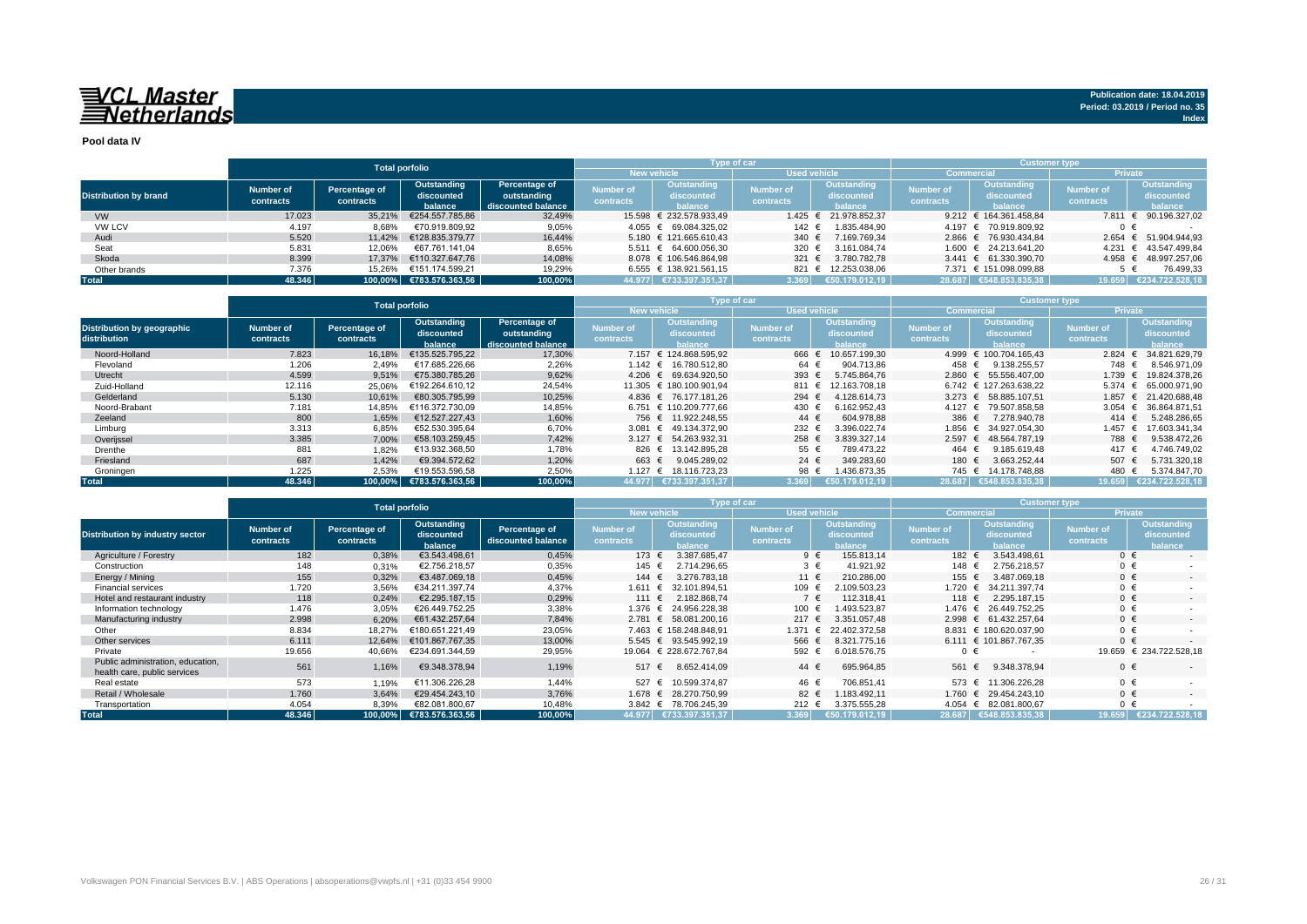**Pool data IV**

|                              |           |               | <b>Total porfolio</b>   |                    |                  | Type of car                           |                     |                                 | <b>Customer type</b> |                           |                  |                       |  |  |
|------------------------------|-----------|---------------|-------------------------|--------------------|------------------|---------------------------------------|---------------------|---------------------------------|----------------------|---------------------------|------------------|-----------------------|--|--|
|                              |           |               |                         |                    |                  | <b>New vehicle</b>                    | <b>Used vehicle</b> |                                 | <b>Commercial</b>    |                           | <b>Private</b>   |                       |  |  |
|                              | Number of |               | Outstanding             | Percentage of      | Number of        | Outstanding                           | <b>Number of</b>    | Outstanding<br><b>Number of</b> |                      | Outstanding               | <b>Number of</b> | Outstanding           |  |  |
| <b>Distribution by brand</b> |           | Percentage of | discounted              | outstanding        |                  | discounted<br>halance                 |                     | discounted                      |                      | discounted                |                  | discounted            |  |  |
|                              | contracts | contracts     | balance                 | discounted balance | <b>contracts</b> |                                       | <b>contracts</b>    | balance                         | contracts            | halance                   | contracts        | <b>balance</b>        |  |  |
| <b>VW</b>                    | 17.023    | 35.21%        | €254.557.785,86         | 32,49%             |                  | 15.598 € 232.578.933.49               |                     | 1.425 € 21.978.852,37           |                      | 9.212 € 164.361.458.84    | 7.811            | € 90.196.327,02       |  |  |
| <b>VW LCV</b>                | 4.197     | 8,68%         | €70.919.809.92          | 9,05%              |                  | 4.055 € 69.084.325.02                 | 142 €               | 1.835.484,90                    |                      | 4.197 € 70.919.809.92     | 0 €              |                       |  |  |
| Audi                         | 5.520     | 11.42%        | €128.835.379.77         | 16.44%             |                  | $5.180 \text{ } \in 121.665.610.43$   | 340 $\epsilon$      | 7.169.769.34                    |                      | 2.866 € 76.930.434.84     | 2.654            | € 51.904.944,93       |  |  |
| Seat                         | 5.831     | 12.06%        | €67.761.141.04          | 8,65%              |                  | $5.511 \quad \in \quad 64.600.056.30$ | 320 $\epsilon$      | 3.161.084.74                    |                      | 1.600 € 24.213.641.20     | 4.231            | € 43.547.499.84       |  |  |
| Skoda                        | 8.399     | 17.37%        | €110.327.647.76         | 14.08%             |                  | 8.078 € 106.546.864.98                | 321 $\epsilon$      | 3.780.782.78                    |                      | $3.441 \in 61.330.390.70$ |                  | 4.958 € 48.997.257,06 |  |  |
| Other brands                 | 7.376     | 15.26%        | €151.174.599.21         | 19.29%             |                  | 6.555 € 138.921.561.15                |                     | 821 € 12.253.038.06             |                      | 7.371 € 151.098.099.88    |                  | 76.499.33             |  |  |
| <b>Total</b>                 | 48.346    |               | 100,00% €783.576.363,56 | 100,00%            |                  | 44.977   €733.397.351,37              | 3.369               | €50.179.012.19                  |                      | 28.687 €548.853.835.38    | 19.659           | €234.722.528.18       |  |  |

|                                            |                                                                                              | <b>Total porfolio</b> |                                                    |                               |                                       | Type of car                   |                                             |                | <b>Customer type</b>                        |                        |                                                    |                    |  |  |
|--------------------------------------------|----------------------------------------------------------------------------------------------|-----------------------|----------------------------------------------------|-------------------------------|---------------------------------------|-------------------------------|---------------------------------------------|----------------|---------------------------------------------|------------------------|----------------------------------------------------|--------------------|--|--|
|                                            |                                                                                              |                       |                                                    |                               |                                       | <b>New vehicle</b>            | <b>Used vehicle</b>                         |                |                                             | Commercial             | <b>Private</b>                                     |                    |  |  |
| Distribution by geographic<br>distribution | Outstanding<br>Number of<br>Percentage of<br>discounted<br>contracts<br>contracts<br>balance |                       | Percentage of<br>outstanding<br>discounted balance | <b>Number of</b><br>contracts | Outstanding<br>discounted<br>halance. | <b>Number of</b><br>contracts | <b>Outstanding</b><br>discounted<br>balance |                | Outstanding<br>discounted<br><b>balance</b> | Number of<br>contracts | <b>Outstanding</b><br>discounted<br><b>balance</b> |                    |  |  |
| Noord-Holland                              | 7.823                                                                                        | 16.18%                | €135.525.795.22                                    | 17,30%                        |                                       | 7.157 € 124.868.595.92        | 666 €                                       | 10.657.199.30  |                                             | 4.999 € 100.704.165.43 | 2.824                                              | 34.821.629.79      |  |  |
| Flevoland                                  | 1.206                                                                                        | 2.49%                 | €17.685.226.66                                     | 2,26%                         |                                       | 1.142 € 16.780.512.80         | 64 €                                        | 904.713.86     | 458 €                                       | 9.138.255.57           | 748 €                                              | 8.546.971.09       |  |  |
| Utrecht                                    | 4.599                                                                                        | 9,51%                 | €75.380.785.26                                     | 9,62%                         |                                       | 4.206 € 69.634.920.50         | 393 $\epsilon$                              | 5.745.864.76   |                                             | 2.860 € 55.556.407.00  | 1.739                                              | 19.824.378.26      |  |  |
| Zuid-Holland                               | 12.116                                                                                       | 25,06%                | €192.264.610.12                                    | 24,54%                        |                                       | 11.305 € 180.100.901.94       | 811 €                                       | 12.163.708.18  |                                             | 6.742 € 127.263.638.22 | 5.374                                              | € 65.000.971.90    |  |  |
| Gelderland                                 | 5.130                                                                                        | 10.61%                | €80.305.795.99                                     | 10,25%                        |                                       | 4.836 € 76.177.181.26         | 294 $\in$                                   | .128.614.73    |                                             | 3.273 € 58.885.107.51  | 1.857                                              | 21.420.688.48<br>€ |  |  |
| Noord-Brabant                              | 7.181                                                                                        | 14.85%                | €116.372.730.09                                    | 14,85%                        |                                       | 6.751 € 110.209.777.66        | 430 €                                       | 6.162.952.43   | $4.127 \text{ } \in$                        | 79.507.858.58          | 3.054                                              | 36.864.871.51<br>€ |  |  |
| Zeeland                                    | 800                                                                                          | 1,65%                 | €12.527.227.43                                     | 1,60%                         |                                       | 756 € 11.922.248.55           | $44 \in$                                    | 604.978.88     | 386 €                                       | 7.278.940.78           | 414 €                                              | 5.248.286.65       |  |  |
| Limburg                                    | 3.313                                                                                        | 6,85%                 | €52.530.395.64                                     | 6,70%                         |                                       | 3.081 € 49.134.372,90         | 232 €                                       | 3.396.022.74   | 1.856 €                                     | 34.927.054.30          | 1.457                                              | 17.603.341.34      |  |  |
| Overijssel                                 | 3.385                                                                                        | 7,00%                 | €58.103.259.45                                     | 7,42%                         |                                       | 3.127 € 54.263.932.31         | 258 €                                       | 3.839.327.14   | $2.597$ €                                   | 48.564.787.19          | 788 €                                              | 9.538.472.26       |  |  |
| Drenthe                                    | 881                                                                                          | 1,82%                 | €13.932.368.50                                     | 1.78%                         | 826 €                                 | 13.142.895.28                 | 55 €                                        | 789.473.22     | 464 €                                       | 9.185.619.48           | 417 €                                              | 4.746.749.02       |  |  |
| Friesland                                  | 687                                                                                          | 1.42%                 | €9.394.572.62                                      | 1.20%                         | 663 €                                 | 9.045.289.02                  | 24 $\in$                                    | 349.283.60     | 180                                         | 3.663.252.44           | 507 €                                              | 5.731.320,18       |  |  |
| Groningen                                  | 1.225                                                                                        | 2,53%                 | €19.553.596,58                                     | 2,50%                         | 1.127 $∈$                             | 18.116.723.23                 | 98 €                                        | 1.436.873,35   | 745 €                                       | 14.178.748.88          | 480                                                | 5.374.847,70       |  |  |
| <b>Total</b>                               | 48.346                                                                                       | 100.00%               | €783.576.363.56                                    | 100,00%                       |                                       | 44.977 E733.397.351.37        | 3.369                                       | €50.179.012.19 |                                             | 28.687 €548.853.835.38 | 19.659                                             | €234.722.528.18    |  |  |

|                                                                   |                                              | <b>Total porfolio</b>      |                                      |                                     |                               |                                             | Type of car          |                                      |                               | <b>Customer type</b>                        |                        |                                             |  |  |  |
|-------------------------------------------------------------------|----------------------------------------------|----------------------------|--------------------------------------|-------------------------------------|-------------------------------|---------------------------------------------|----------------------|--------------------------------------|-------------------------------|---------------------------------------------|------------------------|---------------------------------------------|--|--|--|
|                                                                   |                                              |                            |                                      |                                     | <b>New vehicle</b>            |                                             | <b>Used vehicle</b>  |                                      | Commercia                     |                                             | <b>Private</b>         |                                             |  |  |  |
| <b>Distribution by industry sector</b>                            | <b>Number of</b><br>contracts                | Percentage of<br>contracts | Outstanding<br>discounted<br>balance | Percentage of<br>discounted balance | <b>Number of</b><br>contracts | <b>Outstanding</b><br>discounted<br>balance |                      | Outstanding<br>discounted<br>balance | <b>Number of</b><br>contracts | <b>Outstanding</b><br>discounted<br>balance | Number of<br>contracts | <b>Outstanding</b><br>discounted<br>balance |  |  |  |
| Agriculture / Forestry                                            | 182                                          | 0,38%                      | €3.543.498.61                        | 0,45%                               | 173 €                         | 3.387.685.47                                | $9 \in$              | 155.813.14                           | 182 €                         | 3.543.498.61                                | $0 \in$                |                                             |  |  |  |
| Construction                                                      | 148                                          | 0,31%                      | €2.756.218,57                        | 0,35%                               | 145 €                         | 2.714.296.65                                | $3 \in$              | 41.921,92                            | 148 €                         | 2.756.218.57                                | $0 \in$                |                                             |  |  |  |
| Energy / Mining                                                   | 155                                          | 0,32%                      | €3.487.069.18                        | 0,45%                               | 144 $\in$                     | 3.276.783.18                                | 11 €                 | 210.286.00                           | 155 €                         | 3.487.069.18                                | $0 \in$                | $\sim$                                      |  |  |  |
| <b>Financial services</b>                                         | 1.720                                        | 3,56%                      | €34.211.397.74                       | 4,37%                               | 1.611 €                       | 32.101.894.51                               | 109 €                | 109.503.23                           | 1.720 €                       | 34.211.397.74                               | $0 \in$                |                                             |  |  |  |
| Hotel and restaurant industry                                     | 118                                          | 0,24%                      | €2.295.187.15                        | 0,29%                               | 111 €                         | 2.182.868.74                                | $7 \in$              | 112.318.41                           | 118 €                         | 2.295.187.15                                | $0 \in$                | $\sim$                                      |  |  |  |
| Information technology                                            | 1.476                                        | 3,05%                      | €26.449.752.25                       | 3,38%                               |                               | 1.376 € 24.956.228.38                       | 100 €                | .493.523.87                          | 1.476 €                       | 26.449.752.25                               | $0 \in$                |                                             |  |  |  |
| Manufacturing industry                                            | 2.998                                        | 6,20%                      | €61.432.257,64                       | 7,84%                               |                               | 2.781 € 58.081.200,16                       | $217 \t∈$            | 3.351.057,48                         | 2.998 ∈                       | 61.432.257.64                               | $0 \in$                | $\sim$                                      |  |  |  |
| Other                                                             | 8.834                                        | 18.27%                     | €180.651.221.49                      | 23,05%                              |                               | 7.463 € 158.248.848.91                      | 1.371                | 22.402.372.58                        |                               | 8.831 € 180.620.037,90                      | $0 \in$                |                                             |  |  |  |
| Other services                                                    | 6.111                                        | 12,64%                     | €101.867.767.35                      | 13,00%                              |                               | 5.545 € 93.545.992.19                       | 566 €                | 8.321.775.16                         |                               | $6.111 \text{ } \in 101.867.767.35$         | $0 \in$                |                                             |  |  |  |
| Private                                                           | 19.656                                       | 40,66%                     | €234.691.344,59                      | 29,95%                              |                               | 19.064 € 228.672.767.84                     | 592 €                | 6.018.576.75                         | $0 \in$                       |                                             |                        | 19.659 € 234.722.528.18                     |  |  |  |
| Public administration, education,<br>health care, public services | 561                                          | 1,16%                      | €9.348.378,94                        | 1,19%                               | 517 $\epsilon$                | 8.652.414.09                                | 44 $\in$             | 695.964,85                           | 561 €                         | 9.348.378.94                                | $0 \in$                |                                             |  |  |  |
| Real estate                                                       | 573                                          | 1,19%                      | €11.306.226.28                       | 1.44%                               | 527                           | 10.599.374.87<br>$\ddot{ }$                 | 46 €                 | 706.851.41                           | 573 €                         | 11.306.226.28                               | $0 \in$                |                                             |  |  |  |
| Retail / Wholesale                                                | 1.760                                        | 3,64%                      | €29.454.243.10                       | 3,76%                               | $1.678$ €                     | 28.270.750.99                               | 82 €                 | .183.492.11                          | 1.760 $∈$                     | 29.454.243.10                               | $0 \in$                | $\sim$                                      |  |  |  |
| Transportation                                                    | 4.054<br>8,39%<br>€82.081.800,67<br>10,48%   |                            |                                      | 3.842 € 78.706.245.39               | 212 $\epsilon$                | 3.375.555,28                                | $4.054 \text{ } \in$ | 82.081.800.67                        | $0 \in$                       |                                             |                        |                                             |  |  |  |
| <b>Total</b>                                                      | 48.346<br>100,00% €783.576.363,56<br>100,00% |                            |                                      |                                     |                               | 44.977 €733.397.351.37                      | 3.369                | €50.179.012.19                       |                               | 28.687 €548.853.835.38                      | 19.659                 | €234.722.528.18                             |  |  |  |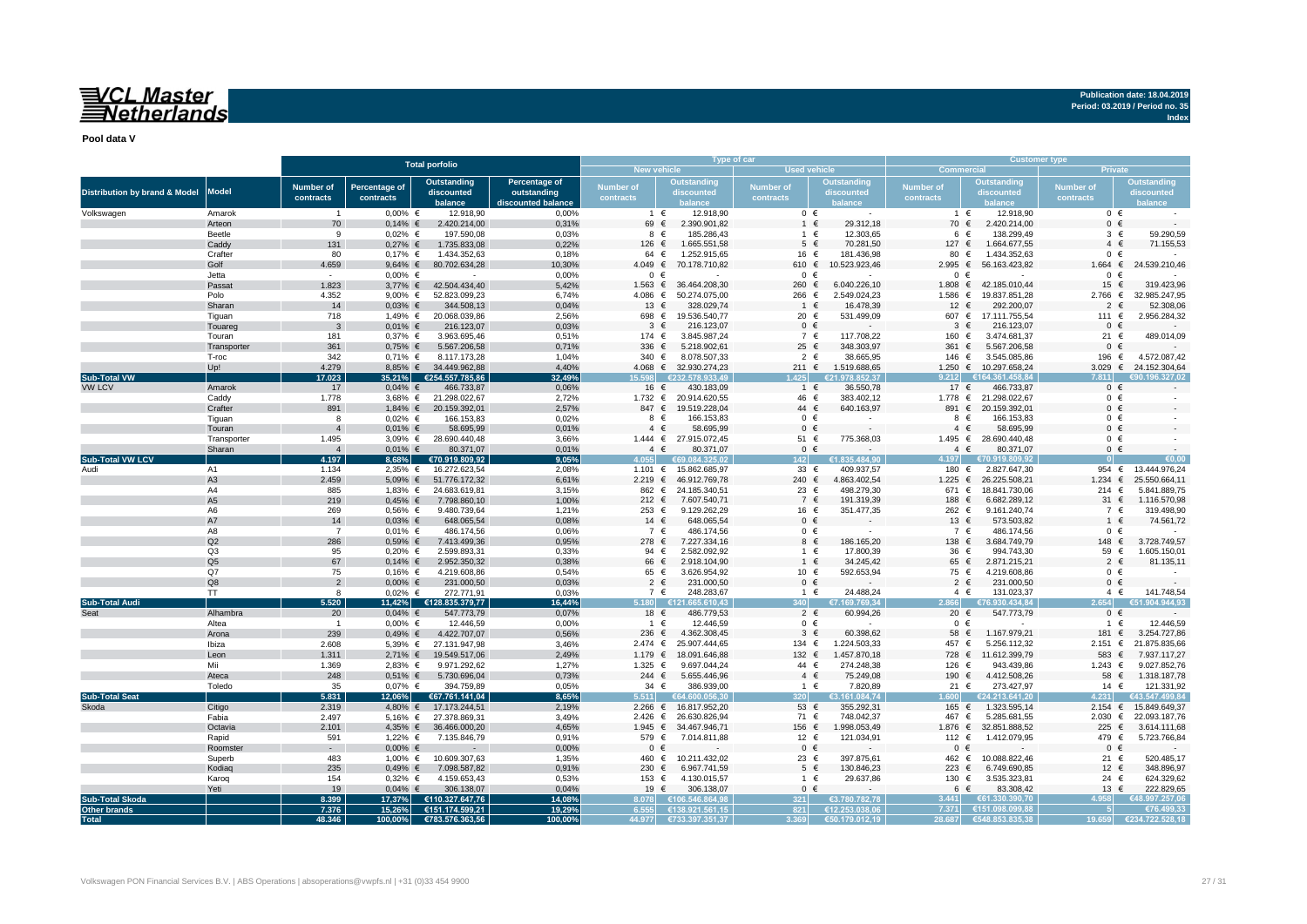## VCL Master<br>Netherlands

**Publication date: 18.04.2019 Period: 03.2019 / Period no. 35**

**Index**

**Pool data V**

|                                          |                      |                         |                      | <b>Total porfolio</b>       |                    |                  |                                        | Type of car      |                    | <b>Customer type</b> |                             |                  |                             |  |  |
|------------------------------------------|----------------------|-------------------------|----------------------|-----------------------------|--------------------|------------------|----------------------------------------|------------------|--------------------|----------------------|-----------------------------|------------------|-----------------------------|--|--|
|                                          |                      |                         |                      |                             |                    |                  | New vehicle                            | Used vehicle     |                    | Commercial           |                             |                  | <b>Private</b>              |  |  |
|                                          |                      | <b>Number of</b>        | <b>Percentage of</b> | Outstanding                 | Percentage of      | <b>Number of</b> | Outstanding                            | <b>Number of</b> | <b>Outstanding</b> | <b>Number of</b>     | <b>Outstanding</b>          | Number of        | <b>Outstanding</b>          |  |  |
| <b>Distribution by brand &amp; Model</b> | <b>Model</b>         |                         |                      | discounted                  | outstanding        | contracts        | discounted                             |                  | discounted         | contracts            | discounted                  | contracts        | discounted                  |  |  |
|                                          |                      | contracts               | contracts            | balance                     | liscounted balance |                  |                                        | contracts        |                    |                      |                             |                  |                             |  |  |
| Volkswagen                               | Amarok               | -1                      | $0,00%$ €            | 12.918,90                   | 0,00%              |                  | 12.918,90<br>$1 \in$                   | $0 \in$          |                    | $1 \in$              | 12.918,90                   |                  | $0 \in$                     |  |  |
|                                          | Arteon               | 70                      | $0,14%$ €            | 2.420.214,00                | 0,31%              | 69 €             | 2.390.901.82                           | $1 \in$          | 29.312,18          | 70 €                 | 2.420.214,00                |                  | $0 \in$                     |  |  |
|                                          | Beetle               | 9                       | $0.02\%$ €           | 197.590,08                  | 0,03%              |                  | 185.286,43<br>8 €                      | 1 €              | 12.303,65          | 6 €                  | 138.299,49                  |                  | $3 \in$<br>59.290,59        |  |  |
|                                          | Caddy                | 131                     | $0,27%$ €            | 1.735.833,08                | 0,22%              | 126 €            | 1.665.551,58                           | $5 \in$          | 70.281,50          | 127 €                | 1.664.677,55                |                  | 71.155,53<br>$4 \in$        |  |  |
|                                          | Crafter              | 80                      | $0,17%$ €            | 1.434.352,63                | 0,18%              |                  | 1.252.915,65<br>64 €                   | 16 €             | 181.436,98         | 80                   | 1.434.352,63<br>€           |                  | $0 \in$                     |  |  |
|                                          | Golf                 | 4.659                   | $9,64%$ €            | 80.702.634,28               | 10,30%             | $4.049$ €        | 70.178.710,82                          | 610 €            | 10.523.923,46      | 2.995                | €<br>56.163.423,82          | 1.664            | $\epsilon$<br>24.539.210,46 |  |  |
|                                          | Jetta                | $\sim$                  | $0.00\%$ €           | $\sim$                      | 0.00%              |                  | $0 \in$                                | $0 \in$          |                    | $0 \in$              |                             | $\Omega$         | $\epsilon$                  |  |  |
|                                          | Passat               | 1.823                   |                      | 3,77% € 42.504.434,40       | 5,42%              | 1.563 €          | 36.464.208,30                          | 260 €            | 6.040.226,10       | 1.808 €              | 42.185.010,44               | 15 $\epsilon$    | 319.423,96                  |  |  |
|                                          | Polo                 | 4.352                   | 9,00% $∈$            | 52.823.099,23               | 6,74%              | 4.086 €          | 50.274.075,00                          | 266 €            | 2.549.024,23       | 1.586                | 19.837.851,28<br>€          | 2.766 $∈$        | 32.985.247,95               |  |  |
|                                          | Sharan               | 14                      | $0,03%$ €            | 344.508,13                  | 0,04%              | 13 €             | 328.029,74                             | 1 €              | 16.478,39          | 12                   | 292.200,07<br>$\epsilon$    | 2                | 52.308,06<br>$\epsilon$     |  |  |
|                                          | Tiquan               | 718                     | 1,49% €              | 20.068.039,86               | 2,56%              | 698 €            | 19.536.540,77                          | 20 €             | 531.499,09         | 607 €                | 17.111.755,54               | 111 €            | 2.956.284,32                |  |  |
|                                          | Touareg              | 3                       | $0,01\%$ €           | 216.123,07                  | 0,03%              | $\mathbf{3}$     | €<br>216.123,07                        | $0 \in$          |                    | 3                    | $\epsilon$<br>216.123,07    | $\mathbf{0}$     | $\epsilon$                  |  |  |
|                                          | Touran               | 181                     | $0,37%$ €            | 3.963.695,46                | 0,51%              | 174 €            | 3.845.987,24                           | 7 €              | 117.708,22         | 160 €                | 3.474.681,37                | 21 €             | 489.014,09                  |  |  |
|                                          | Transporter          | 361                     | $0,75%$ €            | 5.567.206,58                | 0,71%              | 336 $\epsilon$   | 5.218.902,61                           | 25 €             | 348.303,97         | 361                  | $\epsilon$<br>5.567.206,58  | $\mathbf{0}$     | $\epsilon$                  |  |  |
|                                          | T-roc                | 342                     | $0,71\%$ €           | 8.117.173,28                | 1.04%              | 340 $\in$        | 8.078.507,33                           | $2 \in$          | 38.665,95          | 146 €                | 3.545.085,86                | 196              | 4.572.087,42<br>€           |  |  |
|                                          | Up!                  | 4.279                   | 8,85% €              | 34.449.962,88               | 4,40%              |                  | 4.068 € 32.930.274,23                  | 211 €            | 1.519.688,65       |                      | 1.250 € 10.297.658,24       | 3.029 $\epsilon$ | 24.152.304,64               |  |  |
| <b>Sub-Total VW</b>                      |                      | 17.023                  | 35,21%               | €254.557.785,86             | 32,49%             | 15.598           | €232.578.933.49                        | .425             | €21.978.852,37     | 9.212                | €164.361.458.84             | 7.811            | 196.327.02                  |  |  |
| VW LCV                                   | Amarok               | 17                      | $0,04%$ €            | 466.733,87                  | 0,06%              | 16 €             | 430.183,09                             | $1 \in$          | 36.550,78          | 17 €                 | 466.733,87                  |                  | $0 \in$                     |  |  |
|                                          | Caddy                | 1.778                   |                      | 3,68% € 21.298.022,67       | 2,72%              |                  | 1.732 € 20.914.620,55                  | 46 €             | 383.402,12         |                      | 1.778 € 21.298.022,67       |                  | $0 \in$                     |  |  |
|                                          | Crafter              | 891                     | 1,84% €              | 20.159.392,01               | 2,57%              | 847 €            | 19.519.228,04                          | 44 €             | 640.163,97         | 891                  | 20.159.392,01<br>€          |                  | $0 \in$                     |  |  |
|                                          | Tiguan               | 8                       | $0,02%$ €            | 166.153,83                  | 0,02%              |                  | 166.153,83<br>8 €                      | $0 \in$          | $\sim$             | 8                    | 166.153,83<br>$\epsilon$    |                  | $0 \in$                     |  |  |
|                                          | Touran               | $\overline{4}$          | $0,01\%$ €           | 58.695,99                   | 0,01%              |                  | $4 \in$<br>58.695,99                   | $0 \in$          |                    | $\overline{4}$       | 58.695,99<br>$\epsilon$     |                  | $0 \in$                     |  |  |
|                                          | Transporter          | 1.495<br>$\overline{4}$ | 3,09% $\in$          | 28.690.440,48               | 3,66%              | 1.444 €          | 27.915.072,45                          | 51 €             | 775.368,03         | 1.495 $∈$<br>$4 \in$ | 28.690.440,48               |                  | $0 \in$                     |  |  |
| <b>Sub-Total VW LCV</b>                  | Sharan               | 4.197                   | $0,01\%$ €<br>8,68%  | 80.371,07<br>€70.919.809,92 | 0,01%<br>9,05%     | 4.055            | $4 \in$<br>80.371,07<br>E69 084 325 02 | $0 \in$<br>142   | E1.835.484.90      | 4.197                | 80.371,07<br>€70.919.809.92 |                  | $0 \in$<br>en nr            |  |  |
|                                          |                      |                         | $2,35%$ €            | 16.272.623,54               | 2,08%              |                  | 1.101 € 15.862.685,97                  | 33 $\epsilon$    | 409.937,57         | 180 €                | 2.827.647,30                |                  | 954 €<br>13.444.976.24      |  |  |
| Audi                                     | A1<br>A <sub>3</sub> | 1.134<br>2.459          | 5,09% €              | 51.776.172,32               | 6,61%              | 2.219 ∈          | 46.912.769,78                          | 240 €            | 4.863.402,54       | 1.225                | 26.225.508,21<br>$\epsilon$ | 1.234            | 25.550.664,11<br>$\epsilon$ |  |  |
|                                          | A4                   | 885                     |                      | 1,83% € 24.683.619,81       | 3,15%              | 862 €            | 24.185.340,51                          | 23 €             | 498.279,30         | 671 €                | 18.841.730,06               | 214 €            | 5.841.889,75                |  |  |
|                                          | A <sub>5</sub>       | 219                     | $0,45%$ €            | 7.798.860,10                | 1,00%              | 212 $∈$          | 7.607.540,71                           | 7 €              | 191.319,39         | 188                  | $\epsilon$<br>6.682.289,12  | 31 $\epsilon$    | 1.116.570,98                |  |  |
|                                          | A <sub>6</sub>       | 269                     | $0,56%$ €            | 9.480.739,64                | 1,21%              | 253 ∈            | 9.129.262,29                           | 16 €             | 351.477,35         | 262 €                | 9.161.240,74                |                  | 7 €<br>319.498,90           |  |  |
|                                          | A7                   | 14                      | $0.03%$ €            | 648.065,54                  | 0.08%              | 14 $\in$         | 648.065,54                             | $0 \in$          |                    | 13 €                 | 573.503,82                  |                  | 74.561.72<br>$1 \in$        |  |  |
|                                          | A8                   | $\overline{7}$          | $0,01%$ €            | 486.174,56                  | 0,06%              |                  | 486.174,56<br>7 €                      | $0 \in$          |                    | 7 €                  | 486.174,56                  |                  | $0 \in$                     |  |  |
|                                          | Q2                   | 286                     | $0,59%$ €            | 7.413.499,36                | 0,95%              | 278 €            | 7.227.334,16                           | 8 €              | 186.165,20         | 138 €                | 3.684.749,79                | 148              | 3.728.749,57<br>$\epsilon$  |  |  |
|                                          | Q3                   | 95                      | $0.20\%$ €           | 2.599.893,31                | 0.33%              | 94 €             | 2.582.092,92                           | 1 €              | 17.800,39          | 36 €                 | 994.743,30                  | 59 $\epsilon$    | 1.605.150,0                 |  |  |
|                                          | Q <sub>5</sub>       | 67                      | $0,14%$ €            | 2.952.350,32                | 0,38%              | 66 €             | 2.918.104,90                           | $1 \in$          | 34.245,42          | 65 €                 | 2.871.215,21                | 2                | 81.135,11<br>-€             |  |  |
|                                          | Q7                   | 75                      | $0,16%$ €            | 4.219.608,86                | 0,54%              | 65 €             | 3.626.954,92                           | 10 €             | 592.653,94         | 75 €                 | 4.219.608,86                |                  | $0 \in$                     |  |  |
|                                          | Q8                   | $\overline{2}$          | $0,00%$ €            | 231.000,50                  | 0,03%              |                  | $2 \epsilon$<br>231.000,50             | $0 \in$          | $\sim$             | $2 \in$              | 231.000,50                  |                  | $0 \in$                     |  |  |
|                                          | <b>TT</b>            | 8                       | $0,02%$ €            | 272.771,91                  | 0,03%              |                  | 7 €<br>248.283,67                      | $1 \in$          | 24.488,24          | $4 \in$              | 131.023,37                  |                  | 141.748,54<br>$4 \in$       |  |  |
| Sub-Total Audi                           |                      | 5.520                   | 11.42%               | €128.835.379.77             | 16.44%             |                  | .180 6121.665.610.43                   |                  | 169.769.34         |                      | 3.930.434.84                |                  | .904.944.93                 |  |  |
|                                          | Alhambra             | 20                      | $0,04%$ €            | 547.773,79                  | 0,07%              | 18 €             | 486.779,53                             | $2 \in$          | 60.994,26          | 20 €                 | 547.773,79                  |                  | $0 \in$                     |  |  |
|                                          | Altea                | $\overline{1}$          | $0,00%$ €            | 12.446,59                   | 0,00%              |                  | $1 \in$<br>12.446,59                   | $0 \in$          | ÷.                 | $0 \in$              | ÷                           | $\mathbf{1}$     | 12.446,59<br>$\epsilon$     |  |  |
|                                          | Arona                | 239                     | $0,49%$ €            | 4.422.707,07                | 0,56%              | 236 $\epsilon$   | 4.362.308,45                           | $3 \in$          | 60.398,62          | 58 €                 | 1.167.979,21                | 181              | 3.254.727,86<br>$\epsilon$  |  |  |
|                                          | Ibiza                | 2.608                   | 5,39% $∈$            | 27.131.947,98               | 3,46%              | 2.474 ∈          | 25.907.444,65                          | 134 $\epsilon$   | 1.224.503,33       | 457                  | 5.256.112,32<br>$\epsilon$  | 2.151 ∈          | 21.875.835,66               |  |  |
|                                          | Leon                 | 1.311                   | 2,71% €              | 19.549.517,06               | 2,49%              | 1.179 ∈          | 18.091.646,88                          | 132 €            | 1.457.870,18       | 728                  | $\epsilon$<br>11.612.399,79 | 583              | $\epsilon$<br>7.937.117,27  |  |  |
|                                          | Mii                  | 1.369                   | 2,83% $∈$            | 9.971.292,62                | 1,27%              | 1.325 €          | 9.697.044,24                           | 44 €             | 274.248,38         | 126 €                | 943.439,86                  | $1.243$ €        | 9.027.852,76                |  |  |
|                                          | Ateca                | 248                     | $0,51\%$ €           | 5.730.696,04                | 0,73%              | 244 $\in$        | 5.655.446,96                           | $4 \in$          | 75.249,08          | 190                  | 4.412.508,26<br>€           |                  | 1.318.187,78<br>58 €        |  |  |
|                                          | Toledo               | 35                      | $0,07%$ €            | 394.759,89                  | 0,05%              | 34 $\in$         | 386.939,00                             | $1 \in$          | 7.820,89           | 21 $\in$             | 273.427,97                  | 14 €             | 121.331,92                  |  |  |
| <b>Sub-Total Seat</b>                    |                      | 5.831                   | 12,06%               | €67.761.141,04              | 8,65%              | 5.511            | €64.600.056.30                         | 3201             | €3.161.084,74      | .600                 | €24.213.641,20              | 4.231            | €43.547.499,84              |  |  |
| Skoda                                    | Citigo               | 2.319                   |                      | 4,80% € 17.173.244,51       | 2,19%              | $2.266$ €        | 16.817.952,20                          | 53 €             | 355.292,31         | 165 €                | 1.323.595,14                | 2.154 ∈          | 15.849.649,37               |  |  |
|                                          | Fabia                | 2.497                   |                      | 5,16% € 27.378.869,31       | 3,49%              | $2.426$ €        | 26.630.826,94                          | 71 €             | 748.042,37         | 467 €                | 5.285.681,55                | 2.030 ∈          | 22.093.187,76               |  |  |
|                                          | Octavia              | 2.101                   |                      | 4,35% € 36.466.000,20       | 4,65%              | 1.945 $∈$        | 34.467.946,71                          | 156 €            | 1.998.053,49       | 1.876 €              | 32.851.888,52               | 225 €            | 3.614.111,68                |  |  |
|                                          | Rapid                | 591                     | 1,22% €              | 7.135.846,79                | 0,91%              | 579 €            | 7.014.811,88                           | 12 €             | 121.034,91         | 112 €                | 1.412.079,95                | 479 €            | 5.723.766,84                |  |  |
|                                          | Roomster             | $\sim 100$              | $0,00%$ €            |                             | 0,00%              |                  | $0 \in$                                | $0 \in$          |                    | $0 \in$              |                             | $\mathbf{0}$     | $\epsilon$                  |  |  |
|                                          | Superb               | 483                     | 1,00% €              | 10.609.307,63               | 1,35%              | 460 €            | 10.211.432,02                          | 23 €             | 397.875,61         | 462 €                | 10.088.822,46               | 21 €             | 520.485,17                  |  |  |
|                                          | Kodiag               | 235                     | $0,49%$ €            | 7.098.587,82                | 0,91%              | 230 $\epsilon$   | 6.967.741,59                           | $5 \in$          | 130.846,23         | 223 ∈                | 6.749.690,85                | 12 $\in$         | 348.896,97                  |  |  |
|                                          | Karoq                | 154                     | $0,32%$ €            | 4.159.653,43                | 0,53%              | 153              | 4.130.015,57<br>€                      | 1 €              | 29.637,86          | 130 €                | 3.535.323,81                | 24 €             | 624.329,62                  |  |  |
|                                          | Yeti                 | 19                      | $0,04%$ €            | 306.138,07                  | 0,04%              | 19 €             | 306.138,07                             | $0 \in$          |                    | 6 €                  | 83.308,42                   | 13 €             | 222.829,65                  |  |  |
| <b>Sub-Total Skoda</b>                   |                      | 8.399                   | 17,37%               | €110.327.647,76             | 14,08%             | .078             | £106,546,864,91                        | 3211             | €3.780.782,78      | 3.441                | £61.330.390.70              |                  | 8.997.257.06                |  |  |
| Other brands                             |                      | 7.376                   | 15,26%               | €151.174.599,21             | 19,29%             |                  | 6.555 €138.921.561.15                  | 821              | €12.253.038.06     | 7.371                | €151.098.099.88             |                  | €76.499.33                  |  |  |
| <b>Total</b>                             |                      | 48.346                  | $100,00\%$           | €783.576.363,56             | 100,00%            | 44.977           | €733.397.351,37                        | 3.369            | €50.179.012,19     | 28.687               | €548.853.835.38             | 19.659           | €234.722.528,18             |  |  |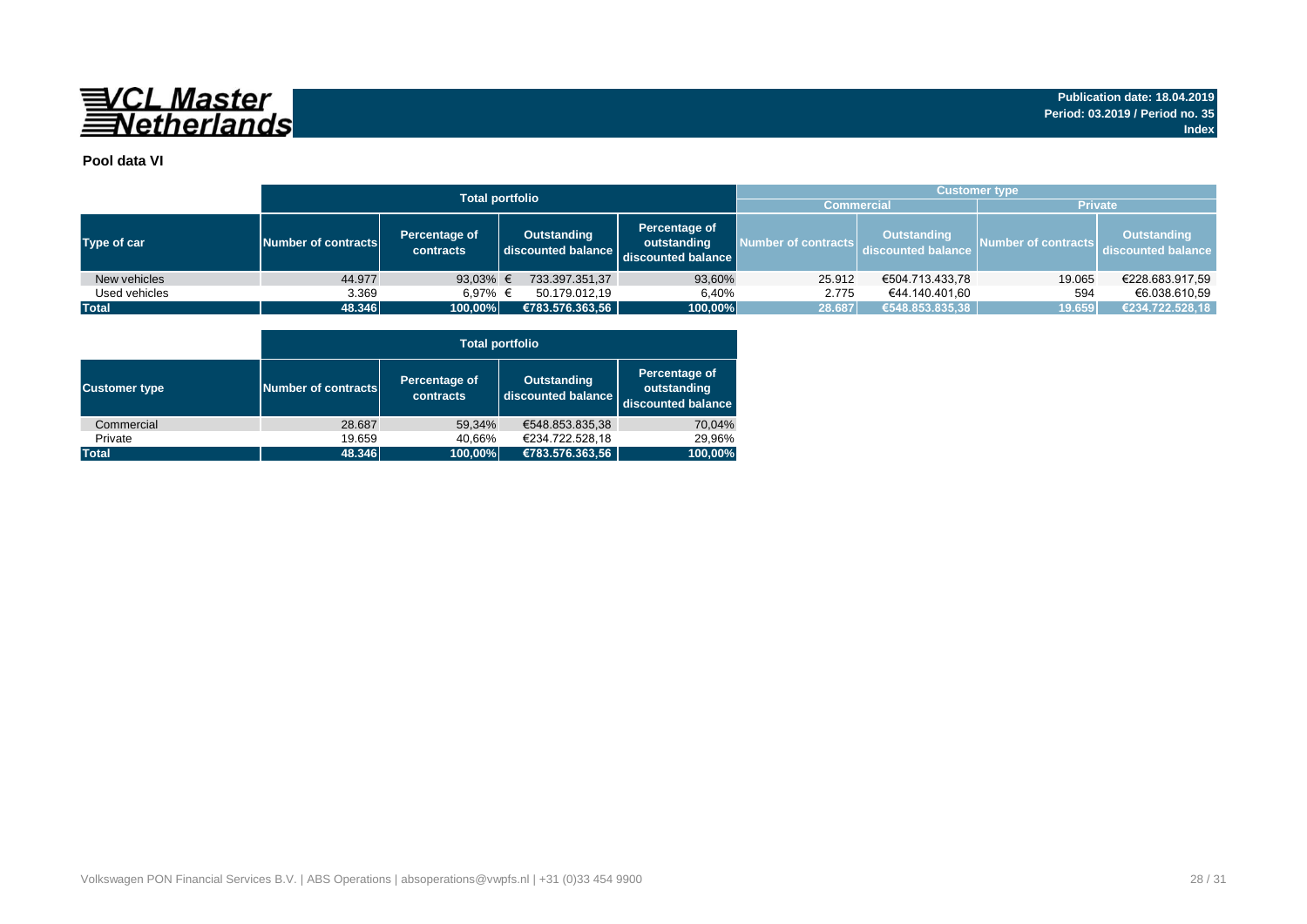

## **Pool data VI**

|               |                                                   |                   | <b>Total portfolio</b>            |                                                    | <b>Customer type</b> |                                                            |                     |                                          |  |  |  |  |  |
|---------------|---------------------------------------------------|-------------------|-----------------------------------|----------------------------------------------------|----------------------|------------------------------------------------------------|---------------------|------------------------------------------|--|--|--|--|--|
|               |                                                   |                   |                                   | <b>Commercial</b>                                  |                      | <b>Private</b>                                             |                     |                                          |  |  |  |  |  |
| Type of car   | Percentage of<br>Number of contracts<br>contracts |                   | Outstanding<br>discounted balance | Percentage of<br>outstanding<br>discounted balance |                      | Outstanding<br>Number of contracts discounted balance Des- | Number of contracts | <b>Outstanding</b><br>discounted balance |  |  |  |  |  |
| New vehicles  | 44.977                                            | 93,03% $\epsilon$ | 733.397.351,37                    | 93,60%                                             | 25.912               | €504.713.433,78                                            | 19.065              | €228.683.917,59                          |  |  |  |  |  |
| Used vehicles | 3.369                                             | 6.97% €           | 50.179.012.19                     | 6.40%                                              | 2.775                | €44.140.401,60                                             | 594                 | €6.038.610.59                            |  |  |  |  |  |
| <b>Total</b>  | 48.346                                            | 100,00%           | €783.576.363,56                   | 100,00%                                            | 28.687               | €548.853.835,38                                            | 19.659              | €234.722.528,18                          |  |  |  |  |  |

|                      |                     | <b>Total portfolio</b>     |                                          |                                                    |  |  |  |  |  |  |  |  |  |
|----------------------|---------------------|----------------------------|------------------------------------------|----------------------------------------------------|--|--|--|--|--|--|--|--|--|
| <b>Customer type</b> | Number of contracts | Percentage of<br>contracts | <b>Outstanding</b><br>discounted balance | Percentage of<br>outstanding<br>discounted balance |  |  |  |  |  |  |  |  |  |
| Commercial           | 28.687              | 59.34%                     | €548.853.835.38                          | 70,04%                                             |  |  |  |  |  |  |  |  |  |
| Private              | 19.659              | 40,66%                     | €234.722.528,18                          | 29.96%                                             |  |  |  |  |  |  |  |  |  |
| <b>Total</b>         | 48.346              | 100,00%                    | €783.576.363,56                          | 100,00%                                            |  |  |  |  |  |  |  |  |  |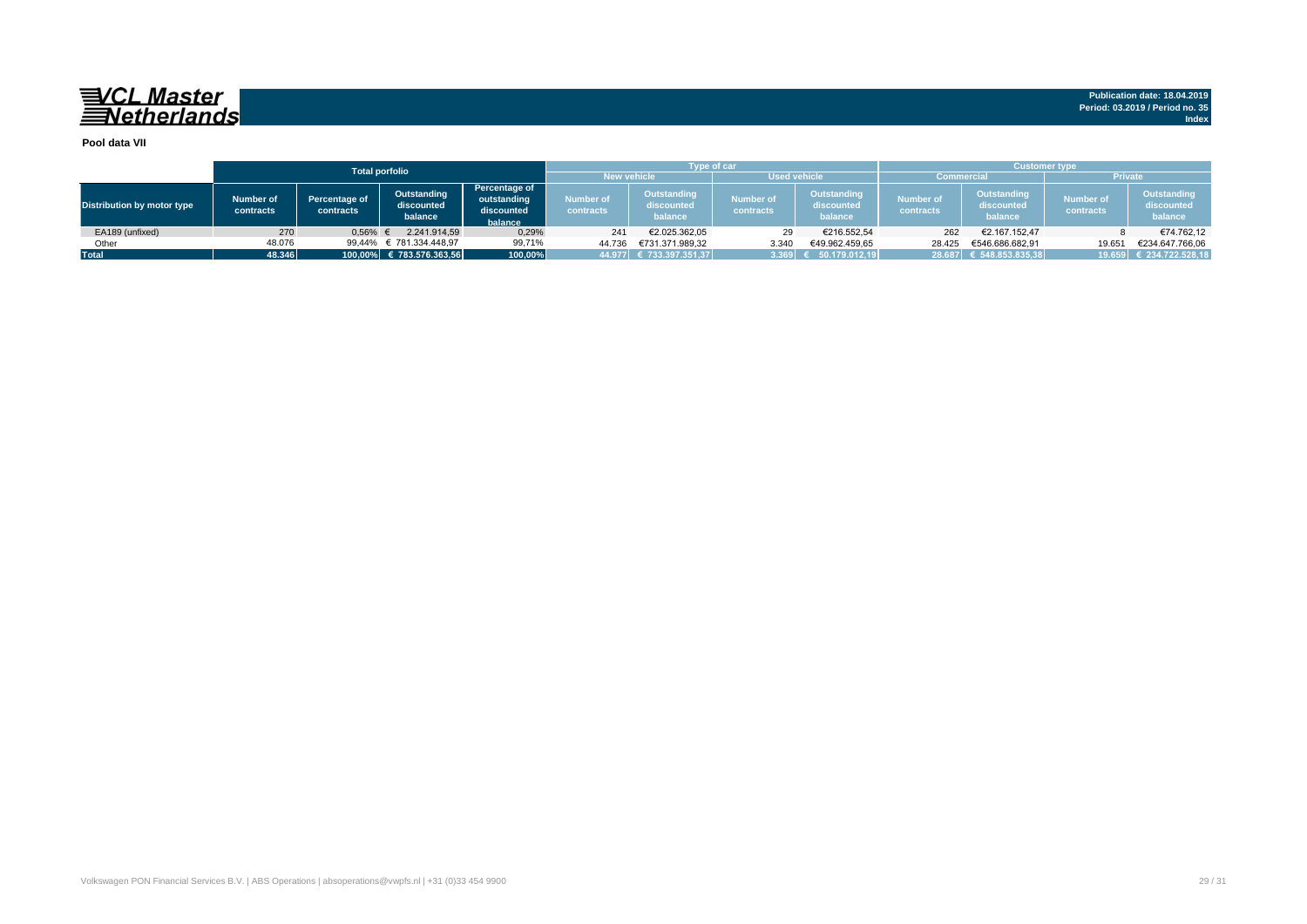**Publication date: 18.04.2019 Period: 03.2019 / Period no. 35 Index**

#### **Pool data VII**

|                            |                        |                            | <b>Total porfolio</b>                |                                                       |                        | <b>Type of car</b>                          |                                                                              |                        | <b>Customer type</b>   |                                      |                               |                                      |  |  |
|----------------------------|------------------------|----------------------------|--------------------------------------|-------------------------------------------------------|------------------------|---------------------------------------------|------------------------------------------------------------------------------|------------------------|------------------------|--------------------------------------|-------------------------------|--------------------------------------|--|--|
|                            |                        |                            |                                      |                                                       | <b>New vehicle</b>     |                                             | <b>Used vehicle</b>                                                          |                        | <b>Commercial</b>      |                                      | <b>Private</b>                |                                      |  |  |
| Distribution by motor type | Number of<br>contracts | Percentage of<br>contracts | Outstanding<br>discounted<br>balance | Percentage of<br>outstanding<br>discounted<br>balance | Number of<br>contracts | <b>Outstanding</b><br>discounted<br>balance | <b>Outstanding</b><br><b>Number of</b><br>discounted<br>contracts<br>balance |                        | Number of<br>contracts | Outstanding<br>discounted<br>balance | <b>Number of</b><br>contracts | Outstanding<br>discounted<br>balance |  |  |
| EA189 (unfixed)            | 270                    | 0,56%                      | 2.241.914.59                         | 0,29%                                                 | 241                    | €2.025.362.05                               | 29                                                                           | €216.552.54            | 262                    | €2.167.152.47                        |                               | €74.762.12                           |  |  |
| Other                      | 48.076                 | 99.44%                     | € 781.334.448,97                     | 99,71%                                                | 44.736                 | €731.371.989.32                             | 3.340                                                                        | €49.962.459,65         | 28.425                 | €546.686.682.91                      | 19.651                        | €234.647.766.06                      |  |  |
| <b>Total</b>               | 48.346                 |                            | 100,00% € 783.576.363,56<br>100,00%  |                                                       |                        | 44.977 € 733.397.351,37                     | 3.369                                                                        | $\sqrt{50.179.012.19}$ |                        | 28.687 € 548.853.835,38              |                               | 19.659 € 234.722.528,18              |  |  |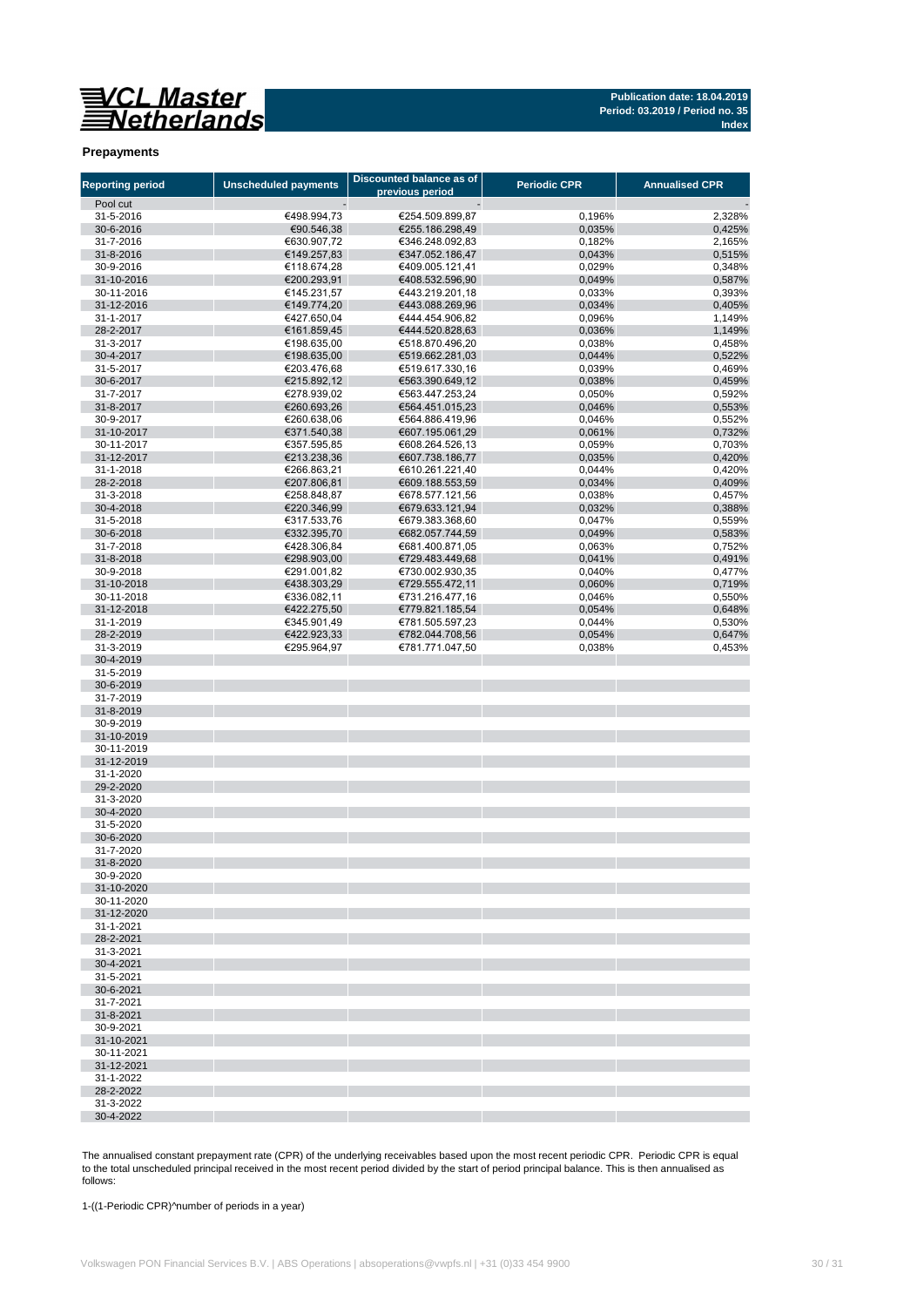**Publication date: 18.04.2019 Period: 03.2019 / Period no. 35 Index**

#### **Prepayments**

| <b>Reporting period</b>  | <b>Unscheduled payments</b> | Discounted balance as of<br>previous period | <b>Periodic CPR</b> | <b>Annualised CPR</b> |
|--------------------------|-----------------------------|---------------------------------------------|---------------------|-----------------------|
| Pool cut                 |                             |                                             |                     |                       |
| 31-5-2016                | €498.994,73                 | €254.509.899,87                             | 0,196%              | 2,328%                |
| 30-6-2016                | €90.546,38                  | €255.186.298,49                             | 0,035%              | 0,425%                |
| 31-7-2016                | €630.907,72                 | €346.248.092,83                             | 0,182%              | 2,165%                |
| 31-8-2016                | €149.257,83                 | €347.052.186,47                             | 0,043%              | 0,515%                |
| 30-9-2016                | €118.674,28                 | €409.005.121,41                             | 0,029%              | 0,348%                |
| 31-10-2016<br>30-11-2016 | €200.293,91<br>€145.231,57  | €408.532.596,90<br>€443.219.201,18          | 0,049%<br>0,033%    | 0,587%<br>0,393%      |
| 31-12-2016               | €149.774,20                 | €443.088.269,96                             | 0,034%              | 0,405%                |
| 31-1-2017                | €427.650,04                 | €444.454.906,82                             | 0,096%              | 1,149%                |
| 28-2-2017                | €161.859,45                 | €444.520.828,63                             | 0,036%              | 1,149%                |
| 31-3-2017                | €198.635,00                 | €518.870.496,20                             | 0,038%              | 0,458%                |
| 30-4-2017                | €198.635,00                 | €519.662.281,03                             | 0,044%              | 0,522%                |
| 31-5-2017                | €203.476,68                 | €519.617.330,16                             | 0,039%              | 0,469%                |
| 30-6-2017<br>31-7-2017   | €215.892,12<br>€278.939,02  | €563.390.649,12<br>€563.447.253,24          | 0,038%<br>0,050%    | 0,459%<br>0,592%      |
| 31-8-2017                | €260.693,26                 | €564.451.015,23                             | 0,046%              | 0,553%                |
| 30-9-2017                | €260.638,06                 | €564.886.419,96                             | 0,046%              | 0,552%                |
| 31-10-2017               | €371.540,38                 | €607.195.061,29                             | 0,061%              | 0,732%                |
| 30-11-2017               | €357.595,85                 | €608.264.526,13                             | 0,059%              | 0,703%                |
| 31-12-2017               | €213.238,36                 | €607.738.186,77                             | 0,035%              | 0,420%                |
| 31-1-2018                | €266.863,21                 | €610.261.221,40                             | 0,044%              | 0,420%                |
| 28-2-2018                | €207.806,81                 | €609.188.553,59                             | 0,034%              | 0,409%                |
| 31-3-2018                | €258.848,87                 | €678.577.121,56                             | 0,038%              | 0,457%                |
| 30-4-2018<br>31-5-2018   | €220.346,99<br>€317.533,76  | €679.633.121,94<br>€679.383.368,60          | 0,032%<br>0,047%    | 0,388%<br>0,559%      |
| 30-6-2018                | €332.395,70                 | €682.057.744,59                             | 0,049%              | 0,583%                |
| 31-7-2018                | €428.306,84                 | €681.400.871,05                             | 0,063%              | 0,752%                |
| 31-8-2018                | €298.903,00                 | €729.483.449,68                             | 0,041%              | 0,491%                |
| 30-9-2018                | €291.001,82                 | €730.002.930,35                             | 0,040%              | 0,477%                |
| 31-10-2018               | €438.303,29                 | €729.555.472,11                             | 0,060%              | 0,719%                |
| 30-11-2018               | €336.082,11                 | €731.216.477,16                             | 0,046%              | 0,550%                |
| 31-12-2018<br>31-1-2019  | €422.275,50                 | €779.821.185,54                             | 0,054%              | 0,648%                |
| 28-2-2019                | €345.901,49<br>€422.923,33  | €781.505.597,23<br>€782.044.708,56          | 0,044%<br>0,054%    | 0,530%<br>0,647%      |
| 31-3-2019                | €295.964,97                 | €781.771.047,50                             | 0,038%              | 0,453%                |
| 30-4-2019                |                             |                                             |                     |                       |
| 31-5-2019                |                             |                                             |                     |                       |
| 30-6-2019                |                             |                                             |                     |                       |
| 31-7-2019                |                             |                                             |                     |                       |
| 31-8-2019                |                             |                                             |                     |                       |
| 30-9-2019<br>31-10-2019  |                             |                                             |                     |                       |
| 30-11-2019               |                             |                                             |                     |                       |
| 31-12-2019               |                             |                                             |                     |                       |
| 31-1-2020                |                             |                                             |                     |                       |
| 29-2-2020                |                             |                                             |                     |                       |
| 31-3-2020                |                             |                                             |                     |                       |
| 30-4-2020                |                             |                                             |                     |                       |
| 31-5-2020<br>30-6-2020   |                             |                                             |                     |                       |
| 31-7-2020                |                             |                                             |                     |                       |
| 31-8-2020                |                             |                                             |                     |                       |
| 30-9-2020                |                             |                                             |                     |                       |
| 31-10-2020               |                             |                                             |                     |                       |
| 30-11-2020               |                             |                                             |                     |                       |
| 31-12-2020               |                             |                                             |                     |                       |
| 31-1-2021<br>28-2-2021   |                             |                                             |                     |                       |
| 31-3-2021                |                             |                                             |                     |                       |
| 30-4-2021                |                             |                                             |                     |                       |
| 31-5-2021                |                             |                                             |                     |                       |
| 30-6-2021                |                             |                                             |                     |                       |
| 31-7-2021                |                             |                                             |                     |                       |
| 31-8-2021                |                             |                                             |                     |                       |
| 30-9-2021                |                             |                                             |                     |                       |
| 31-10-2021<br>30-11-2021 |                             |                                             |                     |                       |
| 31-12-2021               |                             |                                             |                     |                       |
| 31-1-2022                |                             |                                             |                     |                       |
| 28-2-2022                |                             |                                             |                     |                       |
| 31-3-2022                |                             |                                             |                     |                       |
| 30-4-2022                |                             |                                             |                     |                       |

The annualised constant prepayment rate (CPR) of the underlying receivables based upon the most recent periodic CPR. Periodic CPR is equal to the total unscheduled principal received in the most recent period divided by the start of period principal balance. This is then annualised as follows:

1-((1-Periodic CPR)^number of periods in a year)